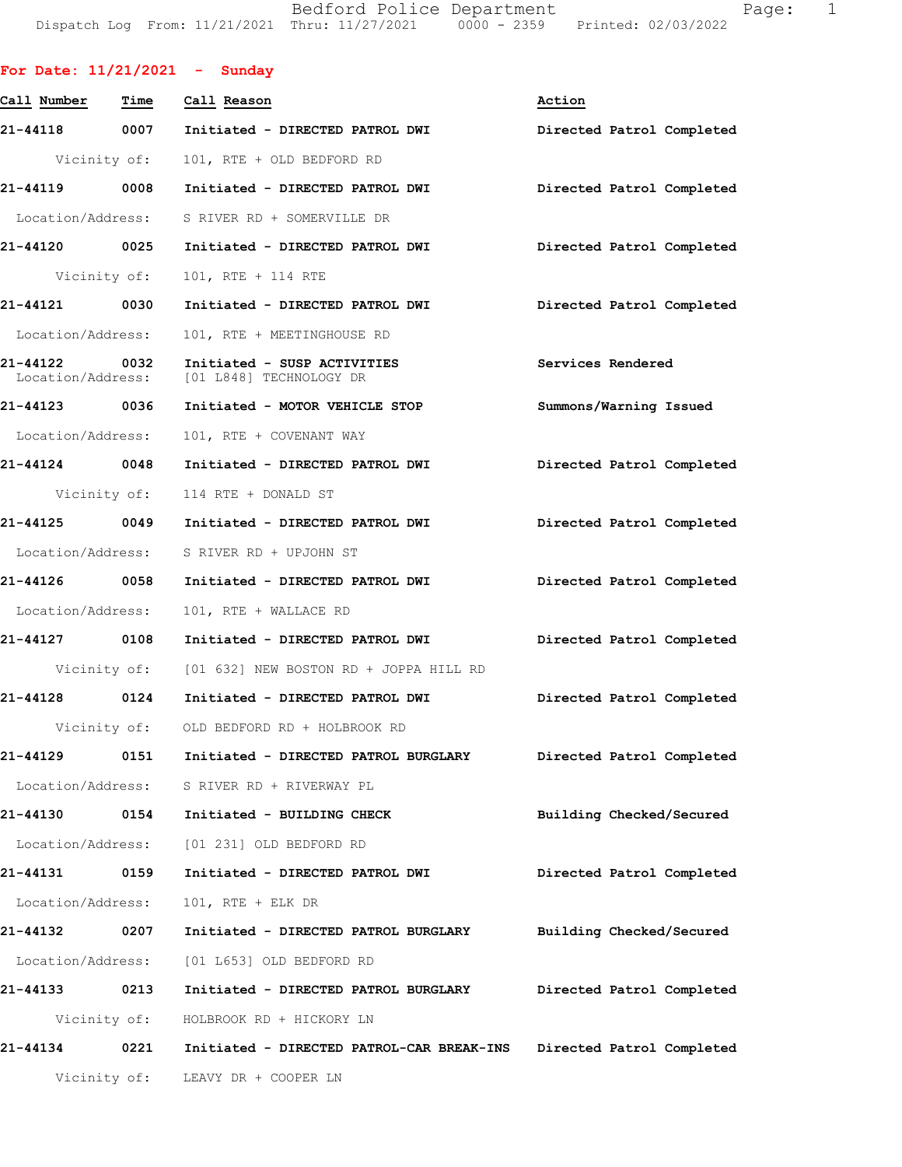Bedford Police Department Fage: 1 Dispatch Log From: 11/21/2021 Thru: 11/27/2021 0000 - 2359 Printed: 02/03/2022

| For Date: $11/21/2021$ - Sunday |              |                                                                          |                           |
|---------------------------------|--------------|--------------------------------------------------------------------------|---------------------------|
| Call Number                     | Time         | Call Reason                                                              | Action                    |
|                                 |              | 21-44118 0007 Initiated - DIRECTED PATROL DWI                            | Directed Patrol Completed |
|                                 |              | Vicinity of: 101, RTE + OLD BEDFORD RD                                   |                           |
|                                 |              |                                                                          | Directed Patrol Completed |
|                                 |              | Location/Address: S RIVER RD + SOMERVILLE DR                             |                           |
|                                 |              |                                                                          | Directed Patrol Completed |
|                                 | Vicinity of: | 101, RTE + 114 RTE                                                       |                           |
| 21-44121 0030                   |              | Initiated - DIRECTED PATROL DWI                                          | Directed Patrol Completed |
| Location/Address:               |              | 101, RTE + MEETINGHOUSE RD                                               |                           |
| 21-44122 0032                   |              | Initiated - SUSP ACTIVITIES<br>Location/Address: [01 L848] TECHNOLOGY DR | Services Rendered         |
| 21-44123 0036                   |              | Initiated - MOTOR VEHICLE STOP                                           | Summons/Warning Issued    |
| Location/Address:               |              | 101, RTE + COVENANT WAY                                                  |                           |
|                                 |              | 21-44124 0048 Initiated - DIRECTED PATROL DWI                            | Directed Patrol Completed |
|                                 |              | Vicinity of: 114 RTE + DONALD ST                                         |                           |
|                                 |              | 21-44125 0049 Initiated - DIRECTED PATROL DWI Directed Patrol Completed  |                           |
|                                 |              | Location/Address: S RIVER RD + UPJOHN ST                                 |                           |
|                                 |              |                                                                          | Directed Patrol Completed |
| Location/Address:               |              | 101, RTE + WALLACE RD                                                    |                           |
| 21-44127 0108                   |              | Initiated - DIRECTED PATROL DWI Directed Patrol Completed                |                           |
|                                 |              | Vicinity of: [01 632] NEW BOSTON RD + JOPPA HILL RD                      |                           |
| 21-44128 0124                   |              | Initiated - DIRECTED PATROL DWI                                          | Directed Patrol Completed |
|                                 | Vicinity of: | OLD BEDFORD RD + HOLBROOK RD                                             |                           |
| 21-44129                        | 0151         | Initiated - DIRECTED PATROL BURGLARY                                     | Directed Patrol Completed |
|                                 |              | Location/Address: S RIVER RD + RIVERWAY PL                               |                           |
| 21-44130                        |              | 0154 Initiated - BUILDING CHECK                                          | Building Checked/Secured  |
|                                 |              | Location/Address: [01 231] OLD BEDFORD RD                                |                           |
| 21-44131 0159                   |              | Initiated - DIRECTED PATROL DWI                                          | Directed Patrol Completed |
| Location/Address:               |              | 101, RTE + ELK DR                                                        |                           |
| 21-44132 0207                   |              | Initiated - DIRECTED PATROL BURGLARY                                     | Building Checked/Secured  |
| Location/Address:               |              | [01 L653] OLD BEDFORD RD                                                 |                           |
| 21-44133                        | 0213         | Initiated - DIRECTED PATROL BURGLARY                                     | Directed Patrol Completed |
|                                 | Vicinity of: | HOLBROOK RD + HICKORY LN                                                 |                           |
| 21-44134                        | 0221         | Initiated - DIRECTED PATROL-CAR BREAK-INS Directed Patrol Completed      |                           |
|                                 | Vicinity of: | LEAVY DR + COOPER LN                                                     |                           |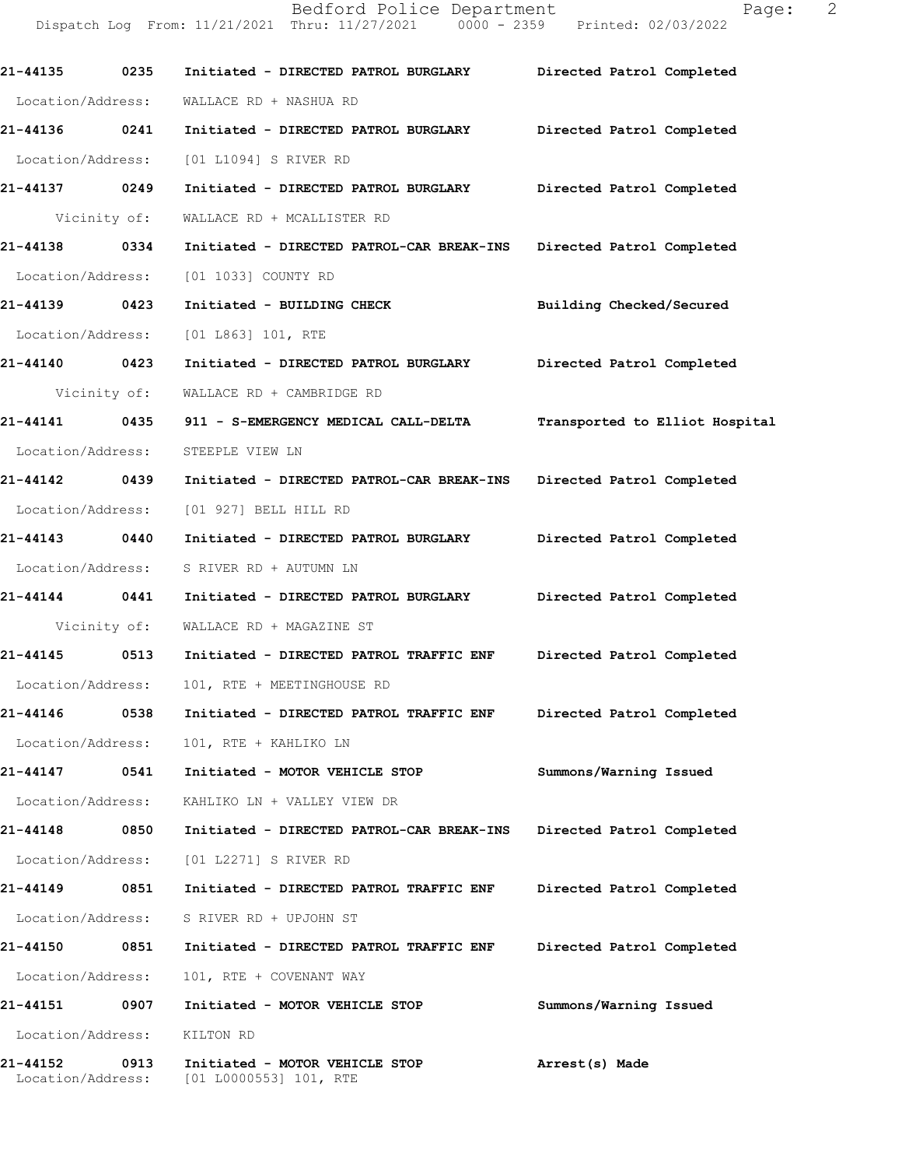Dispatch Log From: 11/21/2021 Thru: 11/27/2021 0000 - 2359 Printed: 02/03/2022 **21-44135 0235 Initiated - DIRECTED PATROL BURGLARY Directed Patrol Completed**  Location/Address: WALLACE RD + NASHUA RD **21-44136 0241 Initiated - DIRECTED PATROL BURGLARY Directed Patrol Completed**  Location/Address: [01 L1094] S RIVER RD **21-44137 0249 Initiated - DIRECTED PATROL BURGLARY Directed Patrol Completed**  Vicinity of: WALLACE RD + MCALLISTER RD **21-44138 0334 Initiated - DIRECTED PATROL-CAR BREAK-INS Directed Patrol Completed**  Location/Address: [01 1033] COUNTY RD **21-44139 0423 Initiated - BUILDING CHECK Building Checked/Secured**  Location/Address: [01 L863] 101, RTE **21-44140 0423 Initiated - DIRECTED PATROL BURGLARY Directed Patrol Completed**  Vicinity of: WALLACE RD + CAMBRIDGE RD **21-44141 0435 911 - S-EMERGENCY MEDICAL CALL-DELTA Transported to Elliot Hospital** Location/Address: STEEPLE VIEW LN **21-44142 0439 Initiated - DIRECTED PATROL-CAR BREAK-INS Directed Patrol Completed**  Location/Address: [01 927] BELL HILL RD **21-44143 0440 Initiated - DIRECTED PATROL BURGLARY Directed Patrol Completed**  Location/Address: S RIVER RD + AUTUMN LN **21-44144 0441 Initiated - DIRECTED PATROL BURGLARY Directed Patrol Completed**  Vicinity of: WALLACE RD + MAGAZINE ST **21-44145 0513 Initiated - DIRECTED PATROL TRAFFIC ENF Directed Patrol Completed**  Location/Address: 101, RTE + MEETINGHOUSE RD **21-44146 0538 Initiated - DIRECTED PATROL TRAFFIC ENF Directed Patrol Completed**  Location/Address: 101, RTE + KAHLIKO LN **21-44147 0541 Initiated - MOTOR VEHICLE STOP Summons/Warning Issued**  Location/Address: KAHLIKO LN + VALLEY VIEW DR **21-44148 0850 Initiated - DIRECTED PATROL-CAR BREAK-INS Directed Patrol Completed**  Location/Address: [01 L2271] S RIVER RD **21-44149 0851 Initiated - DIRECTED PATROL TRAFFIC ENF Directed Patrol Completed**  Location/Address: S RIVER RD + UPJOHN ST **21-44150 0851 Initiated - DIRECTED PATROL TRAFFIC ENF Directed Patrol Completed**  Location/Address: 101, RTE + COVENANT WAY **21-44151 0907 Initiated - MOTOR VEHICLE STOP Summons/Warning Issued**  Location/Address: KILTON RD **21-44152 0913 Initiated - MOTOR VEHICLE STOP Arrest(s) Made** 

Location/Address: [01 L0000553] 101, RTE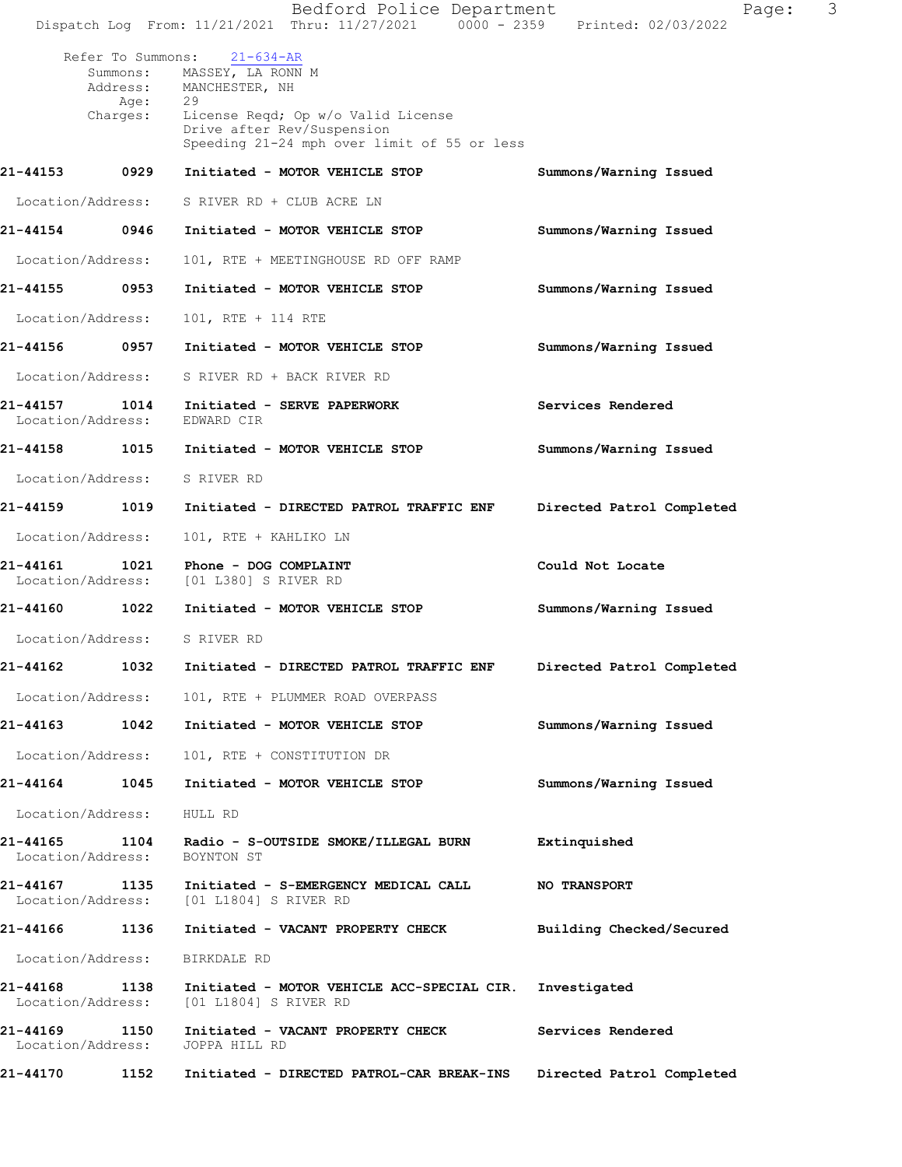|                                                               | Bedford Police Department<br>Dispatch Log From: 11/21/2021 Thru: 11/27/2021 0000 - 2359 Printed: 02/03/2022                                                                     | Page:                     | 3 |
|---------------------------------------------------------------|---------------------------------------------------------------------------------------------------------------------------------------------------------------------------------|---------------------------|---|
| Refer To Summons:<br>Summons:<br>Address:<br>Age:<br>Charges: | $21 - 634 - AR$<br>MASSEY, LA RONN M<br>MANCHESTER, NH<br>29<br>License Reqd; Op w/o Valid License<br>Drive after Rev/Suspension<br>Speeding 21-24 mph over limit of 55 or less |                           |   |
| 21-44153<br>0929                                              | Initiated - MOTOR VEHICLE STOP                                                                                                                                                  | Summons/Warning Issued    |   |
| Location/Address:                                             | S RIVER RD + CLUB ACRE LN                                                                                                                                                       |                           |   |
| 21-44154<br>0946                                              | Initiated - MOTOR VEHICLE STOP                                                                                                                                                  | Summons/Warning Issued    |   |
| Location/Address:                                             | 101, RTE + MEETINGHOUSE RD OFF RAMP                                                                                                                                             |                           |   |
| 21-44155<br>0953                                              | Initiated - MOTOR VEHICLE STOP                                                                                                                                                  | Summons/Warning Issued    |   |
| Location/Address:                                             | 101, RTE + 114 RTE                                                                                                                                                              |                           |   |
| 0957<br>21-44156                                              | Initiated - MOTOR VEHICLE STOP                                                                                                                                                  | Summons/Warning Issued    |   |
| Location/Address:                                             | S RIVER RD + BACK RIVER RD                                                                                                                                                      |                           |   |
| 21-44157<br>1014<br>Location/Address:                         | Initiated - SERVE PAPERWORK<br>EDWARD CIR                                                                                                                                       | Services Rendered         |   |
| 1015<br>21-44158                                              | Initiated - MOTOR VEHICLE STOP                                                                                                                                                  | Summons/Warning Issued    |   |
| Location/Address:                                             | S RIVER RD                                                                                                                                                                      |                           |   |
| 21-44159<br>1019                                              | Initiated - DIRECTED PATROL TRAFFIC ENF                                                                                                                                         | Directed Patrol Completed |   |
| Location/Address:                                             | 101, RTE + KAHLIKO LN                                                                                                                                                           |                           |   |
| 1021<br>21-44161<br>Location/Address:                         | Phone - DOG COMPLAINT<br>[01 L380] S RIVER RD                                                                                                                                   | Could Not Locate          |   |
| 1022<br>21-44160                                              | Initiated - MOTOR VEHICLE STOP                                                                                                                                                  | Summons/Warning Issued    |   |
| Location/Address:                                             | S RIVER RD                                                                                                                                                                      |                           |   |
| 21-44162<br>1032                                              | Initiated - DIRECTED PATROL TRAFFIC ENF                                                                                                                                         | Directed Patrol Completed |   |
| Location/Address:                                             | 101, RTE + PLUMMER ROAD OVERPASS                                                                                                                                                |                           |   |
| 21-44163 1042                                                 | Initiated - MOTOR VEHICLE STOP                                                                                                                                                  | Summons/Warning Issued    |   |
| Location/Address:                                             | 101, RTE + CONSTITUTION DR                                                                                                                                                      |                           |   |
| 1045<br>21-44164                                              | Initiated - MOTOR VEHICLE STOP                                                                                                                                                  | Summons/Warning Issued    |   |
| Location/Address:                                             | HULL RD                                                                                                                                                                         |                           |   |
| 21-44165 1104<br>Location/Address:                            | Radio - S-OUTSIDE SMOKE/ILLEGAL BURN<br>BOYNTON ST                                                                                                                              | Extinquished              |   |
| 21-44167<br>1135<br>Location/Address:                         | Initiated - S-EMERGENCY MEDICAL CALL<br>[01 L1804] S RIVER RD                                                                                                                   | NO TRANSPORT              |   |
| 21-44166<br>1136                                              | Initiated - VACANT PROPERTY CHECK                                                                                                                                               | Building Checked/Secured  |   |
| Location/Address:                                             | BIRKDALE RD                                                                                                                                                                     |                           |   |
| 21-44168 1138<br>Location/Address:                            | Initiated - MOTOR VEHICLE ACC-SPECIAL CIR.<br>[01 L1804] S RIVER RD                                                                                                             | Investigated              |   |
| 21-44169<br>1150<br>Location/Address:                         | Initiated - VACANT PROPERTY CHECK<br>JOPPA HILL RD                                                                                                                              | Services Rendered         |   |
| 21-44170<br>1152                                              | Initiated - DIRECTED PATROL-CAR BREAK-INS                                                                                                                                       | Directed Patrol Completed |   |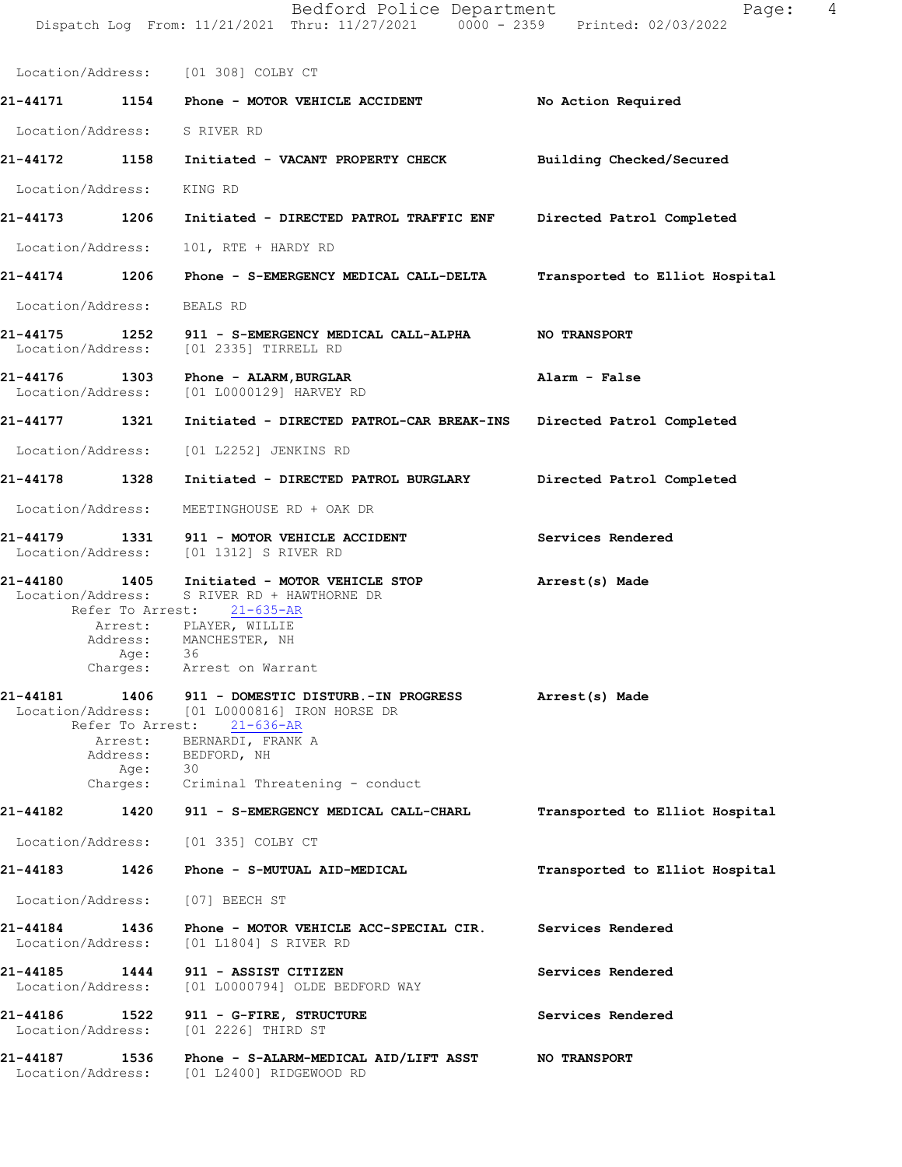|                                    |                           | Dispatch Log From: 11/21/2021 Thru: 11/27/2021 0000 - 2359 Printed: 02/03/2022                                                                                                                         |                                |
|------------------------------------|---------------------------|--------------------------------------------------------------------------------------------------------------------------------------------------------------------------------------------------------|--------------------------------|
|                                    |                           | Location/Address: [01 308] COLBY CT                                                                                                                                                                    |                                |
|                                    |                           |                                                                                                                                                                                                        | No Action Required             |
|                                    |                           | Location/Address: S RIVER RD                                                                                                                                                                           |                                |
|                                    |                           | 21-44172 1158 Initiated - VACANT PROPERTY CHECK                                                                                                                                                        | Building Checked/Secured       |
| Location/Address: KING RD          |                           |                                                                                                                                                                                                        |                                |
| 21-44173 1206                      |                           | Initiated - DIRECTED PATROL TRAFFIC ENF                                                                                                                                                                | Directed Patrol Completed      |
|                                    |                           | Location/Address: 101, RTE + HARDY RD                                                                                                                                                                  |                                |
|                                    |                           | 21-44174 1206 Phone - S-EMERGENCY MEDICAL CALL-DELTA                                                                                                                                                   | Transported to Elliot Hospital |
| Location/Address:                  |                           | BEALS RD                                                                                                                                                                                               |                                |
| 21-44175                           | 1252                      | 911 - S-EMERGENCY MEDICAL CALL-ALPHA<br>Location/Address: [01 2335] TIRRELL RD                                                                                                                         | <b>NO TRANSPORT</b>            |
| 21-44176 1303<br>Location/Address: |                           | Phone - ALARM, BURGLAR<br>[01 L0000129] HARVEY RD                                                                                                                                                      | Alarm - False                  |
| 21-44177 1321                      |                           | Initiated - DIRECTED PATROL-CAR BREAK-INS                                                                                                                                                              | Directed Patrol Completed      |
|                                    |                           | Location/Address: [01 L2252] JENKINS RD                                                                                                                                                                |                                |
| 21-44178 1328                      |                           | Initiated - DIRECTED PATROL BURGLARY                                                                                                                                                                   | Directed Patrol Completed      |
| Location/Address:                  |                           | MEETINGHOUSE RD + OAK DR                                                                                                                                                                               |                                |
| 21-44179                           |                           | 1331 911 - MOTOR VEHICLE ACCIDENT<br>Location/Address: [01 1312] S RIVER RD                                                                                                                            | Services Rendered              |
| 21-44180                           | 1405<br>Location/Address: | Initiated - MOTOR VEHICLE STOP<br>S RIVER RD + HAWTHORNE DR<br>Refer To Arrest: 21-635-AR<br>Arrest: PLAYER, WILLIE<br>Address: MANCHESTER, NH<br>Age: 36<br>Charges: Arrest on Warrant                | Arrest(s) Made                 |
| 21-44181<br>Location/Address:      | 1406<br>Age:              | 911 - DOMESTIC DISTURB.-IN PROGRESS<br>[01 L0000816] IRON HORSE DR<br>Refer To Arrest: 21-636-AR<br>Arrest: BERNARDI, FRANK A<br>Address: BEDFORD, NH<br>30<br>Charges: Criminal Threatening - conduct | Arrest(s) Made                 |
| 21-44182                           |                           | 1420 911 - S-EMERGENCY MEDICAL CALL-CHARL                                                                                                                                                              | Transported to Elliot Hospital |
|                                    |                           | Location/Address: [01 335] COLBY CT                                                                                                                                                                    |                                |
| 21-44183 1426                      |                           | Phone - S-MUTUAL AID-MEDICAL                                                                                                                                                                           | Transported to Elliot Hospital |
| Location/Address:                  |                           | [07] BEECH ST                                                                                                                                                                                          |                                |
| 21-44184<br>Location/Address:      | 1436                      | Phone - MOTOR VEHICLE ACC-SPECIAL CIR.<br>[01 L1804] S RIVER RD                                                                                                                                        | Services Rendered              |
| 21-44185<br>Location/Address:      | 1444                      | 911 - ASSIST CITIZEN<br>[01 L0000794] OLDE BEDFORD WAY                                                                                                                                                 | Services Rendered              |
| 21-44186<br>Location/Address:      | 1522                      | 911 - G-FIRE, STRUCTURE<br>[01 2226] THIRD ST                                                                                                                                                          | Services Rendered              |
| 21-44187                           | 1536                      | Phone - S-ALARM-MEDICAL AID/LIFT ASST<br>Location/Address: [01 L2400] RIDGEWOOD RD                                                                                                                     | <b>NO TRANSPORT</b>            |

Bedford Police Department The Control Page: 4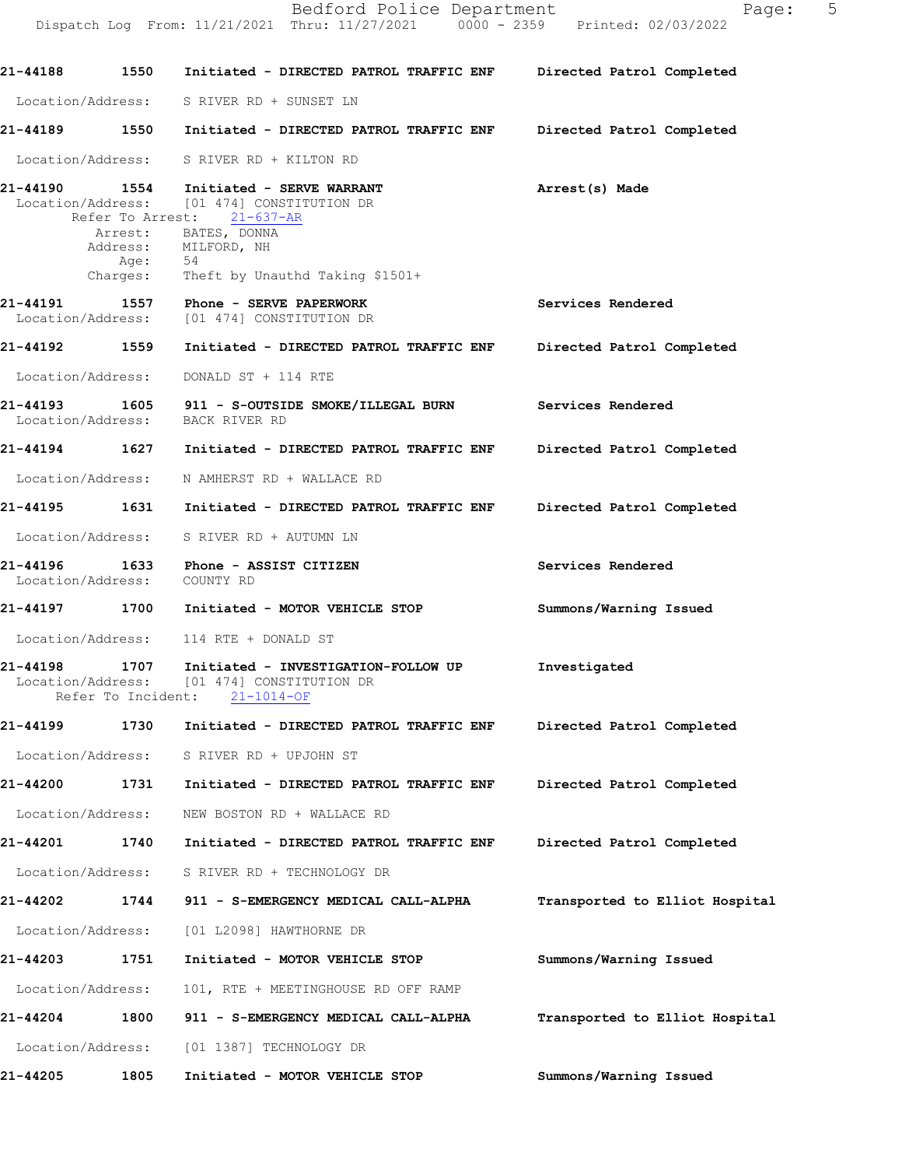Dispatch Log From: 11/21/2021 Thru: 11/27/2021 0000 - 2359 Printed: 02/03/2022 **21-44188 1550 Initiated - DIRECTED PATROL TRAFFIC ENF Directed Patrol Completed** Location/Address: S RIVER RD + SUNSET LN **21-44189 1550 Initiated - DIRECTED PATROL TRAFFIC ENF Directed Patrol Completed** Location/Address: S RIVER RD + KILTON RD 21-44190 1554 Initiated - SERVE WARRANT **Arrest(s)** Made Location/Address: [01 474] CONSTITUTION DR<br>Refer To Arrest: 21-637-AR Refer To Arrest: **Services Rendered Directed Patrol Completed Services Rendered Directed Patrol Completed Directed Patrol Completed Services Rendered Summons/Warning Issued 21-44198 1707 Investigated Initiated - INVESTIGATION-FOLLOW UP** Location/Address: [01 474] CONSTITUTION DR Refer To Incident: 21-1014-OF **21-44199 1730 Initiated - DIRECTED PATROL TRAFFIC ENF Directed Patrol Completed**  Location/Address: S RIVER RD + UPJOHN ST **21-44200 1731 Initiated - DIRECTED PATROL TRAFFIC ENF Directed Patrol Completed**  Location/Address: NEW BOSTON RD + WALLACE RD **21-44201 1740 Initiated - DIRECTED PATROL TRAFFIC ENF Directed Patrol Completed**  Location/Address: S RIVER RD + TECHNOLOGY DR **21-44202 1744 911 - S-EMERGENCY MEDICAL CALL-ALPHA Transported to Elliot Hospital** Location/Address: [01 L2098] HAWTHORNE DR **21-44203 1751 Initiated - MOTOR VEHICLE STOP Summons/Warning Issued**  Location/Address: 101, RTE + MEETINGHOUSE RD OFF RAMP **21-44204 1800 911 - S-EMERGENCY MEDICAL CALL-ALPHA Transported to Elliot Hospital** Location/Address: [01 1387] TECHNOLOGY DR **21-44205 1805 Initiated - MOTOR VEHICLE STOP Summons/Warning Issued**  Arrest: BATES, DONNA Address: MILFORD, NH<br>Age: 54 Age: Charges: Theft by Unauthd Taking \$1501+ **21-44191 1557 Phone - SERVE PAPERWORK** Location/Address: [01 474] CONSTITUTION DR **21-44192 1559 Initiated - DIRECTED PATROL TRAFFIC ENF** Location/Address: DONALD ST + 114 RTE **21-44193 1605 911 - S-OUTSIDE SMOKE/ILLEGAL BURN** Location/Address: **21-44194 1627 Initiated - DIRECTED PATROL TRAFFIC ENF** Location/Address: N AMHERST RD + WALLACE RD **21-44195 1631 Initiated - DIRECTED PATROL TRAFFIC ENF** Location/Address: S RIVER RD + AUTUMN LN **21-44196 1633 Phone - ASSIST CITIZEN** Location/Address: COUNTY RD **21-44197 1700 Initiated - MOTOR VEHICLE STOP** Location/Address: 114 RTE + DONALD ST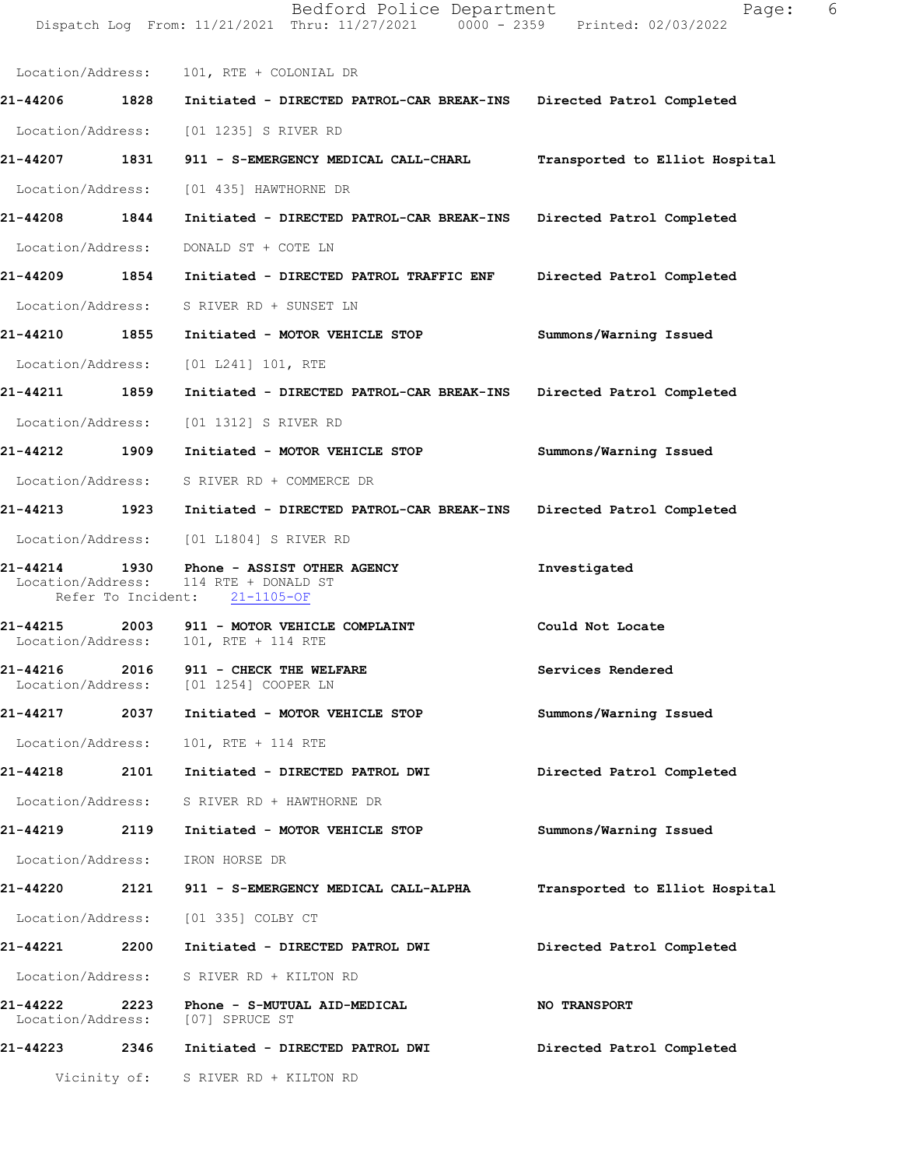|                               |              | Location/Address: 101, RTE + COLONIAL DR                                                              |                                |
|-------------------------------|--------------|-------------------------------------------------------------------------------------------------------|--------------------------------|
|                               |              | 21-44206 1828 Initiated - DIRECTED PATROL-CAR BREAK-INS Directed Patrol Completed                     |                                |
|                               |              | Location/Address: [01 1235] S RIVER RD                                                                |                                |
|                               |              | 21-44207 1831 911 - S-EMERGENCY MEDICAL CALL-CHARL Transported to Elliot Hospital                     |                                |
|                               |              | Location/Address: [01 435] HAWTHORNE DR                                                               |                                |
| 21-44208 1844                 |              | Initiated - DIRECTED PATROL-CAR BREAK-INS Directed Patrol Completed                                   |                                |
|                               |              | Location/Address: DONALD ST + COTE LN                                                                 |                                |
|                               |              | 21-44209 1854 Initiated - DIRECTED PATROL TRAFFIC ENF Directed Patrol Completed                       |                                |
|                               |              | Location/Address: S RIVER RD + SUNSET LN                                                              |                                |
|                               |              | 21-44210 1855 Initiated - MOTOR VEHICLE STOP                                                          | Summons/Warning Issued         |
|                               |              | Location/Address: [01 L241] 101, RTE                                                                  |                                |
| 21-44211 1859                 |              | Initiated - DIRECTED PATROL-CAR BREAK-INS Directed Patrol Completed                                   |                                |
|                               |              | Location/Address: [01 1312] S RIVER RD                                                                |                                |
|                               |              | 21-44212 1909 Initiated - MOTOR VEHICLE STOP                                                          | Summons/Warning Issued         |
|                               |              | Location/Address: S RIVER RD + COMMERCE DR                                                            |                                |
|                               |              | 21-44213 1923 Initiated - DIRECTED PATROL-CAR BREAK-INS Directed Patrol Completed                     |                                |
|                               |              | Location/Address: [01 L1804] S RIVER RD                                                               |                                |
| 21-44214 1930                 |              | Phone - ASSIST OTHER AGENCY<br>Location/Address: 114 RTE + DONALD ST<br>Refer To Incident: 21-1105-OF | Investigated                   |
|                               |              | 21-44215 2003 911 - MOTOR VEHICLE COMPLAINT<br>Location/Address: 101, RTE + 114 RTE                   | Could Not Locate               |
| Location/Address:             |              | 21-44216 2016 911 - CHECK THE WELFARE<br>[01 1254] COOPER LN                                          | Services Rendered              |
| 21-44217                      | 2037         | Initiated - MOTOR VEHICLE STOP                                                                        | Summons/Warning Issued         |
|                               |              | Location/Address: 101, RTE + 114 RTE                                                                  |                                |
| 21-44218                      |              | 2101 Initiated - DIRECTED PATROL DWI                                                                  | Directed Patrol Completed      |
|                               |              | Location/Address: S RIVER RD + HAWTHORNE DR                                                           |                                |
| 21-44219                      |              | 2119 Initiated - MOTOR VEHICLE STOP                                                                   | Summons/Warning Issued         |
|                               |              | Location/Address: IRON HORSE DR                                                                       |                                |
| 21-44220                      | 2121         | 911 - S-EMERGENCY MEDICAL CALL-ALPHA                                                                  | Transported to Elliot Hospital |
|                               |              | Location/Address: [01 335] COLBY CT                                                                   |                                |
|                               |              | 21-44221  2200 Initiated - DIRECTED PATROL DWI                                                        | Directed Patrol Completed      |
|                               |              | Location/Address: S RIVER RD + KILTON RD                                                              |                                |
| 21-44222<br>Location/Address: | 2223         | Phone - S-MUTUAL AID-MEDICAL<br>[07] SPRUCE ST                                                        | <b>NO TRANSPORT</b>            |
| 21-44223                      | 2346         | Initiated - DIRECTED PATROL DWI                                                                       | Directed Patrol Completed      |
|                               | Vicinity of: | S RIVER RD + KILTON RD                                                                                |                                |

Bedford Police Department Fage: 6 Dispatch Log From: 11/21/2021 Thru: 11/27/2021 0000 - 2359 Printed: 02/03/2022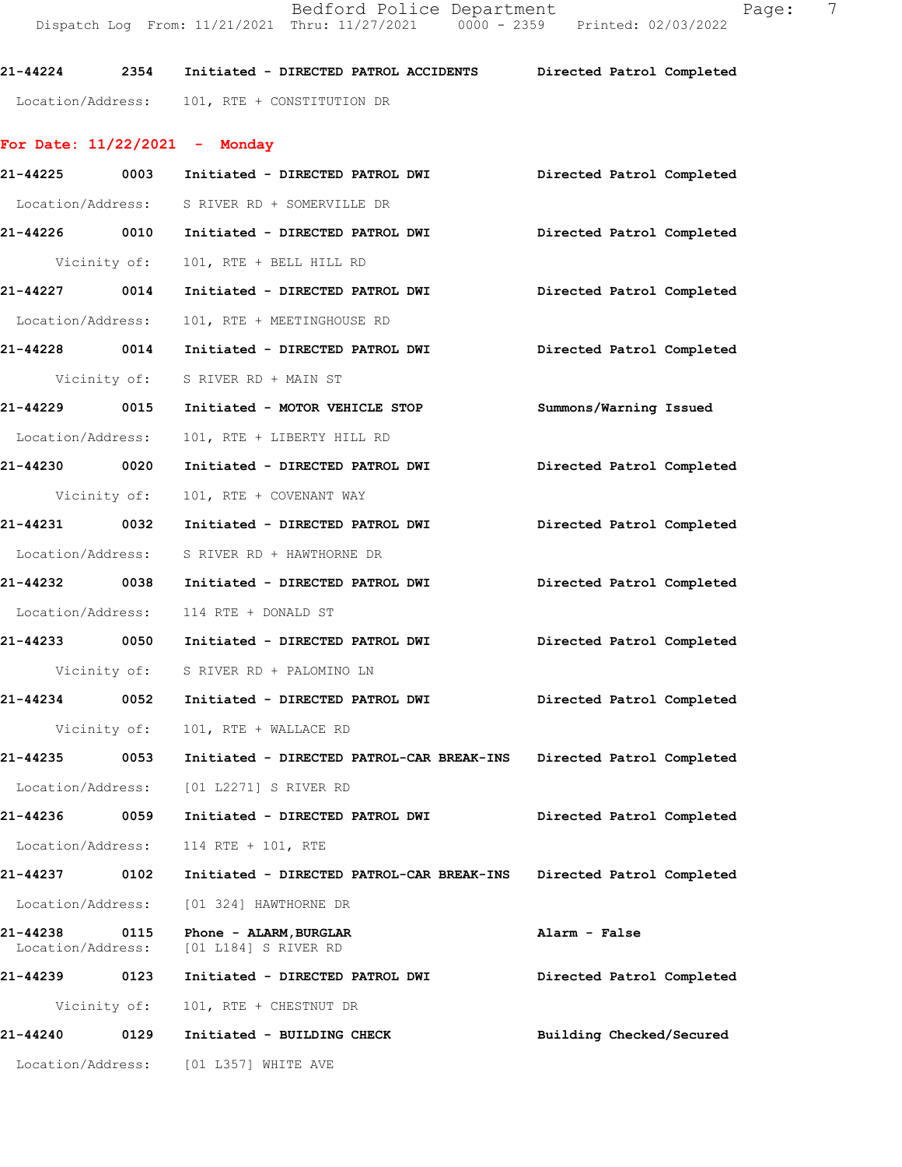Bedford Police Department Fage: 7 Dispatch Log From: 11/21/2021 Thru: 11/27/2021 0000 - 2359 Printed: 02/03/2022

**21-44224 2354 Initiated - DIRECTED PATROL ACCIDENTS Directed Patrol Completed**  Location/Address: 101, RTE + CONSTITUTION DR

## **For Date: 11/22/2021 - Monday**

|                               |              | 21-44225 0003 Initiated - DIRECTED PATROL DWI                                     | Directed Patrol Completed |
|-------------------------------|--------------|-----------------------------------------------------------------------------------|---------------------------|
|                               |              | Location/Address: S RIVER RD + SOMERVILLE DR                                      |                           |
|                               |              | 21-44226 0010 Initiated - DIRECTED PATROL DWI Directed Patrol Completed           |                           |
| Vicinity of:                  |              | 101, RTE + BELL HILL RD                                                           |                           |
| 21-44227 0014                 |              | Initiated - DIRECTED PATROL DWI Directed Patrol Completed                         |                           |
| Location/Address:             |              | 101, RTE + MEETINGHOUSE RD                                                        |                           |
|                               |              | 21-44228 0014 Initiated - DIRECTED PATROL DWI Directed Patrol Completed           |                           |
|                               |              | Vicinity of: S RIVER RD + MAIN ST                                                 |                           |
|                               |              | 21-44229 0015 Initiated - MOTOR VEHICLE STOP                                      | Summons/Warning Issued    |
| Location/Address:             |              | 101, RTE + LIBERTY HILL RD                                                        |                           |
| 21-44230 0020                 |              | Initiated - DIRECTED PATROL DWI Directed Patrol Completed                         |                           |
|                               |              | Vicinity of: 101, RTE + COVENANT WAY                                              |                           |
|                               |              | 21-44231 0032 Initiated - DIRECTED PATROL DWI Directed Patrol Completed           |                           |
|                               |              | Location/Address: S RIVER RD + HAWTHORNE DR                                       |                           |
|                               |              | 21-44232 0038 Initiated - DIRECTED PATROL DWI                                     | Directed Patrol Completed |
|                               |              | Location/Address: 114 RTE + DONALD ST                                             |                           |
|                               |              | 21-44233 0050 Initiated - DIRECTED PATROL DWI Directed Patrol Completed           |                           |
|                               |              | Vicinity of: S RIVER RD + PALOMINO LN                                             |                           |
| 21-44234 0052                 |              | Initiated - DIRECTED PATROL DWI Directed Patrol Completed                         |                           |
| Vicinity of:                  |              | 101, RTE + WALLACE RD                                                             |                           |
|                               |              | 21-44235 0053 Initiated - DIRECTED PATROL-CAR BREAK-INS Directed Patrol Completed |                           |
|                               |              | Location/Address: [01 L2271] S RIVER RD                                           |                           |
| 21-44236 0059                 |              | Initiated - DIRECTED PATROL DWI Directed Patrol Completed                         |                           |
| Location/Address:             |              | 114 RTE + 101, RTE                                                                |                           |
| 21-44237                      | 0102         | Initiated - DIRECTED PATROL-CAR BREAK-INS                                         | Directed Patrol Completed |
| Location/Address:             |              | [01 324] HAWTHORNE DR                                                             |                           |
| 21-44238<br>Location/Address: | 0115         | Phone - ALARM, BURGLAR<br>[01 L184] S RIVER RD                                    | Alarm - False             |
| 21-44239                      | 0123         | Initiated - DIRECTED PATROL DWI                                                   | Directed Patrol Completed |
|                               | Vicinity of: | 101, RTE + CHESTNUT DR                                                            |                           |
| 21-44240                      | 0129         | Initiated - BUILDING CHECK                                                        | Building Checked/Secured  |
| Location/Address:             |              | [01 L357] WHITE AVE                                                               |                           |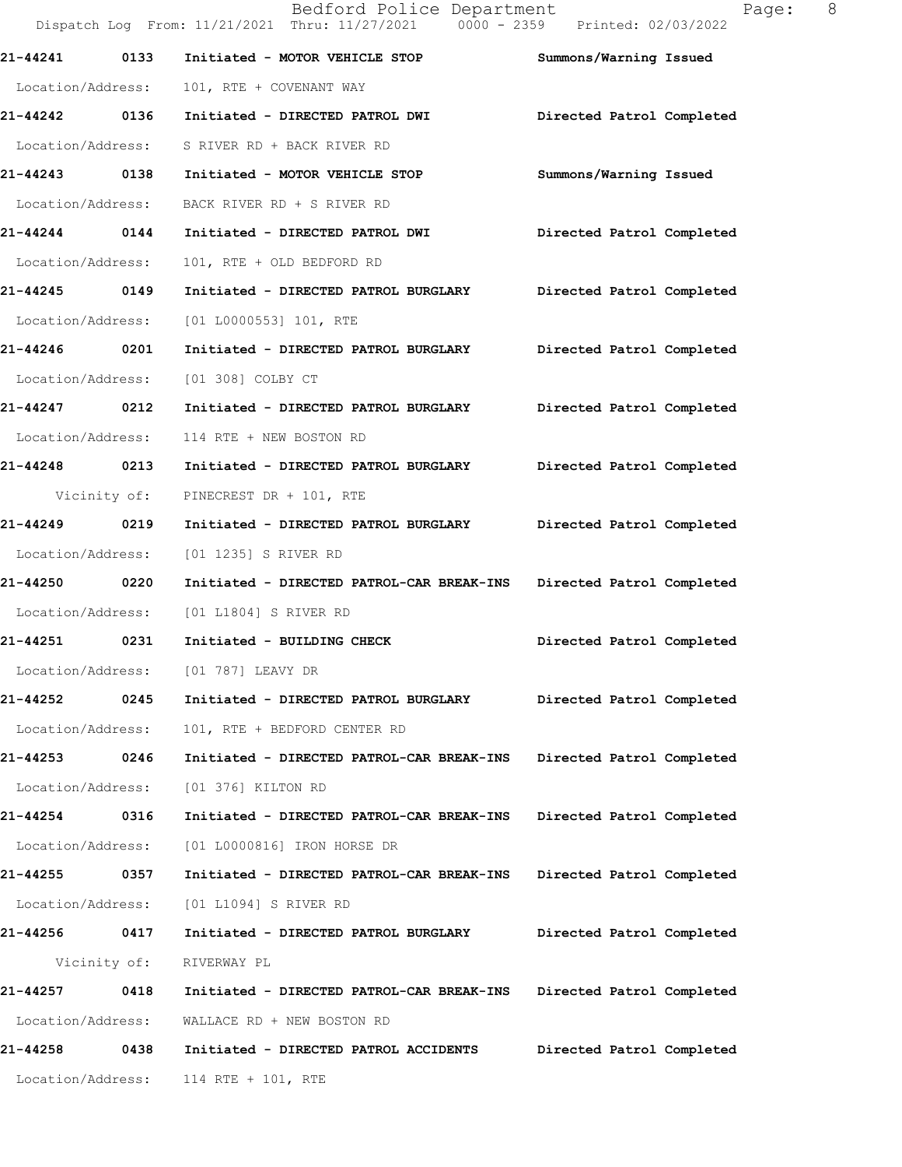|                   |      | Bedford Police Department<br>Dispatch Log From: 11/21/2021 Thru: 11/27/2021 0000 - 2359 Printed: 02/03/2022 |                           | 8 <sup>8</sup><br>Page: |
|-------------------|------|-------------------------------------------------------------------------------------------------------------|---------------------------|-------------------------|
| 21-44241          | 0133 | Initiated - MOTOR VEHICLE STOP                                                                              | Summons/Warning Issued    |                         |
| Location/Address: |      | 101, RTE + COVENANT WAY                                                                                     |                           |                         |
| 21-44242 0136     |      | Initiated - DIRECTED PATROL DWI                                                                             | Directed Patrol Completed |                         |
| Location/Address: |      | S RIVER RD + BACK RIVER RD                                                                                  |                           |                         |
| 21-44243 0138     |      | Initiated - MOTOR VEHICLE STOP                                                                              | Summons/Warning Issued    |                         |
| Location/Address: |      | BACK RIVER RD + S RIVER RD                                                                                  |                           |                         |
| 21-44244 0144     |      | Initiated - DIRECTED PATROL DWI                                                                             | Directed Patrol Completed |                         |
| Location/Address: |      | 101, RTE + OLD BEDFORD RD                                                                                   |                           |                         |
| 21-44245 0149     |      | Initiated - DIRECTED PATROL BURGLARY                                                                        | Directed Patrol Completed |                         |
| Location/Address: |      | $[01 L0000553] 101$ , RTE                                                                                   |                           |                         |
| 21-44246 0201     |      | Initiated - DIRECTED PATROL BURGLARY                                                                        | Directed Patrol Completed |                         |
| Location/Address: |      | [01 308] COLBY CT                                                                                           |                           |                         |
| 21-44247 0212     |      | Initiated - DIRECTED PATROL BURGLARY                                                                        | Directed Patrol Completed |                         |
| Location/Address: |      | 114 RTE + NEW BOSTON RD                                                                                     |                           |                         |
| 21-44248 0213     |      | Initiated - DIRECTED PATROL BURGLARY                                                                        | Directed Patrol Completed |                         |
| Vicinity of:      |      | PINECREST DR + 101, RTE                                                                                     |                           |                         |
| 21-44249 0219     |      | Initiated - DIRECTED PATROL BURGLARY                                                                        | Directed Patrol Completed |                         |
| Location/Address: |      | [01 1235] S RIVER RD                                                                                        |                           |                         |
| 21-44250          | 0220 | Initiated - DIRECTED PATROL-CAR BREAK-INS                                                                   | Directed Patrol Completed |                         |
| Location/Address: |      | [01 L1804] S RIVER RD                                                                                       |                           |                         |
| 21-44251          | 0231 | Initiated - BUILDING CHECK                                                                                  | Directed Patrol Completed |                         |
| Location/Address: |      | [01 787] LEAVY DR                                                                                           |                           |                         |
| 21-44252          | 0245 | Initiated - DIRECTED PATROL BURGLARY                                                                        | Directed Patrol Completed |                         |
| Location/Address: |      | 101, RTE + BEDFORD CENTER RD                                                                                |                           |                         |
| 21-44253          | 0246 | Initiated - DIRECTED PATROL-CAR BREAK-INS                                                                   | Directed Patrol Completed |                         |
| Location/Address: |      | [01 376] KILTON RD                                                                                          |                           |                         |
| 21-44254 0316     |      | Initiated - DIRECTED PATROL-CAR BREAK-INS                                                                   | Directed Patrol Completed |                         |
| Location/Address: |      | [01 L0000816] IRON HORSE DR                                                                                 |                           |                         |
| 21-44255          | 0357 | Initiated - DIRECTED PATROL-CAR BREAK-INS                                                                   | Directed Patrol Completed |                         |
| Location/Address: |      | [01 L1094] S RIVER RD                                                                                       |                           |                         |
| 21-44256          | 0417 | Initiated - DIRECTED PATROL BURGLARY                                                                        | Directed Patrol Completed |                         |
| Vicinity of:      |      | RIVERWAY PL                                                                                                 |                           |                         |
| 21-44257          | 0418 | Initiated - DIRECTED PATROL-CAR BREAK-INS                                                                   | Directed Patrol Completed |                         |
| Location/Address: |      | WALLACE RD + NEW BOSTON RD                                                                                  |                           |                         |
| 21-44258          | 0438 | Initiated - DIRECTED PATROL ACCIDENTS                                                                       | Directed Patrol Completed |                         |
| Location/Address: |      | 114 RTE + 101, RTE                                                                                          |                           |                         |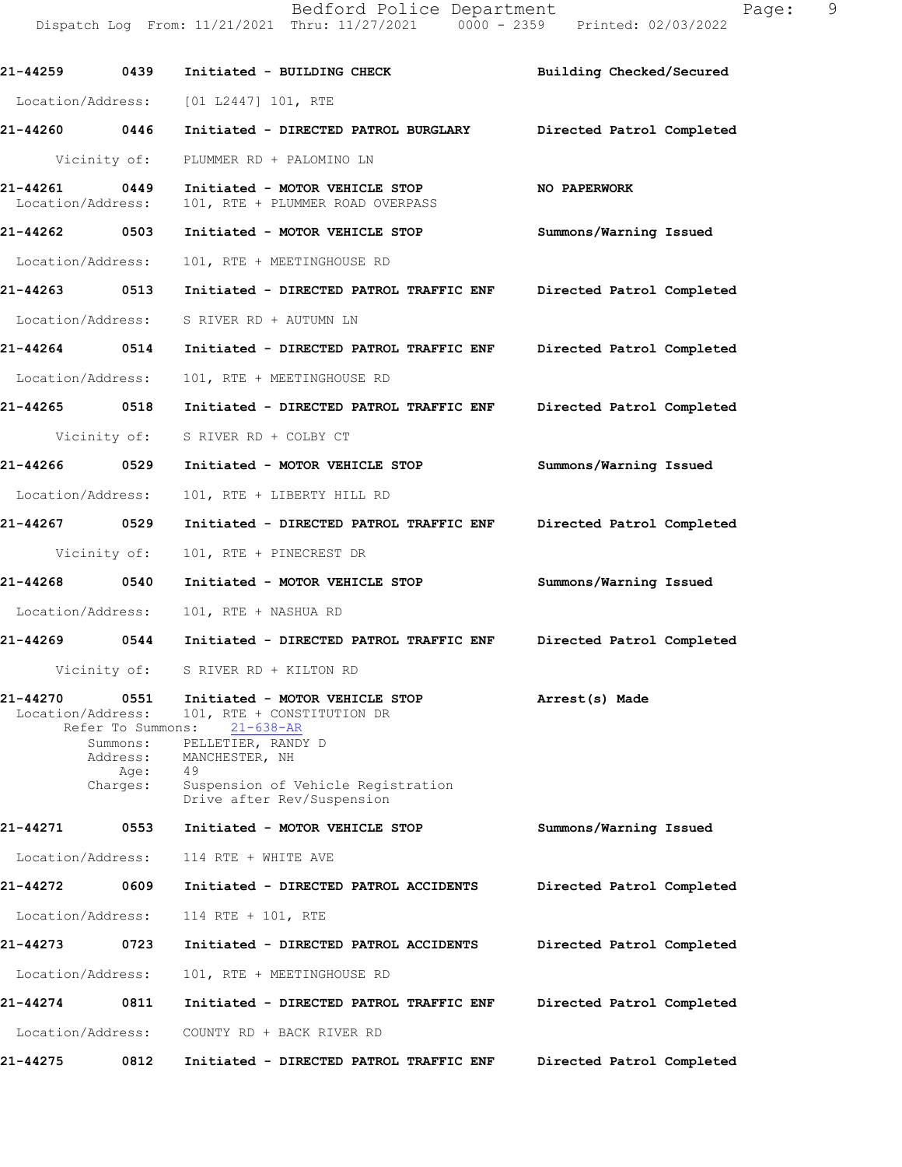|                                    |                                                           |                                                                                                                               | Building Checked/Secured  |
|------------------------------------|-----------------------------------------------------------|-------------------------------------------------------------------------------------------------------------------------------|---------------------------|
|                                    |                                                           | Location/Address: [01 L2447] 101, RTE                                                                                         |                           |
| 21-44260 0446                      |                                                           | Initiated - DIRECTED PATROL BURGLARY Directed Patrol Completed                                                                |                           |
|                                    | Vicinity of:                                              | PLUMMER RD + PALOMINO LN                                                                                                      |                           |
| 21-44261 0449<br>Location/Address: |                                                           | Initiated - MOTOR VEHICLE STOP<br>101, RTE + PLUMMER ROAD OVERPASS                                                            | <b>NO PAPERWORK</b>       |
| 21-44262 0503                      |                                                           | Initiated - MOTOR VEHICLE STOP                                                                                                | Summons/Warning Issued    |
| Location/Address:                  |                                                           | 101, RTE + MEETINGHOUSE RD                                                                                                    |                           |
| 21-44263 0513                      |                                                           | Initiated - DIRECTED PATROL TRAFFIC ENF Directed Patrol Completed                                                             |                           |
| Location/Address:                  |                                                           | S RIVER RD + AUTUMN LN                                                                                                        |                           |
| 21-44264 0514                      |                                                           | Initiated - DIRECTED PATROL TRAFFIC ENF Directed Patrol Completed                                                             |                           |
| Location/Address:                  |                                                           | 101, RTE + MEETINGHOUSE RD                                                                                                    |                           |
| 21-44265 0518                      |                                                           | Initiated - DIRECTED PATROL TRAFFIC ENF Directed Patrol Completed                                                             |                           |
|                                    | Vicinity of:                                              | S RIVER RD + COLBY CT                                                                                                         |                           |
| 21-44266 0529                      |                                                           | Initiated - MOTOR VEHICLE STOP                                                                                                | Summons/Warning Issued    |
| Location/Address:                  |                                                           | 101, RTE + LIBERTY HILL RD                                                                                                    |                           |
| 21-44267 0529                      |                                                           | Initiated - DIRECTED PATROL TRAFFIC ENF Directed Patrol Completed                                                             |                           |
|                                    | Vicinity of:                                              | 101, RTE + PINECREST DR                                                                                                       |                           |
| 21-44268 0540                      |                                                           | Initiated - MOTOR VEHICLE STOP                                                                                                | Summons/Warning Issued    |
| Location/Address:                  |                                                           | 101, RTE + NASHUA RD                                                                                                          |                           |
| 21-44269 0544                      |                                                           | Initiated - DIRECTED PATROL TRAFFIC ENF                                                                                       | Directed Patrol Completed |
|                                    | Vicinity of:                                              | S RIVER RD + KILTON RD                                                                                                        |                           |
| 21-44270<br>Location/Address:      | 0551<br>Refer To Summons:<br>Summons:<br>Address:<br>Age: | Initiated - MOTOR VEHICLE STOP<br>101, RTE + CONSTITUTION DR<br>$21 - 638 - AR$<br>PELLETIER, RANDY D<br>MANCHESTER, NH<br>49 | Arrest(s) Made            |
|                                    | Charges:                                                  | Suspension of Vehicle Registration<br>Drive after Rev/Suspension                                                              |                           |
| 21-44271                           | 0553                                                      | Initiated - MOTOR VEHICLE STOP                                                                                                | Summons/Warning Issued    |
| Location/Address:                  |                                                           | 114 RTE + WHITE AVE                                                                                                           |                           |
| 21-44272                           | 0609                                                      | Initiated - DIRECTED PATROL ACCIDENTS                                                                                         | Directed Patrol Completed |
| Location/Address:                  |                                                           | 114 RTE + 101, RTE                                                                                                            |                           |
| 21-44273                           | 0723                                                      | Initiated - DIRECTED PATROL ACCIDENTS                                                                                         | Directed Patrol Completed |
| Location/Address:                  |                                                           | 101, RTE + MEETINGHOUSE RD                                                                                                    |                           |
| 21-44274                           | 0811                                                      | Initiated - DIRECTED PATROL TRAFFIC ENF                                                                                       | Directed Patrol Completed |
| Location/Address:                  |                                                           | COUNTY RD + BACK RIVER RD                                                                                                     |                           |
| 21-44275                           | 0812                                                      | Initiated - DIRECTED PATROL TRAFFIC ENF                                                                                       | Directed Patrol Completed |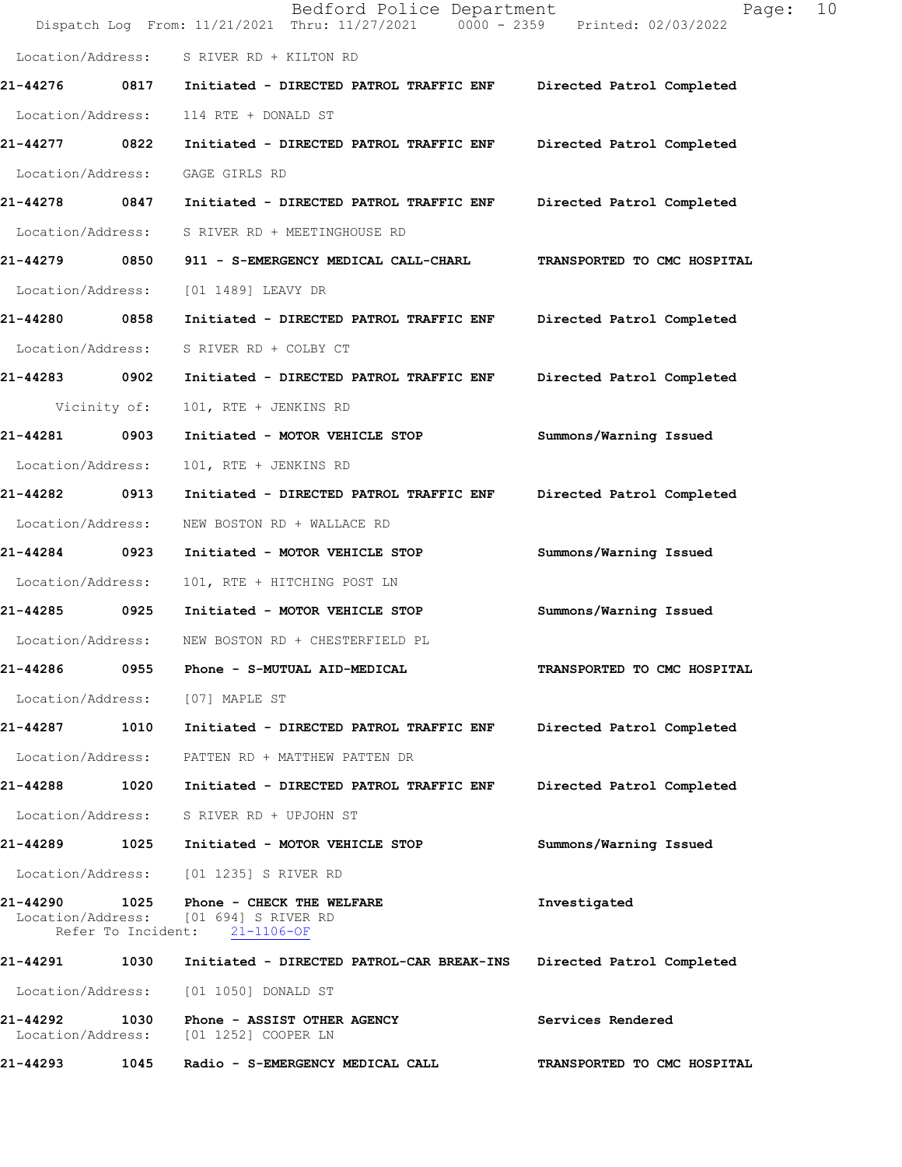|                   |      | Bedford Police Department<br>Dispatch Log From: 11/21/2021 Thru: 11/27/2021 0000 - 2359 Printed: 02/03/2022       | Page:                       | 10 |
|-------------------|------|-------------------------------------------------------------------------------------------------------------------|-----------------------------|----|
|                   |      | Location/Address: S RIVER RD + KILTON RD                                                                          |                             |    |
| 21-44276          |      | 0817 Initiated - DIRECTED PATROL TRAFFIC ENF                                                                      | Directed Patrol Completed   |    |
| Location/Address: |      | 114 RTE + DONALD ST                                                                                               |                             |    |
| 21-44277          | 0822 | Initiated - DIRECTED PATROL TRAFFIC ENF                                                                           | Directed Patrol Completed   |    |
| Location/Address: |      | GAGE GIRLS RD                                                                                                     |                             |    |
| 21-44278 0847     |      | Initiated - DIRECTED PATROL TRAFFIC ENF                                                                           | Directed Patrol Completed   |    |
| Location/Address: |      | S RIVER RD + MEETINGHOUSE RD                                                                                      |                             |    |
| 21-44279 0850     |      | 911 - S-EMERGENCY MEDICAL CALL-CHARL                                                                              | TRANSPORTED TO CMC HOSPITAL |    |
| Location/Address: |      | [01 1489] LEAVY DR                                                                                                |                             |    |
| 21-44280          | 0858 | Initiated - DIRECTED PATROL TRAFFIC ENF                                                                           | Directed Patrol Completed   |    |
| Location/Address: |      | S RIVER RD + COLBY CT                                                                                             |                             |    |
| 21-44283 0902     |      | Initiated - DIRECTED PATROL TRAFFIC ENF                                                                           | Directed Patrol Completed   |    |
| Vicinity of:      |      | 101, RTE + JENKINS RD                                                                                             |                             |    |
| 21-44281 0903     |      | Initiated - MOTOR VEHICLE STOP                                                                                    | Summons/Warning Issued      |    |
| Location/Address: |      | 101, RTE + JENKINS RD                                                                                             |                             |    |
| 21-44282          | 0913 | Initiated - DIRECTED PATROL TRAFFIC ENF                                                                           | Directed Patrol Completed   |    |
| Location/Address: |      | NEW BOSTON RD + WALLACE RD                                                                                        |                             |    |
| 21-44284          | 0923 | Initiated - MOTOR VEHICLE STOP                                                                                    | Summons/Warning Issued      |    |
| Location/Address: |      | 101, RTE + HITCHING POST LN                                                                                       |                             |    |
| 21-44285 0925     |      | Initiated - MOTOR VEHICLE STOP                                                                                    | Summons/Warning Issued      |    |
|                   |      | Location/Address: NEW BOSTON RD + CHESTERFIELD PL                                                                 |                             |    |
| 21-44286          | 0955 | Phone - S-MUTUAL AID-MEDICAL                                                                                      | TRANSPORTED TO CMC HOSPITAL |    |
|                   |      | Location/Address: [07] MAPLE ST                                                                                   |                             |    |
|                   |      | 21-44287 1010 Initiated - DIRECTED PATROL TRAFFIC ENF Directed Patrol Completed                                   |                             |    |
|                   |      | Location/Address: PATTEN RD + MATTHEW PATTEN DR                                                                   |                             |    |
|                   |      | 21-44288  1020    Initiated - DIRECTED PATROL TRAFFIC ENF                                                         | Directed Patrol Completed   |    |
|                   |      | Location/Address: S RIVER RD + UPJOHN ST                                                                          |                             |    |
|                   |      | 21-44289 1025 Initiated - MOTOR VEHICLE STOP                                                                      | Summons/Warning Issued      |    |
|                   |      | Location/Address: [01 1235] S RIVER RD                                                                            |                             |    |
|                   |      | 21-44290 1025 Phone - CHECK THE WELFARE<br>Location/Address: [01 694] S RIVER RD<br>Refer To Incident: 21-1106-OF | Investigated                |    |
|                   |      |                                                                                                                   | Directed Patrol Completed   |    |
|                   |      | Location/Address: [01 1050] DONALD ST                                                                             |                             |    |
|                   |      | 21-44292 1030 Phone - ASSIST OTHER AGENCY<br>Location/Address: [01 1252] COOPER LN                                | Services Rendered           |    |
| 21-44293          | 1045 | Radio - S-EMERGENCY MEDICAL CALL                                                                                  | TRANSPORTED TO CMC HOSPITAL |    |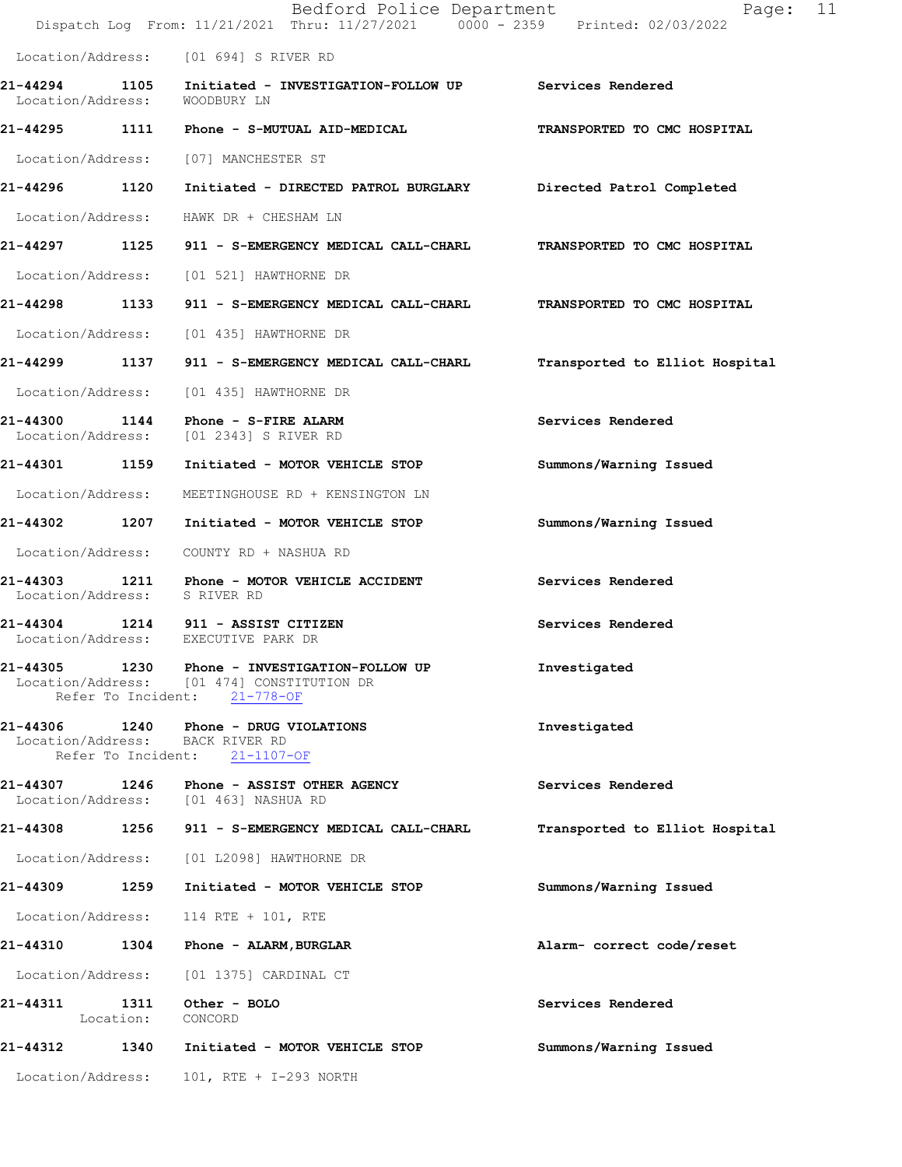|                                          |           | Bedford Police Department<br>Dispatch Log From: 11/21/2021 Thru: 11/27/2021 0000 - 2359 Printed: 02/03/2022        | 11<br>Page:                    |
|------------------------------------------|-----------|--------------------------------------------------------------------------------------------------------------------|--------------------------------|
|                                          |           | Location/Address: [01 694] S RIVER RD                                                                              |                                |
| Location/Address:                        |           | 21-44294 1105 Initiated - INVESTIGATION-FOLLOW UP Services Rendered<br>WOODBURY LN                                 |                                |
|                                          |           | 21-44295   1111   Phone - S-MUTUAL AID-MEDICAL                                                                     | TRANSPORTED TO CMC HOSPITAL    |
|                                          |           | Location/Address: [07] MANCHESTER ST                                                                               |                                |
| 21-44296 1120                            |           | Initiated - DIRECTED PATROL BURGLARY Directed Patrol Completed                                                     |                                |
|                                          |           | Location/Address: HAWK DR + CHESHAM LN                                                                             |                                |
|                                          |           | 21-44297 1125 911 - S-EMERGENCY MEDICAL CALL-CHARL                                                                 | TRANSPORTED TO CMC HOSPITAL    |
|                                          |           | Location/Address: [01 521] HAWTHORNE DR                                                                            |                                |
|                                          |           | 21-44298 1133 911 - S-EMERGENCY MEDICAL CALL-CHARL                                                                 | TRANSPORTED TO CMC HOSPITAL    |
|                                          |           | Location/Address: [01 435] HAWTHORNE DR                                                                            |                                |
|                                          |           | 21-44299 1137 911 - S-EMERGENCY MEDICAL CALL-CHARL                                                                 | Transported to Elliot Hospital |
|                                          |           | Location/Address: [01 435] HAWTHORNE DR                                                                            |                                |
| 21-44300                                 |           | 1144 Phone - S-FIRE ALARM<br>Location/Address: [01 2343] S RIVER RD                                                | Services Rendered              |
| 21-44301 1159                            |           | Initiated - MOTOR VEHICLE STOP                                                                                     | Summons/Warning Issued         |
| Location/Address:                        |           | MEETINGHOUSE RD + KENSINGTON LN                                                                                    |                                |
| 21-44302 1207                            |           | Initiated - MOTOR VEHICLE STOP                                                                                     | Summons/Warning Issued         |
|                                          |           | Location/Address: COUNTY RD + NASHUA RD                                                                            |                                |
| 21-44303<br>Location/Address: S RIVER RD |           | 1211 Phone - MOTOR VEHICLE ACCIDENT                                                                                | Services Rendered              |
|                                          |           | 21-44304 1214 911 - ASSIST CITIZEN<br>Location/Address: EXECUTIVE PARK DR                                          | Services Rendered              |
| 21-44305                                 |           | 1230 Phone - INVESTIGATION-FOLLOW UP<br>Location/Address: [01 474] CONSTITUTION DR<br>Refer To Incident: 21-778-OF | Investigated                   |
|                                          |           | Location/Address: BACK RIVER RD<br>Refer To Incident: 21-1107-OF                                                   | Investigated                   |
|                                          |           | 21-44307 1246 Phone - ASSIST OTHER AGENCY<br>Location/Address: [01 463] NASHUA RD                                  | Services Rendered              |
|                                          |           | 21-44308 1256 911 - S-EMERGENCY MEDICAL CALL-CHARL                                                                 | Transported to Elliot Hospital |
| Location/Address:                        |           | [01 L2098] HAWTHORNE DR                                                                                            |                                |
| 21-44309 1259                            |           | Initiated - MOTOR VEHICLE STOP                                                                                     | Summons/Warning Issued         |
| Location/Address:                        |           | 114 RTE + 101, RTE                                                                                                 |                                |
| 21-44310                                 |           | 1304 Phone - ALARM, BURGLAR                                                                                        | Alarm- correct code/reset      |
| Location/Address:                        |           | [01 1375] CARDINAL CT                                                                                              |                                |
|                                          | Location: | 21-44311 1311 Other - BOLO<br>CONCORD                                                                              | Services Rendered              |
| 21-44312 1340                            |           | Initiated - MOTOR VEHICLE STOP                                                                                     | Summons/Warning Issued         |
| Location/Address:                        |           | 101, RTE + I-293 NORTH                                                                                             |                                |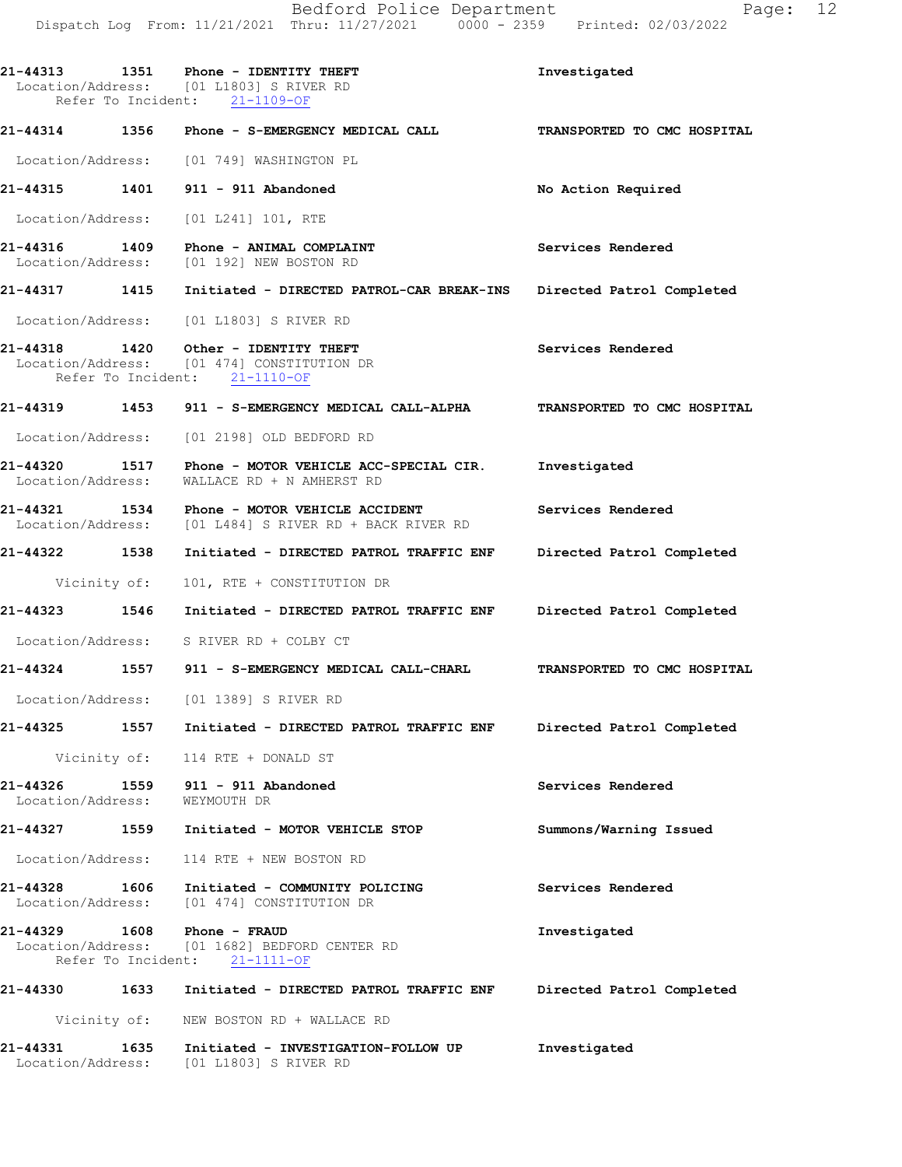**21-44313 1351 Phone - IDENTITY THEFT Investigated** 

Location/Address: [01 L1803] S RIVER RD

Location/Address: [01 L1803] S RIVER RD

Refer To Incident: 21-1109-OF **21-44314 1356 Phone - S-EMERGENCY MEDICAL CALL TRANSPORTED TO CMC HOSPITAL**  Location/Address: [01 749] WASHINGTON PL **21-44315 1401 911 - 911 Abandoned No Action Required**  Location/Address: [01 L241] 101, RTE **21-44316 1409 Phone - ANIMAL COMPLAINT Services Rendered**  Location/Address: **21-44317 1415 Initiated - DIRECTED PATROL-CAR BREAK-INS Directed Patrol Completed**  Location/Address: [01 L1803] S RIVER RD 21-44318 1420 Other - IDENTITY THEFT **Services Rendered**  Location/Address: [01 474] CONSTITUTION DR Refer To Incident: 21-1110-OF **21-44319 1453 911 - S-EMERGENCY MEDICAL CALL-ALPHA TRANSPORTED TO CMC HOSPITAL**  Location/Address: [01 2198] OLD BEDFORD RD **21-44320 1517 Phone - MOTOR VEHICLE ACC-SPECIAL CIR. Investigated**  Location/Address: WALLACE RD + N AMHERST RD **21-44321 1534 Phone - MOTOR VEHICLE ACCIDENT Services Rendered**  Location/Address: [01 L484] S RIVER RD + BACK RIVER RD **21-44322 1538 Initiated - DIRECTED PATROL TRAFFIC ENF Directed Patrol Completed**  Vicinity of: 101, RTE + CONSTITUTION DR **21-44323 1546 Initiated - DIRECTED PATROL TRAFFIC ENF Directed Patrol Completed**  Location/Address: S RIVER RD + COLBY CT **21-44324 1557 911 - S-EMERGENCY MEDICAL CALL-CHARL TRANSPORTED TO CMC HOSPITAL**  Location/Address: [01 1389] S RIVER RD **21-44325 1557 Initiated - DIRECTED PATROL TRAFFIC ENF Directed Patrol Completed**  Vicinity of: 114 RTE + DONALD ST **21-44326 1559 911 - 911 Abandoned Services Rendered**  Location/Address: WEYMOUTH DR **21-44327 1559 Initiated - MOTOR VEHICLE STOP Summons/Warning Issued**  Location/Address: 114 RTE + NEW BOSTON RD **21-44328 1606 Initiated - COMMUNITY POLICING Services Rendered**  Location/Address: [01 474] CONSTITUTION DR **21-44329 1608 Phone - FRAUD 1608 Phone - FRAUD** Investigated **Investigated Investigated**  Location/Address: [01 1682] BEDFORD CENTER RD Refer To Incident: 21-1111-OF **21-44330 1633 Initiated - DIRECTED PATROL TRAFFIC ENF Directed Patrol Completed**  Vicinity of: NEW BOSTON RD + WALLACE RD **21-44331 1635 Initiated - INVESTIGATION-FOLLOW UP Investigated**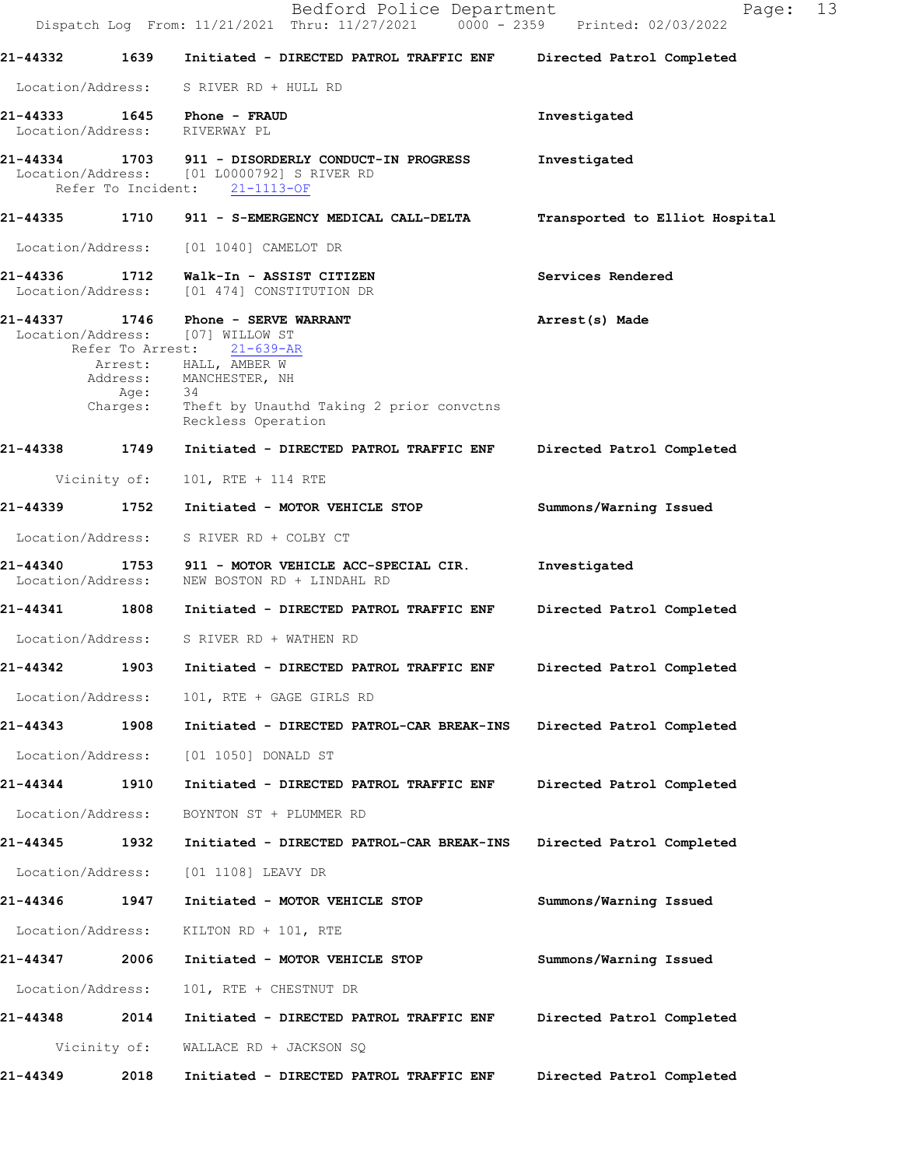|                               |                                      | Bedford Police Department<br>Dispatch Log From: 11/21/2021 Thru: 11/27/2021 0000 - 2359 Printed: 02/03/2022                                                                                                     | 13<br>Page:                    |  |
|-------------------------------|--------------------------------------|-----------------------------------------------------------------------------------------------------------------------------------------------------------------------------------------------------------------|--------------------------------|--|
| 21-44332                      | 1639                                 | Initiated - DIRECTED PATROL TRAFFIC ENF                                                                                                                                                                         | Directed Patrol Completed      |  |
|                               |                                      | Location/Address: S RIVER RD + HULL RD                                                                                                                                                                          |                                |  |
| Location/Address:             |                                      | RIVERWAY PL                                                                                                                                                                                                     | Investigated                   |  |
|                               |                                      | 21-44334 1703 911 - DISORDERLY CONDUCT-IN PROGRESS<br>Location/Address: [01 L0000792] S RIVER RD<br>Refer To Incident: 21-1113-OF                                                                               | Investigated                   |  |
| 21-44335                      |                                      | 1710 911 - S-EMERGENCY MEDICAL CALL-DELTA                                                                                                                                                                       | Transported to Elliot Hospital |  |
| Location/Address:             |                                      | [01 1040] CAMELOT DR                                                                                                                                                                                            |                                |  |
| 21-44336 1712                 |                                      | Walk-In - ASSIST CITIZEN<br>Location/Address: [01 474] CONSTITUTION DR                                                                                                                                          | Services Rendered              |  |
| 21-44337                      | Refer To Arrest:<br>Age:<br>Charges: | 1746 Phone - SERVE WARRANT<br>Location/Address: [07] WILLOW ST<br>$21 - 639 - AR$<br>Arrest: HALL, AMBER W<br>Address: MANCHESTER, NH<br>- 34<br>Theft by Unauthd Taking 2 prior convctns<br>Reckless Operation | Arrest(s) Made                 |  |
| 21-44338                      | 1749                                 | Initiated - DIRECTED PATROL TRAFFIC ENF                                                                                                                                                                         | Directed Patrol Completed      |  |
|                               | Vicinity of:                         | 101, RTE + 114 RTE                                                                                                                                                                                              |                                |  |
| 21-44339                      | 1752                                 | Initiated - MOTOR VEHICLE STOP                                                                                                                                                                                  | Summons/Warning Issued         |  |
| Location/Address:             |                                      | S RIVER RD + COLBY CT                                                                                                                                                                                           |                                |  |
| 21-44340<br>Location/Address: |                                      | 1753 911 - MOTOR VEHICLE ACC-SPECIAL CIR.<br>NEW BOSTON RD + LINDAHL RD                                                                                                                                         | Investigated                   |  |
| 21-44341                      | 1808                                 | Initiated - DIRECTED PATROL TRAFFIC ENF                                                                                                                                                                         | Directed Patrol Completed      |  |
|                               |                                      | Location/Address: S RIVER RD + WATHEN RD                                                                                                                                                                        |                                |  |
| 21-44342                      | 1903                                 | Initiated - DIRECTED PATROL TRAFFIC ENF                                                                                                                                                                         | Directed Patrol Completed      |  |
| Location/Address:             |                                      | 101, RTE + GAGE GIRLS RD                                                                                                                                                                                        |                                |  |
| 21-44343                      | 1908                                 | Initiated - DIRECTED PATROL-CAR BREAK-INS                                                                                                                                                                       | Directed Patrol Completed      |  |
| Location/Address:             |                                      | [01 1050] DONALD ST                                                                                                                                                                                             |                                |  |
| 21-44344                      | 1910                                 | Initiated - DIRECTED PATROL TRAFFIC ENF                                                                                                                                                                         | Directed Patrol Completed      |  |
| Location/Address:             |                                      | BOYNTON ST + PLUMMER RD                                                                                                                                                                                         |                                |  |
| 21-44345                      | 1932                                 | Initiated - DIRECTED PATROL-CAR BREAK-INS                                                                                                                                                                       | Directed Patrol Completed      |  |
| Location/Address:             |                                      | [01 1108] LEAVY DR                                                                                                                                                                                              |                                |  |
| 21-44346                      | 1947                                 | Initiated - MOTOR VEHICLE STOP                                                                                                                                                                                  | Summons/Warning Issued         |  |
| Location/Address:             |                                      | KILTON RD + 101, RTE                                                                                                                                                                                            |                                |  |
| 21-44347                      | 2006                                 | Initiated - MOTOR VEHICLE STOP                                                                                                                                                                                  | Summons/Warning Issued         |  |
| Location/Address:             |                                      | 101, RTE + CHESTNUT DR                                                                                                                                                                                          |                                |  |
| 21-44348                      | 2014                                 | Initiated - DIRECTED PATROL TRAFFIC ENF                                                                                                                                                                         | Directed Patrol Completed      |  |
|                               | Vicinity of:                         | WALLACE RD + JACKSON SQ                                                                                                                                                                                         |                                |  |
| 21-44349                      | 2018                                 | Initiated - DIRECTED PATROL TRAFFIC ENF                                                                                                                                                                         | Directed Patrol Completed      |  |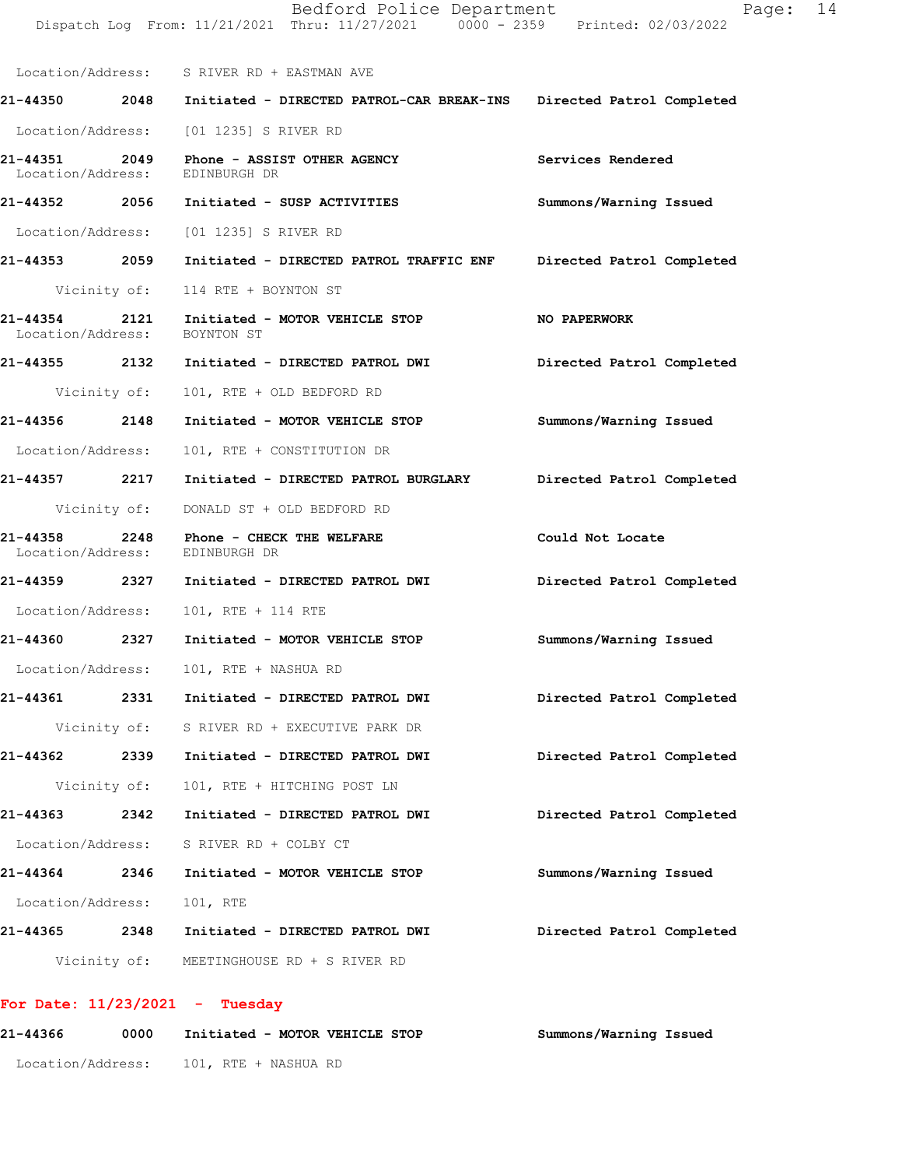|                               |              | Bedford Police Department<br>Dispatch Log From: 11/21/2021 Thru: 11/27/2021 0000 - 2359 Printed: 02/03/2022 | Page:                     | 14 |
|-------------------------------|--------------|-------------------------------------------------------------------------------------------------------------|---------------------------|----|
|                               |              | Location/Address: S RIVER RD + EASTMAN AVE                                                                  |                           |    |
|                               |              | 21-44350  2048  Initiated - DIRECTED PATROL-CAR BREAK-INS                                                   | Directed Patrol Completed |    |
|                               |              | Location/Address: [01 1235] S RIVER RD                                                                      |                           |    |
| 21-44351<br>Location/Address: |              | 2049 Phone - ASSIST OTHER AGENCY<br>EDINBURGH DR                                                            | Services Rendered         |    |
|                               |              | 21-44352 2056 Initiated - SUSP ACTIVITIES                                                                   | Summons/Warning Issued    |    |
|                               |              | Location/Address: [01 1235] S RIVER RD                                                                      |                           |    |
|                               |              | 21-44353  2059    Initiated - DIRECTED PATROL TRAFFIC ENF                                                   | Directed Patrol Completed |    |
|                               |              | Vicinity of: 114 RTE + BOYNTON ST                                                                           |                           |    |
| 21-44354<br>Location/Address: |              | 2121 Initiated - MOTOR VEHICLE STOP<br>BOYNTON ST                                                           | NO PAPERWORK              |    |
|                               |              | 21-44355 2132 Initiated - DIRECTED PATROL DWI                                                               | Directed Patrol Completed |    |
|                               | Vicinity of: | 101, RTE + OLD BEDFORD RD                                                                                   |                           |    |
| 21-44356 2148                 |              | Initiated - MOTOR VEHICLE STOP                                                                              | Summons/Warning Issued    |    |
| Location/Address:             |              | 101, RTE + CONSTITUTION DR                                                                                  |                           |    |
| 21-44357 2217                 |              | Initiated - DIRECTED PATROL BURGLARY                                                                        | Directed Patrol Completed |    |
|                               | Vicinity of: | DONALD ST + OLD BEDFORD RD                                                                                  |                           |    |
| 21-44358<br>Location/Address: | 2248         | Phone - CHECK THE WELFARE<br>EDINBURGH DR                                                                   | Could Not Locate          |    |
|                               |              | 21-44359 2327 Initiated - DIRECTED PATROL DWI                                                               | Directed Patrol Completed |    |
| Location/Address:             |              | 101, RTE + 114 RTE                                                                                          |                           |    |
| 21-44360                      |              | 2327 Initiated - MOTOR VEHICLE STOP                                                                         | Summons/Warning Issued    |    |
| Location/Address:             |              | 101, RTE + NASHUA RD                                                                                        |                           |    |
| 21-44361                      | 2331         | Initiated - DIRECTED PATROL DWI                                                                             | Directed Patrol Completed |    |
|                               |              | Vicinity of: S RIVER RD + EXECUTIVE PARK DR                                                                 |                           |    |
| 21-44362                      | 2339         | Initiated - DIRECTED PATROL DWI                                                                             | Directed Patrol Completed |    |
|                               | Vicinity of: | 101, RTE + HITCHING POST LN                                                                                 |                           |    |
| 21-44363 2342                 |              | Initiated - DIRECTED PATROL DWI                                                                             | Directed Patrol Completed |    |
| Location/Address:             |              | S RIVER RD + COLBY CT                                                                                       |                           |    |
| 21-44364                      | 2346         | Initiated - MOTOR VEHICLE STOP                                                                              | Summons/Warning Issued    |    |
| Location/Address:             |              | 101, RTE                                                                                                    |                           |    |
| 21-44365 2348                 |              | Initiated - DIRECTED PATROL DWI                                                                             | Directed Patrol Completed |    |
|                               |              | Vicinity of: MEETINGHOUSE RD + S RIVER RD                                                                   |                           |    |

## **For Date: 11/23/2021 - Tuesday**

| 21-44366          | 0000 | Initiated - MOTOR VEHICLE STOP | Summons/Warning Issued |
|-------------------|------|--------------------------------|------------------------|
| Location/Address: |      | 101, RTE + NASHUA RD           |                        |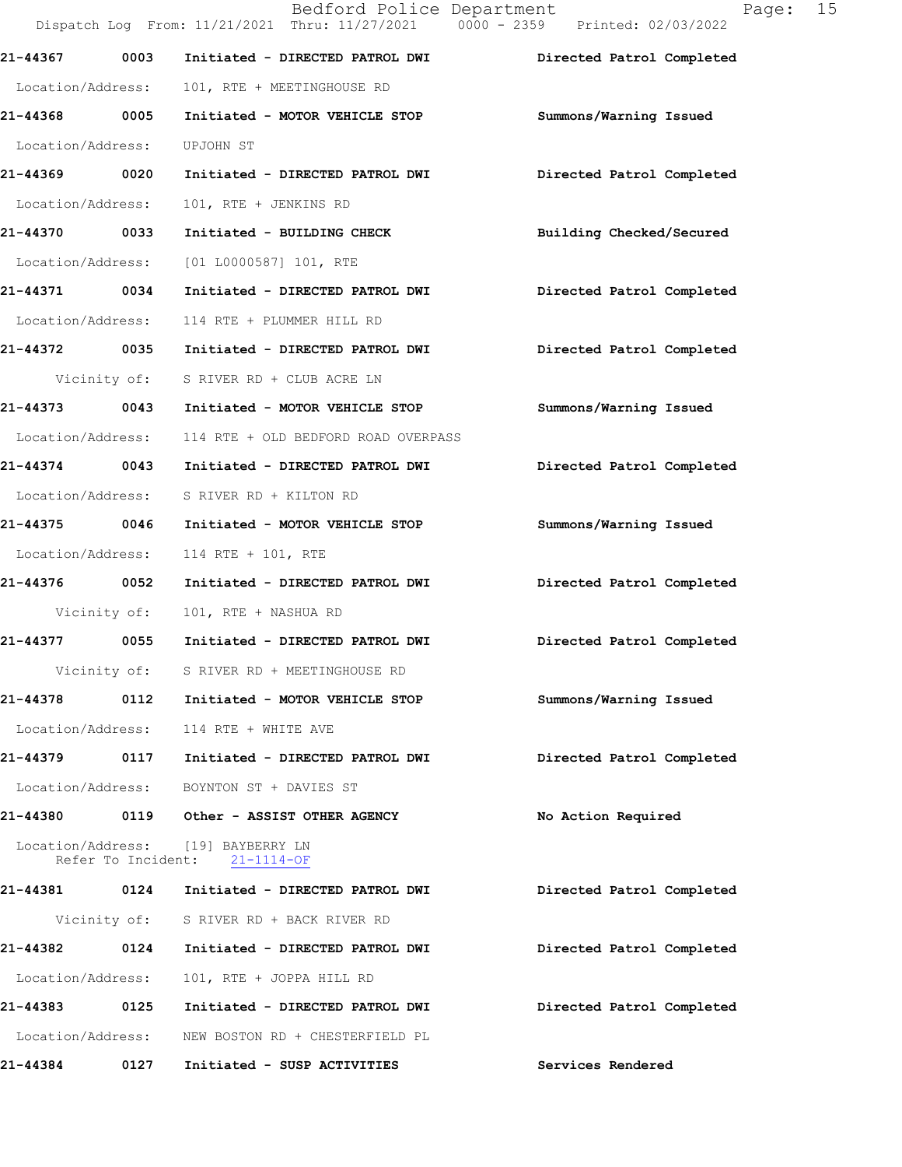|                    |      | Bedford Police Department<br>Dispatch Log From: 11/21/2021 Thru: 11/27/2021 0000 - 2359 Printed: 02/03/2022 | 15<br>Page:               |  |
|--------------------|------|-------------------------------------------------------------------------------------------------------------|---------------------------|--|
| 21-44367           | 0003 | Initiated - DIRECTED PATROL DWI                                                                             | Directed Patrol Completed |  |
| Location/Address:  |      | 101, RTE + MEETINGHOUSE RD                                                                                  |                           |  |
| 21-44368 0005      |      | Initiated - MOTOR VEHICLE STOP                                                                              | Summons/Warning Issued    |  |
| Location/Address:  |      | UPJOHN ST                                                                                                   |                           |  |
| 21-44369 0020      |      | Initiated - DIRECTED PATROL DWI                                                                             | Directed Patrol Completed |  |
| Location/Address:  |      | 101, RTE + JENKINS RD                                                                                       |                           |  |
| 21-44370 0033      |      | Initiated - BUILDING CHECK                                                                                  | Building Checked/Secured  |  |
| Location/Address:  |      | [01 L0000587] 101, RTE                                                                                      |                           |  |
| 21-44371 0034      |      | Initiated - DIRECTED PATROL DWI                                                                             | Directed Patrol Completed |  |
| Location/Address:  |      | 114 RTE + PLUMMER HILL RD                                                                                   |                           |  |
|                    |      | 21-44372 0035 Initiated - DIRECTED PATROL DWI                                                               | Directed Patrol Completed |  |
|                    |      | Vicinity of: S RIVER RD + CLUB ACRE LN                                                                      |                           |  |
| 21-44373 0043      |      | Initiated - MOTOR VEHICLE STOP                                                                              | Summons/Warning Issued    |  |
| Location/Address:  |      | 114 RTE + OLD BEDFORD ROAD OVERPASS                                                                         |                           |  |
| 21-44374 0043      |      | Initiated - DIRECTED PATROL DWI                                                                             | Directed Patrol Completed |  |
| Location/Address:  |      | S RIVER RD + KILTON RD                                                                                      |                           |  |
| 21-44375 0046      |      | Initiated - MOTOR VEHICLE STOP                                                                              | Summons/Warning Issued    |  |
| Location/Address:  |      | 114 RTE + 101, RTE                                                                                          |                           |  |
| 21-44376 0052      |      | Initiated - DIRECTED PATROL DWI                                                                             | Directed Patrol Completed |  |
| Vicinity of:       |      | 101, RTE + NASHUA RD                                                                                        |                           |  |
|                    |      | 21-44377 0055 Initiated - DIRECTED PATROL DWI                                                               | Directed Patrol Completed |  |
|                    |      | Vicinity of: S RIVER RD + MEETINGHOUSE RD                                                                   |                           |  |
| 21-44378           |      | 0112 Initiated - MOTOR VEHICLE STOP                                                                         | Summons/Warning Issued    |  |
|                    |      | Location/Address: 114 RTE + WHITE AVE                                                                       |                           |  |
|                    |      | 21-44379 0117 Initiated - DIRECTED PATROL DWI                                                               | Directed Patrol Completed |  |
|                    |      | Location/Address: BOYNTON ST + DAVIES ST                                                                    |                           |  |
|                    |      |                                                                                                             | No Action Required        |  |
| Refer To Incident: |      | Location/Address: [19] BAYBERRY LN<br>$21 - 1114 - OF$                                                      |                           |  |
|                    |      | 21-44381 0124 Initiated - DIRECTED PATROL DWI                                                               | Directed Patrol Completed |  |
|                    |      | Vicinity of: S RIVER RD + BACK RIVER RD                                                                     |                           |  |
| 21-44382           | 0124 | Initiated - DIRECTED PATROL DWI                                                                             | Directed Patrol Completed |  |
| Location/Address:  |      | 101, RTE + JOPPA HILL RD                                                                                    |                           |  |
|                    |      |                                                                                                             | Directed Patrol Completed |  |
| Location/Address:  |      | NEW BOSTON RD + CHESTERFIELD PL                                                                             |                           |  |
| 21-44384           | 0127 | Initiated - SUSP ACTIVITIES                                                                                 | Services Rendered         |  |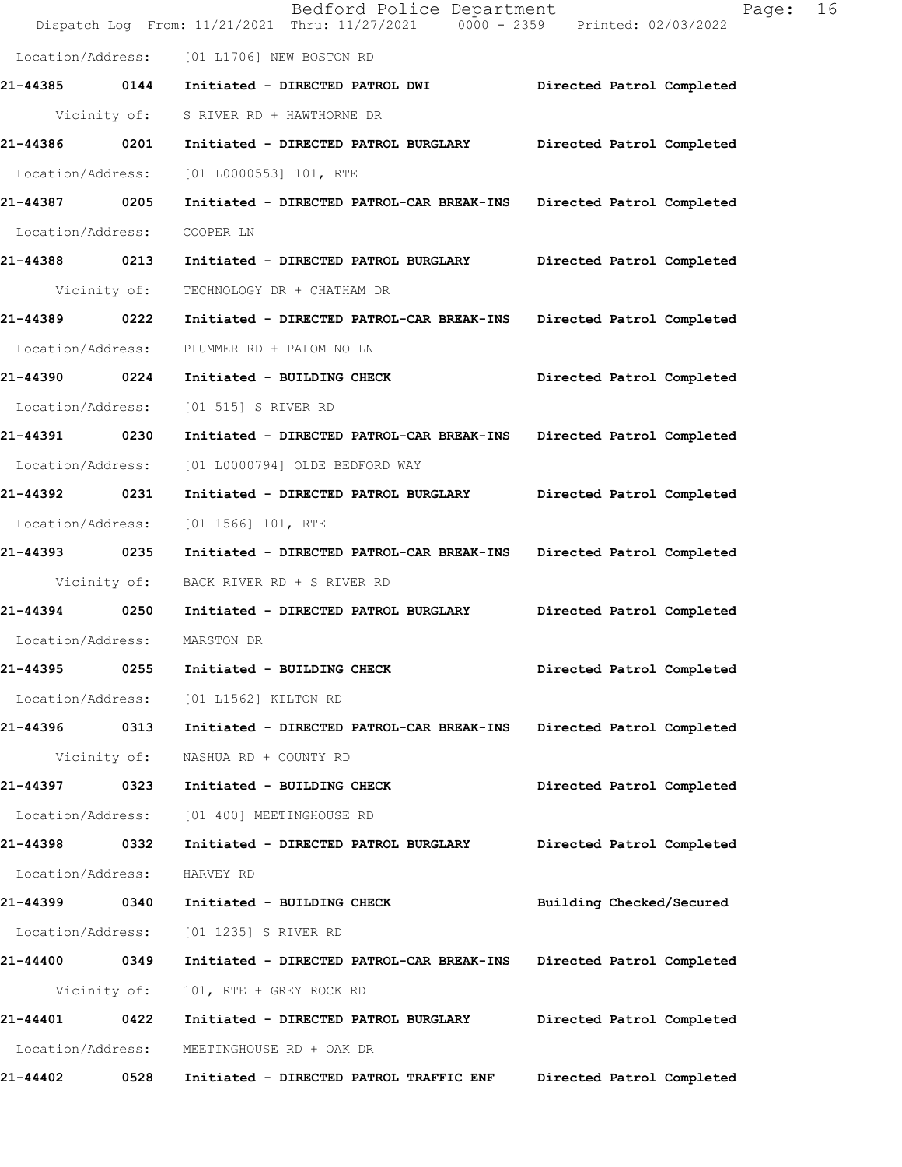|                   |              | Bedford Police Department<br>Dispatch Log From: 11/21/2021 Thru: 11/27/2021 0000 - 2359 Printed: 02/03/2022 | 16<br>Page:               |
|-------------------|--------------|-------------------------------------------------------------------------------------------------------------|---------------------------|
| Location/Address: |              | [01 L1706] NEW BOSTON RD                                                                                    |                           |
| 21-44385 0144     |              | Initiated - DIRECTED PATROL DWI                                                                             | Directed Patrol Completed |
|                   | Vicinity of: | S RIVER RD + HAWTHORNE DR                                                                                   |                           |
| 21-44386          | 0201         | Initiated - DIRECTED PATROL BURGLARY                                                                        | Directed Patrol Completed |
| Location/Address: |              | [01 L0000553] 101, RTE                                                                                      |                           |
| 21-44387 0205     |              | Initiated - DIRECTED PATROL-CAR BREAK-INS                                                                   | Directed Patrol Completed |
| Location/Address: |              | COOPER LN                                                                                                   |                           |
| 21-44388 0213     |              | Initiated - DIRECTED PATROL BURGLARY                                                                        | Directed Patrol Completed |
|                   | Vicinity of: | TECHNOLOGY DR + CHATHAM DR                                                                                  |                           |
| 21-44389          | 0222         | Initiated - DIRECTED PATROL-CAR BREAK-INS                                                                   | Directed Patrol Completed |
| Location/Address: |              | PLUMMER RD + PALOMINO LN                                                                                    |                           |
| 21-44390 0224     |              | Initiated - BUILDING CHECK                                                                                  | Directed Patrol Completed |
| Location/Address: |              | [01 515] S RIVER RD                                                                                         |                           |
| 21-44391 0230     |              | Initiated - DIRECTED PATROL-CAR BREAK-INS                                                                   | Directed Patrol Completed |
| Location/Address: |              | [01 L0000794] OLDE BEDFORD WAY                                                                              |                           |
| 21-44392          | 0231         | Initiated - DIRECTED PATROL BURGLARY                                                                        | Directed Patrol Completed |
| Location/Address: |              | $[01 1566] 101$ , RTE                                                                                       |                           |
| 21-44393 0235     |              | Initiated - DIRECTED PATROL-CAR BREAK-INS                                                                   | Directed Patrol Completed |
|                   | Vicinity of: | BACK RIVER RD + S RIVER RD                                                                                  |                           |
| 21-44394 0250     |              | Initiated - DIRECTED PATROL BURGLARY                                                                        | Directed Patrol Completed |
| Location/Address: |              | MARSTON DR                                                                                                  |                           |
| 21-44395          | 0255         | Initiated - BUILDING CHECK                                                                                  | Directed Patrol Completed |
| Location/Address: |              | [01 L1562] KILTON RD                                                                                        |                           |
| 21-44396 0313     |              | Initiated - DIRECTED PATROL-CAR BREAK-INS                                                                   | Directed Patrol Completed |
|                   | Vicinity of: | NASHUA RD + COUNTY RD                                                                                       |                           |
| 21-44397          | 0323         | Initiated - BUILDING CHECK                                                                                  | Directed Patrol Completed |
| Location/Address: |              | [01 400] MEETINGHOUSE RD                                                                                    |                           |
| 21-44398          | 0332         | Initiated - DIRECTED PATROL BURGLARY                                                                        | Directed Patrol Completed |
| Location/Address: |              | HARVEY RD                                                                                                   |                           |
| 21-44399 0340     |              | Initiated - BUILDING CHECK                                                                                  | Building Checked/Secured  |
| Location/Address: |              | [01 1235] S RIVER RD                                                                                        |                           |
| 21-44400 0349     |              | Initiated - DIRECTED PATROL-CAR BREAK-INS                                                                   | Directed Patrol Completed |
|                   | Vicinity of: | 101, RTE + GREY ROCK RD                                                                                     |                           |
| 21-44401          | 0422         | Initiated - DIRECTED PATROL BURGLARY                                                                        | Directed Patrol Completed |
| Location/Address: |              | MEETINGHOUSE RD + OAK DR                                                                                    |                           |
| 21-44402          | 0528         | Initiated - DIRECTED PATROL TRAFFIC ENF                                                                     | Directed Patrol Completed |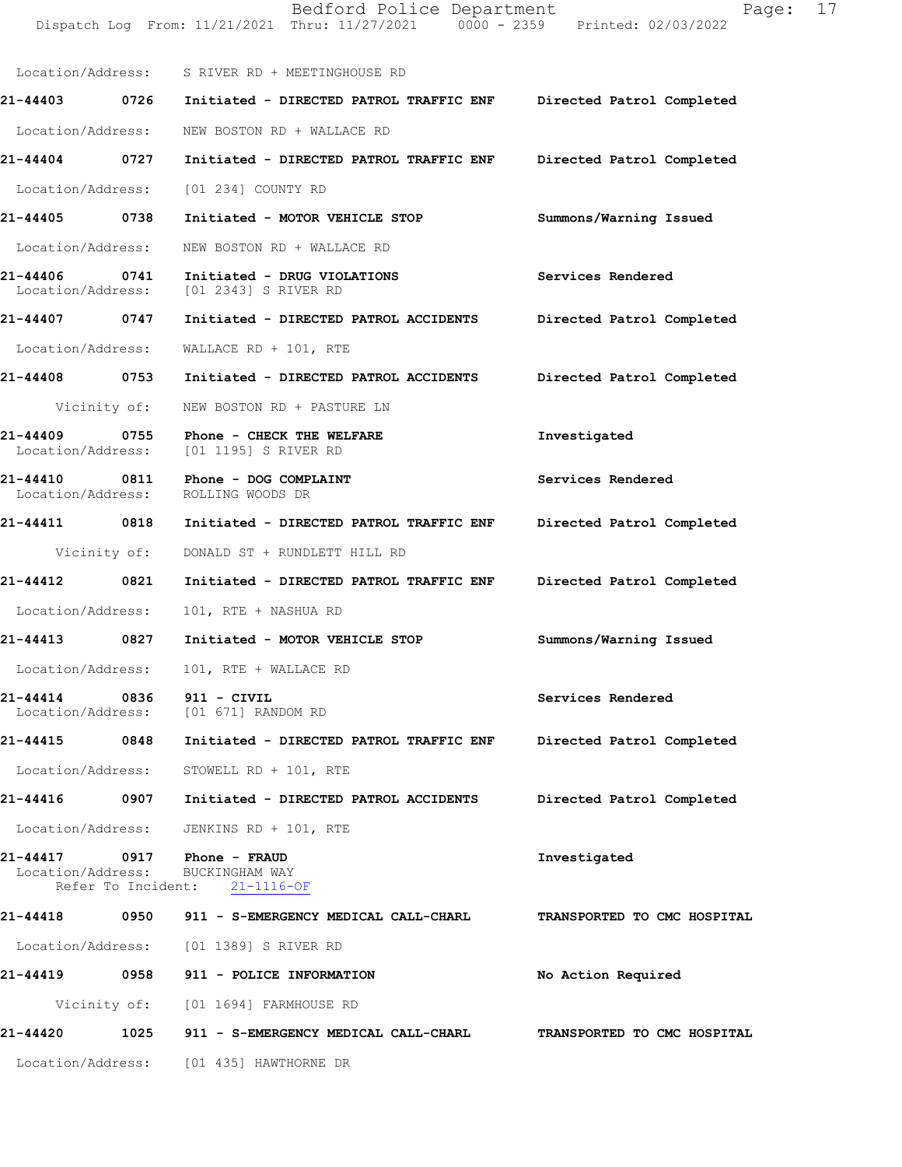Dispatch Log From: 11/21/2021 Thru: 11/27/2021 0000 - 2359 Printed: 02/03/2022 Location/Address: S RIVER RD + MEETINGHOUSE RD **21-44403 0726 Initiated - DIRECTED PATROL TRAFFIC ENF Directed Patrol Completed**  Location/Address: NEW BOSTON RD + WALLACE RD **21-44404 0727 Initiated - DIRECTED PATROL TRAFFIC ENF Directed Patrol Completed**  Location/Address: [01 234] COUNTY RD **21-44405 0738 Initiated - MOTOR VEHICLE STOP Summons/Warning Issued**  Location/Address: NEW BOSTON RD + WALLACE RD **21-44406 0741 Initiated - DRUG VIOLATIONS Services Rendered**  Location/Address: [01 2343] S RIVER RD **21-44407 0747 Initiated - DIRECTED PATROL ACCIDENTS Directed Patrol Completed**  Location/Address: WALLACE RD + 101, RTE **21-44408 0753 Initiated - DIRECTED PATROL ACCIDENTS Directed Patrol Completed**  Vicinity of: NEW BOSTON RD + PASTURE LN **21-44409 0755 Phone - CHECK THE WELFARE Investigated**  Location/Address: [01 1195] S RIVER RD **21-44410 0811 Phone - DOG COMPLAINT Services Rendered**  Location/Address: ROLLING WOODS DR **21-44411 0818 Initiated - DIRECTED PATROL TRAFFIC ENF Directed Patrol Completed**  Vicinity of: DONALD ST + RUNDLETT HILL RD **21-44412 0821 Initiated - DIRECTED PATROL TRAFFIC ENF Directed Patrol Completed**  Location/Address: 101, RTE + NASHUA RD **21-44413 0827 Initiated - MOTOR VEHICLE STOP Summons/Warning Issued**  Location/Address: 101, RTE + WALLACE RD **21-44414 0836 911 - CIVIL Services Rendered**  [01 671] RANDOM RD **21-44415 0848 Initiated - DIRECTED PATROL TRAFFIC ENF Directed Patrol Completed**  Location/Address: STOWELL RD + 101, RTE **21-44416 0907 Initiated - DIRECTED PATROL ACCIDENTS Directed Patrol Completed**  Location/Address: JENKINS RD + 101, RTE **21-44417 0917 Phone - FRAUD Investigated**  Location/Address: BUCKINGHAM WAY Refer To Incident: 21-1116-OF **21-44418 0950 911 - S-EMERGENCY MEDICAL CALL-CHARL TRANSPORTED TO CMC HOSPITAL**  Location/Address: [01 1389] S RIVER RD **21-44419 0958 911 - POLICE INFORMATION No Action Required**  Vicinity of: [01 1694] FARMHOUSE RD **21-44420 1025 911 - S-EMERGENCY MEDICAL CALL-CHARL TRANSPORTED TO CMC HOSPITAL**  Location/Address: [01 435] HAWTHORNE DR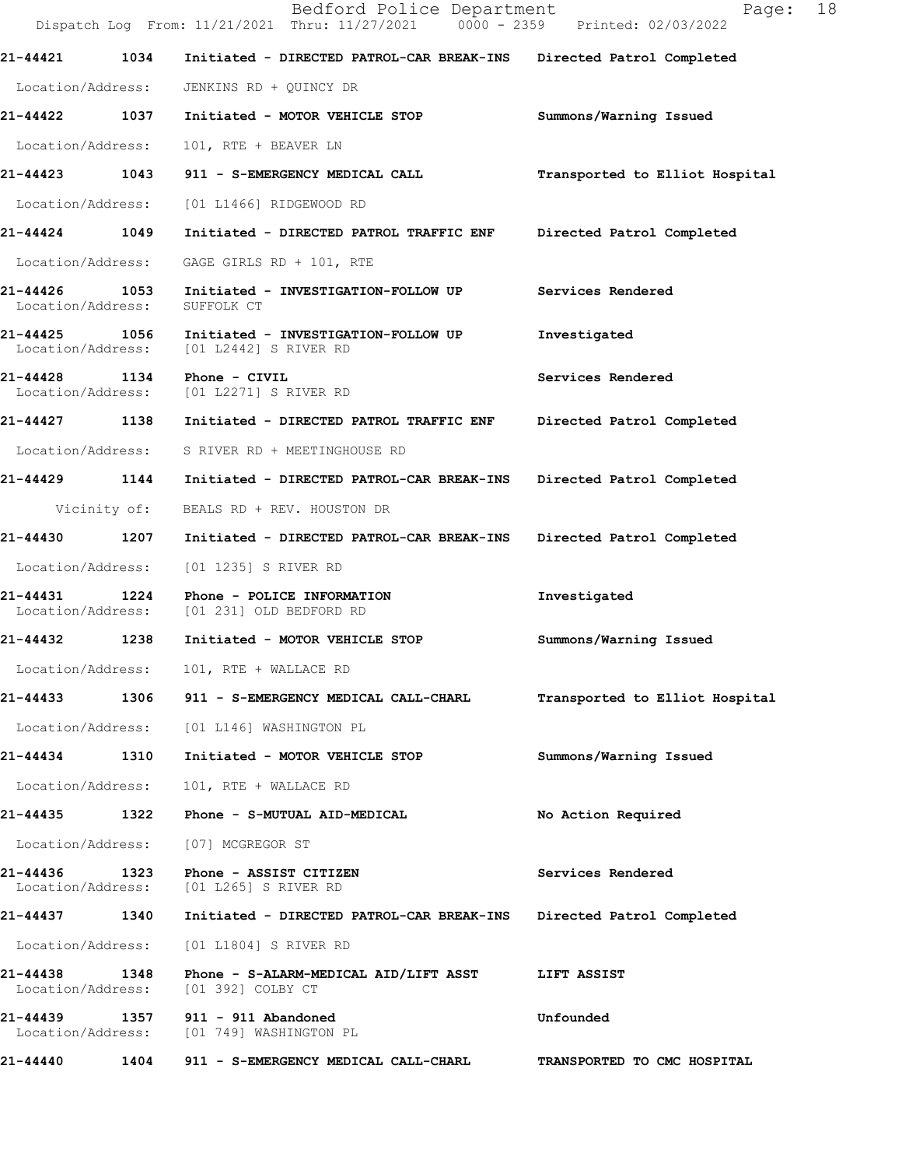|                                    |              | Bedford Police Department<br>Dispatch Log From: 11/21/2021 Thru: 11/27/2021 0000 - 2359 Printed: 02/03/2022 | 18<br>Page:                    |
|------------------------------------|--------------|-------------------------------------------------------------------------------------------------------------|--------------------------------|
| 21-44421                           | 1034         | Initiated - DIRECTED PATROL-CAR BREAK-INS                                                                   | Directed Patrol Completed      |
| Location/Address:                  |              | JENKINS RD + QUINCY DR                                                                                      |                                |
| 21-44422 1037                      |              | Initiated - MOTOR VEHICLE STOP                                                                              | Summons/Warning Issued         |
| Location/Address:                  |              | 101, RTE + BEAVER LN                                                                                        |                                |
|                                    |              | 21-44423 1043 911 - S-EMERGENCY MEDICAL CALL                                                                | Transported to Elliot Hospital |
| Location/Address:                  |              | [01 L1466] RIDGEWOOD RD                                                                                     |                                |
| 21-44424 1049                      |              | Initiated - DIRECTED PATROL TRAFFIC ENF Directed Patrol Completed                                           |                                |
| Location/Address:                  |              | GAGE GIRLS RD + 101, RTE                                                                                    |                                |
| 21-44426<br>Location/Address:      | 1053         | Initiated - INVESTIGATION-FOLLOW UP<br>SUFFOLK CT                                                           | Services Rendered              |
| 21-44425 1056<br>Location/Address: |              | Initiated - INVESTIGATION-FOLLOW UP<br>[01 L2442] S RIVER RD                                                | Investigated                   |
| 21-44428 1134<br>Location/Address: |              | Phone - CIVIL<br>[01 L2271] S RIVER RD                                                                      | Services Rendered              |
| 21-44427 1138                      |              | Initiated - DIRECTED PATROL TRAFFIC ENF                                                                     | Directed Patrol Completed      |
| Location/Address:                  |              | S RIVER RD + MEETINGHOUSE RD                                                                                |                                |
| 21-44429 1144                      |              | Initiated - DIRECTED PATROL-CAR BREAK-INS                                                                   | Directed Patrol Completed      |
|                                    | Vicinity of: | BEALS RD + REV. HOUSTON DR                                                                                  |                                |
| 21-44430 1207                      |              | Initiated - DIRECTED PATROL-CAR BREAK-INS                                                                   | Directed Patrol Completed      |
| Location/Address:                  |              | [01 1235] S RIVER RD                                                                                        |                                |
| 21-44431                           |              | 1224 Phone - POLICE INFORMATION<br>Location/Address: [01 231] OLD BEDFORD RD                                | Investigated                   |
| 21-44432                           | 1238         | Initiated - MOTOR VEHICLE STOP                                                                              | Summons/Warning Issued         |
| Location/Address:                  |              | 101, RTE + WALLACE RD                                                                                       |                                |
| 21-44433                           |              | 1306 911 - S-EMERGENCY MEDICAL CALL-CHARL                                                                   | Transported to Elliot Hospital |
|                                    |              | Location/Address: [01 L146] WASHINGTON PL                                                                   |                                |
| 21-44434                           | 1310         | Initiated - MOTOR VEHICLE STOP                                                                              | Summons/Warning Issued         |
| Location/Address:                  |              | 101, RTE + WALLACE RD                                                                                       |                                |
| 21-44435 1322                      |              | Phone - S-MUTUAL AID-MEDICAL                                                                                | No Action Required             |
| Location/Address:                  |              | [07] MCGREGOR ST                                                                                            |                                |
| 21-44436<br>Location/Address:      | 1323         | Phone - ASSIST CITIZEN<br>[01 L265] S RIVER RD                                                              | Services Rendered              |
| 21-44437 1340                      |              | Initiated - DIRECTED PATROL-CAR BREAK-INS                                                                   | Directed Patrol Completed      |
| Location/Address:                  |              | [01 L1804] S RIVER RD                                                                                       |                                |
| 21-44438<br>Location/Address:      | 1348         | Phone - S-ALARM-MEDICAL AID/LIFT ASST<br>[01 392] COLBY CT                                                  | LIFT ASSIST                    |
| 21-44439<br>Location/Address:      |              | [01 749] WASHINGTON PL                                                                                      | Unfounded                      |
| 21-44440                           | 1404         | 911 - S-EMERGENCY MEDICAL CALL-CHARL                                                                        | TRANSPORTED TO CMC HOSPITAL    |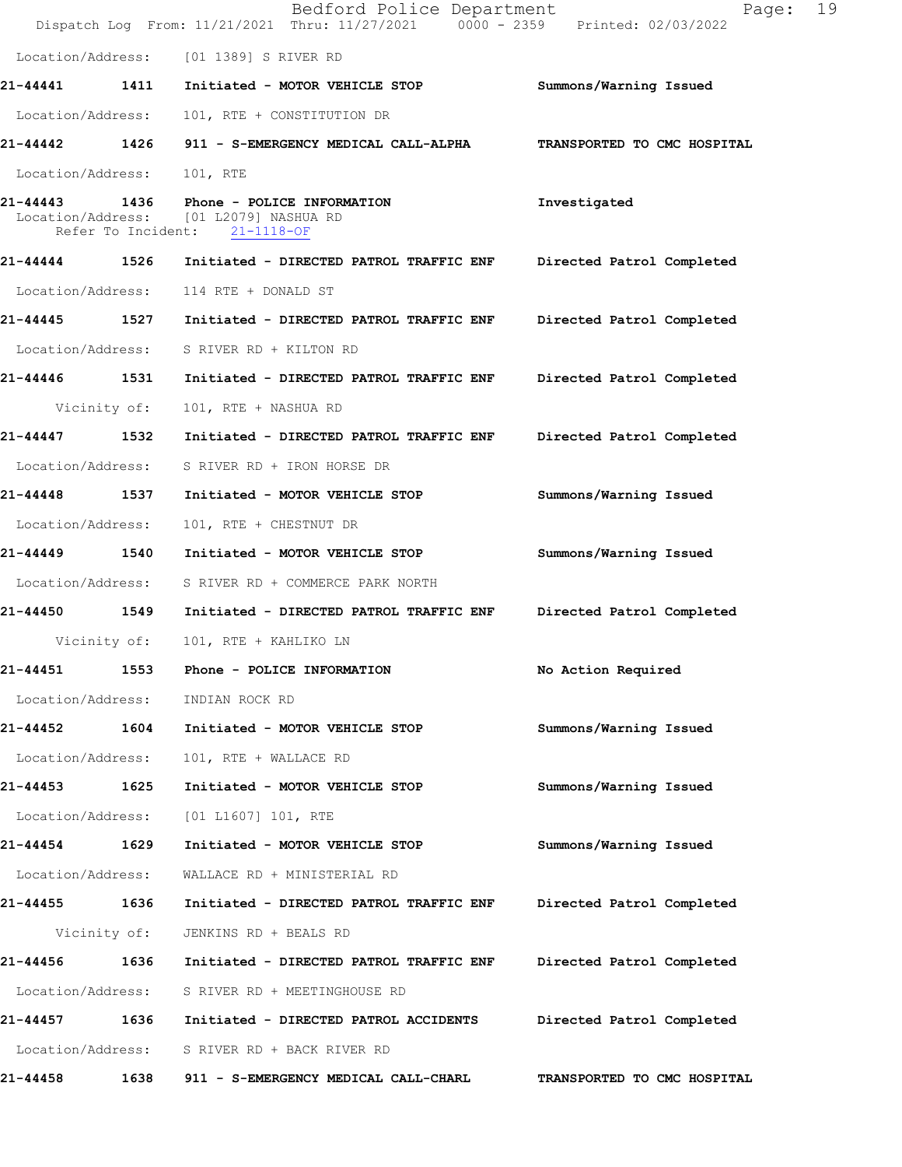|                   |                    | Bedford Police Department<br>Dispatch Log From: 11/21/2021 Thru: 11/27/2021 0000 - 2359 Printed: 02/03/2022 | Page:                       | 19 |
|-------------------|--------------------|-------------------------------------------------------------------------------------------------------------|-----------------------------|----|
| Location/Address: |                    | [01 1389] S RIVER RD                                                                                        |                             |    |
| 21-44441          | 1411               | Initiated - MOTOR VEHICLE STOP                                                                              | Summons/Warning Issued      |    |
| Location/Address: |                    | 101, RTE + CONSTITUTION DR                                                                                  |                             |    |
| 21-44442          | 1426               | 911 - S-EMERGENCY MEDICAL CALL-ALPHA                                                                        | TRANSPORTED TO CMC HOSPITAL |    |
| Location/Address: |                    | 101, RTE                                                                                                    |                             |    |
|                   | Refer To Incident: | 21-44443 1436 Phone - POLICE INFORMATION<br>Location/Address: [01 L2079] NASHUA RD<br>$21 - 1118 - OF$      | Investigated                |    |
|                   |                    | 21-44444 1526 Initiated - DIRECTED PATROL TRAFFIC ENF                                                       | Directed Patrol Completed   |    |
| Location/Address: |                    | 114 RTE + DONALD ST                                                                                         |                             |    |
| 21-44445          | 1527               | Initiated - DIRECTED PATROL TRAFFIC ENF                                                                     | Directed Patrol Completed   |    |
| Location/Address: |                    | S RIVER RD + KILTON RD                                                                                      |                             |    |
| 21-44446 1531     |                    | Initiated - DIRECTED PATROL TRAFFIC ENF                                                                     | Directed Patrol Completed   |    |
|                   | Vicinity of:       | 101, RTE + NASHUA RD                                                                                        |                             |    |
| 21-44447 1532     |                    | Initiated - DIRECTED PATROL TRAFFIC ENF                                                                     | Directed Patrol Completed   |    |
| Location/Address: |                    | S RIVER RD + IRON HORSE DR                                                                                  |                             |    |
| 21-44448          | 1537               | Initiated - MOTOR VEHICLE STOP                                                                              | Summons/Warning Issued      |    |
| Location/Address: |                    | 101, RTE + CHESTNUT DR                                                                                      |                             |    |
| 21-44449          | 1540               | Initiated - MOTOR VEHICLE STOP                                                                              | Summons/Warning Issued      |    |
| Location/Address: |                    | S RIVER RD + COMMERCE PARK NORTH                                                                            |                             |    |
| 21-44450 1549     |                    | Initiated - DIRECTED PATROL TRAFFIC ENF                                                                     | Directed Patrol Completed   |    |
|                   | Vicinity of:       | 101, RTE + KAHLIKO LN                                                                                       |                             |    |
| 21-44451          | 1553               | Phone - POLICE INFORMATION                                                                                  | No Action Required          |    |
| Location/Address: |                    | INDIAN ROCK RD                                                                                              |                             |    |
| 21-44452 1604     |                    | Initiated - MOTOR VEHICLE STOP                                                                              | Summons/Warning Issued      |    |
| Location/Address: |                    | 101, RTE + WALLACE RD                                                                                       |                             |    |
| 21-44453          | 1625               | Initiated - MOTOR VEHICLE STOP                                                                              | Summons/Warning Issued      |    |
| Location/Address: |                    | [01 L1607] 101, RTE                                                                                         |                             |    |
| 21-44454 1629     |                    | Initiated - MOTOR VEHICLE STOP                                                                              | Summons/Warning Issued      |    |
| Location/Address: |                    | WALLACE RD + MINISTERIAL RD                                                                                 |                             |    |
| 21-44455 1636     |                    | Initiated - DIRECTED PATROL TRAFFIC ENF                                                                     | Directed Patrol Completed   |    |
|                   | Vicinity of:       | JENKINS RD + BEALS RD                                                                                       |                             |    |
| 21-44456          | 1636               | Initiated - DIRECTED PATROL TRAFFIC ENF                                                                     | Directed Patrol Completed   |    |
| Location/Address: |                    | S RIVER RD + MEETINGHOUSE RD                                                                                |                             |    |
| 21-44457          | 1636               | Initiated - DIRECTED PATROL ACCIDENTS                                                                       | Directed Patrol Completed   |    |
| Location/Address: |                    | S RIVER RD + BACK RIVER RD                                                                                  |                             |    |
| 21-44458          | 1638               | 911 - S-EMERGENCY MEDICAL CALL-CHARL                                                                        | TRANSPORTED TO CMC HOSPITAL |    |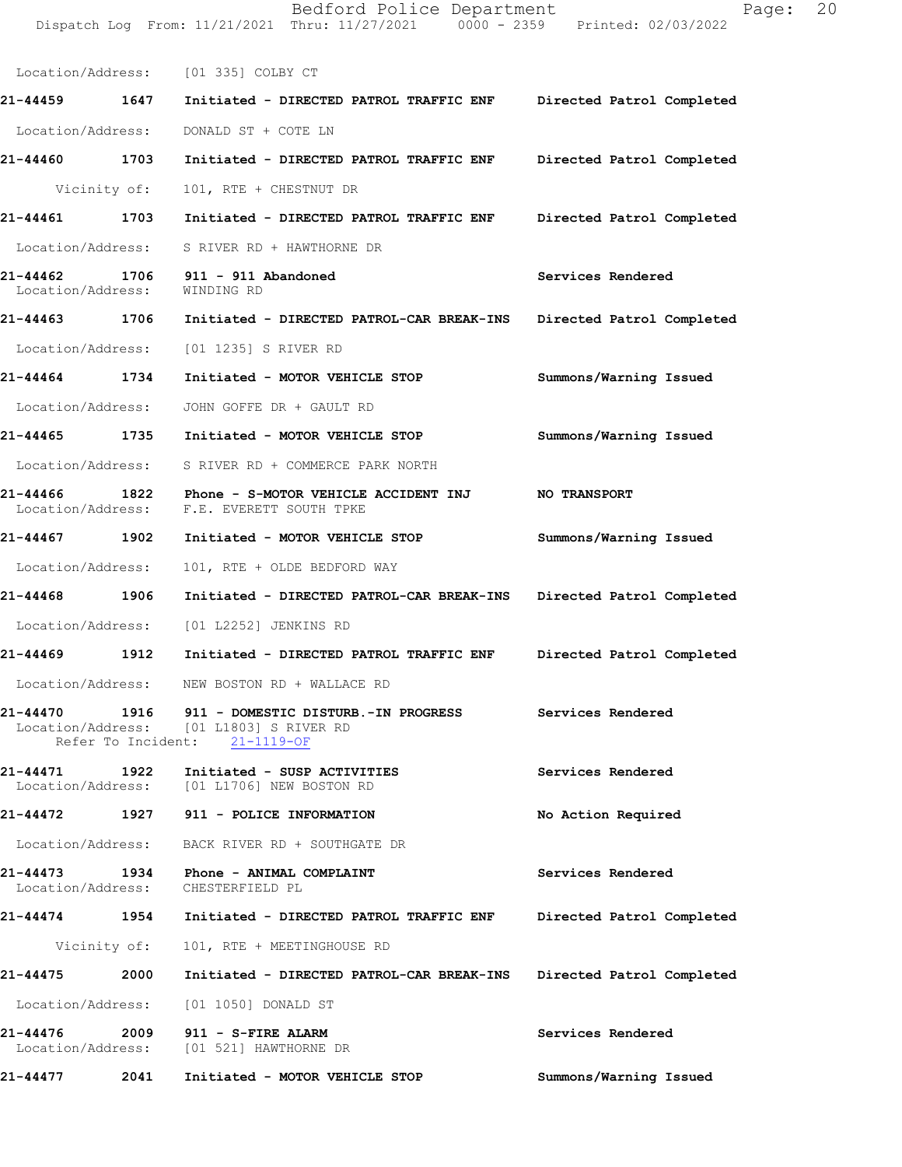|                               |              | Location/Address: [01 335] COLBY CT                                                                                             |                           |
|-------------------------------|--------------|---------------------------------------------------------------------------------------------------------------------------------|---------------------------|
| 21-44459 1647                 |              | Initiated - DIRECTED PATROL TRAFFIC ENF                                                                                         | Directed Patrol Completed |
| Location/Address:             |              | DONALD ST + COTE LN                                                                                                             |                           |
| 21-44460 1703                 |              | Initiated - DIRECTED PATROL TRAFFIC ENF                                                                                         | Directed Patrol Completed |
|                               | Vicinity of: | 101, RTE + CHESTNUT DR                                                                                                          |                           |
| 21-44461 1703                 |              | Initiated - DIRECTED PATROL TRAFFIC ENF                                                                                         | Directed Patrol Completed |
|                               |              | Location/Address: S RIVER RD + HAWTHORNE DR                                                                                     |                           |
| Location/Address:             |              | 21-44462 1706 911 - 911 Abandoned<br>WINDING RD                                                                                 | Services Rendered         |
|                               |              | 21-44463 1706 Initiated - DIRECTED PATROL-CAR BREAK-INS Directed Patrol Completed                                               |                           |
|                               |              | Location/Address: [01 1235] S RIVER RD                                                                                          |                           |
| 21-44464 1734                 |              | Initiated - MOTOR VEHICLE STOP                                                                                                  | Summons/Warning Issued    |
| Location/Address:             |              | JOHN GOFFE DR + GAULT RD                                                                                                        |                           |
| 21-44465 1735                 |              | Initiated - MOTOR VEHICLE STOP                                                                                                  | Summons/Warning Issued    |
|                               |              | Location/Address: S RIVER RD + COMMERCE PARK NORTH                                                                              |                           |
|                               |              | 21-44466 1822 Phone - S-MOTOR VEHICLE ACCIDENT INJ<br>Location/Address: F.E. EVERETT SOUTH TPKE                                 | <b>NO TRANSPORT</b>       |
| 21-44467 1902                 |              | Initiated - MOTOR VEHICLE STOP                                                                                                  | Summons/Warning Issued    |
| Location/Address:             |              | 101, RTE + OLDE BEDFORD WAY                                                                                                     |                           |
| 21-44468 1906                 |              | Initiated - DIRECTED PATROL-CAR BREAK-INS                                                                                       | Directed Patrol Completed |
| Location/Address:             |              | [01 L2252] JENKINS RD                                                                                                           |                           |
| 21-44469 1912                 |              | Initiated - DIRECTED PATROL TRAFFIC ENF                                                                                         | Directed Patrol Completed |
| Location/Address:             |              | NEW BOSTON RD + WALLACE RD                                                                                                      |                           |
|                               |              | 21-44470  1916  911 - DOMESTIC DISTURB.-IN PROGRESS<br>Location/Address: [01 L1803] S RIVER RD<br>Refer To Incident: 21-1119-OF | Services Rendered         |
| 21-44471                      |              | 1922 Initiated - SUSP ACTIVITIES<br>Location/Address: [01 L1706] NEW BOSTON RD                                                  | Services Rendered         |
|                               |              |                                                                                                                                 | No Action Required        |
|                               |              | Location/Address: BACK RIVER RD + SOUTHGATE DR                                                                                  |                           |
| 21-44473                      |              | 1934 Phone - ANIMAL COMPLAINT<br>Location/Address: CHESTERFIELD PL                                                              | Services Rendered         |
|                               |              | 21-44474 1954 Initiated - DIRECTED PATROL TRAFFIC ENF                                                                           | Directed Patrol Completed |
|                               | Vicinity of: | 101, RTE + MEETINGHOUSE RD                                                                                                      |                           |
| 21-44475                      | 2000         | Initiated - DIRECTED PATROL-CAR BREAK-INS                                                                                       | Directed Patrol Completed |
| Location/Address:             |              | [01 1050] DONALD ST                                                                                                             |                           |
| 21-44476<br>Location/Address: | 2009         | 911 - S-FIRE ALARM<br>[01 521] HAWTHORNE DR                                                                                     | Services Rendered         |
| 21-44477                      | 2041         | Initiated - MOTOR VEHICLE STOP                                                                                                  | Summons/Warning Issued    |

Bedford Police Department Fage: 20

Dispatch Log From: 11/21/2021 Thru: 11/27/2021 0000 - 2359 Printed: 02/03/2022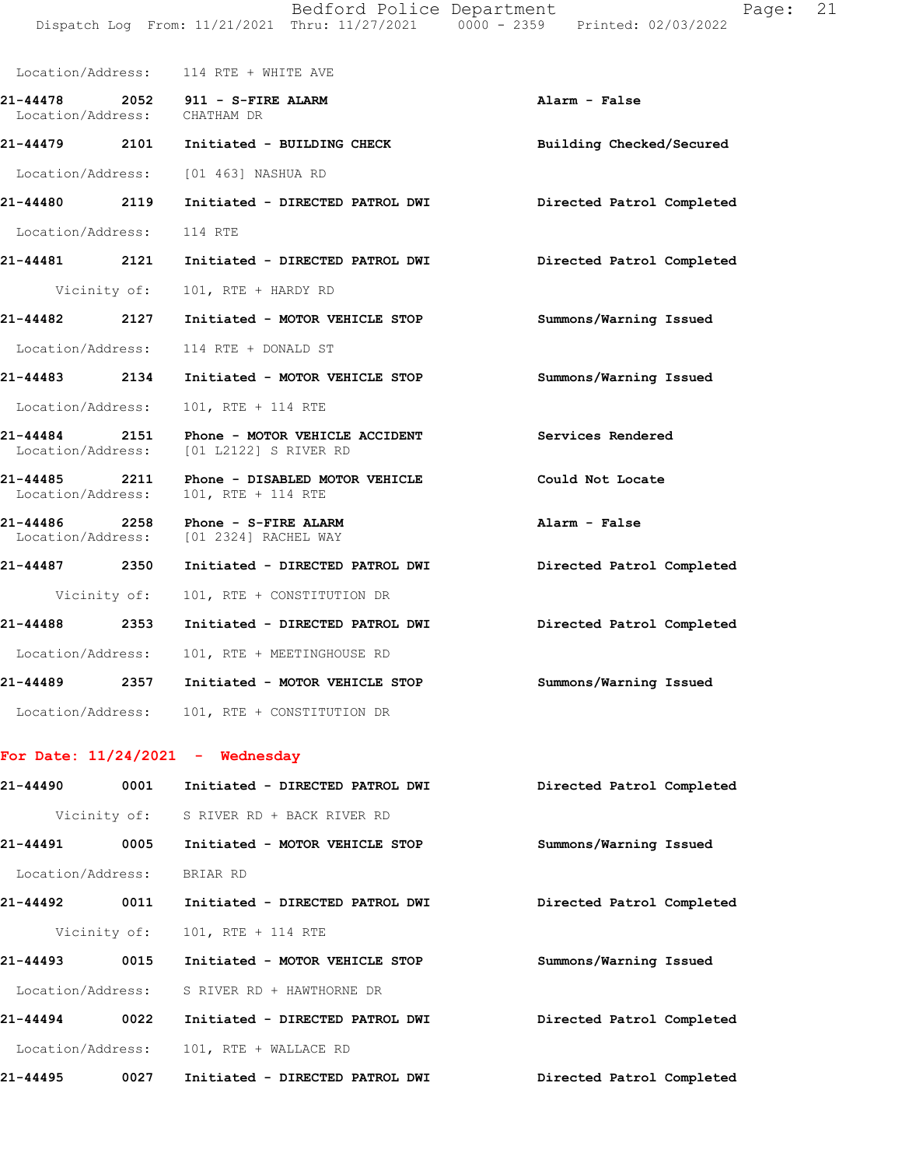|                                                           | Alarm - False                                                                                                                                                                                                                                                                                                                                                                                                                                                                                                                                                                                                                                                                                                                                                                                                                                                                                                                                                                                                                                                                                                      |
|-----------------------------------------------------------|--------------------------------------------------------------------------------------------------------------------------------------------------------------------------------------------------------------------------------------------------------------------------------------------------------------------------------------------------------------------------------------------------------------------------------------------------------------------------------------------------------------------------------------------------------------------------------------------------------------------------------------------------------------------------------------------------------------------------------------------------------------------------------------------------------------------------------------------------------------------------------------------------------------------------------------------------------------------------------------------------------------------------------------------------------------------------------------------------------------------|
|                                                           | Building Checked/Secured                                                                                                                                                                                                                                                                                                                                                                                                                                                                                                                                                                                                                                                                                                                                                                                                                                                                                                                                                                                                                                                                                           |
|                                                           |                                                                                                                                                                                                                                                                                                                                                                                                                                                                                                                                                                                                                                                                                                                                                                                                                                                                                                                                                                                                                                                                                                                    |
|                                                           |                                                                                                                                                                                                                                                                                                                                                                                                                                                                                                                                                                                                                                                                                                                                                                                                                                                                                                                                                                                                                                                                                                                    |
|                                                           |                                                                                                                                                                                                                                                                                                                                                                                                                                                                                                                                                                                                                                                                                                                                                                                                                                                                                                                                                                                                                                                                                                                    |
|                                                           |                                                                                                                                                                                                                                                                                                                                                                                                                                                                                                                                                                                                                                                                                                                                                                                                                                                                                                                                                                                                                                                                                                                    |
|                                                           |                                                                                                                                                                                                                                                                                                                                                                                                                                                                                                                                                                                                                                                                                                                                                                                                                                                                                                                                                                                                                                                                                                                    |
|                                                           | Summons/Warning Issued                                                                                                                                                                                                                                                                                                                                                                                                                                                                                                                                                                                                                                                                                                                                                                                                                                                                                                                                                                                                                                                                                             |
|                                                           |                                                                                                                                                                                                                                                                                                                                                                                                                                                                                                                                                                                                                                                                                                                                                                                                                                                                                                                                                                                                                                                                                                                    |
|                                                           | Summons/Warning Issued                                                                                                                                                                                                                                                                                                                                                                                                                                                                                                                                                                                                                                                                                                                                                                                                                                                                                                                                                                                                                                                                                             |
| 101, RTE + 114 RTE                                        |                                                                                                                                                                                                                                                                                                                                                                                                                                                                                                                                                                                                                                                                                                                                                                                                                                                                                                                                                                                                                                                                                                                    |
|                                                           | Services Rendered                                                                                                                                                                                                                                                                                                                                                                                                                                                                                                                                                                                                                                                                                                                                                                                                                                                                                                                                                                                                                                                                                                  |
|                                                           | Could Not Locate                                                                                                                                                                                                                                                                                                                                                                                                                                                                                                                                                                                                                                                                                                                                                                                                                                                                                                                                                                                                                                                                                                   |
|                                                           | Alarm - False                                                                                                                                                                                                                                                                                                                                                                                                                                                                                                                                                                                                                                                                                                                                                                                                                                                                                                                                                                                                                                                                                                      |
|                                                           | Directed Patrol Completed                                                                                                                                                                                                                                                                                                                                                                                                                                                                                                                                                                                                                                                                                                                                                                                                                                                                                                                                                                                                                                                                                          |
|                                                           |                                                                                                                                                                                                                                                                                                                                                                                                                                                                                                                                                                                                                                                                                                                                                                                                                                                                                                                                                                                                                                                                                                                    |
| Initiated - DIRECTED PATROL DWI Directed Patrol Completed |                                                                                                                                                                                                                                                                                                                                                                                                                                                                                                                                                                                                                                                                                                                                                                                                                                                                                                                                                                                                                                                                                                                    |
|                                                           |                                                                                                                                                                                                                                                                                                                                                                                                                                                                                                                                                                                                                                                                                                                                                                                                                                                                                                                                                                                                                                                                                                                    |
|                                                           | Summons/Warning Issued                                                                                                                                                                                                                                                                                                                                                                                                                                                                                                                                                                                                                                                                                                                                                                                                                                                                                                                                                                                                                                                                                             |
|                                                           |                                                                                                                                                                                                                                                                                                                                                                                                                                                                                                                                                                                                                                                                                                                                                                                                                                                                                                                                                                                                                                                                                                                    |
|                                                           | Location/Address: 114 RTE + WHITE AVE<br>21-44478 2052 911 - S-FIRE ALARM<br>Location/Address: CHATHAM DR<br>21-44479 2101 Initiated - BUILDING CHECK<br>Location/Address: [01 463] NASHUA RD<br>21-44480 2119 Initiated - DIRECTED PATROL DWI Directed Patrol Completed<br>Location/Address: 114 RTE<br>21-44481 2121 Initiated - DIRECTED PATROL DWI Directed Patrol Completed<br>Vicinity of: 101, RTE + HARDY RD<br>21-44482 2127 Initiated - MOTOR VEHICLE STOP<br>Location/Address: 114 RTE + DONALD ST<br>21-44483 2134 Initiated - MOTOR VEHICLE STOP<br>Location/Address:<br>21-44484 2151 Phone - MOTOR VEHICLE ACCIDENT<br>Location/Address: [01 L2122] S RIVER RD<br>21-44485 2211 Phone - DISABLED MOTOR VEHICLE<br>Location/Address: 101, RTE + 114 RTE<br>21-44486 2258 Phone - S-FIRE ALARM<br>Location/Address: [01 2324] RACHEL WAY<br>21-44487 2350 Initiated - DIRECTED PATROL DWI<br>Vicinity of: 101, RTE + CONSTITUTION DR<br>21-44488 2353<br>Location/Address: 101, RTE + MEETINGHOUSE RD<br>21-44489 2357 Initiated - MOTOR VEHICLE STOP<br>Location/Address: 101, RTE + CONSTITUTION DR |

## **For Date: 11/24/2021 - Wednesday**

| 21-44490          | 0001         | Initiated - DIRECTED PATROL DWI | Directed Patrol Completed |
|-------------------|--------------|---------------------------------|---------------------------|
|                   | Vicinity of: | S RIVER RD + BACK RIVER RD      |                           |
| 21-44491          | 0005         | Initiated - MOTOR VEHICLE STOP  | Summons/Warning Issued    |
| Location/Address: |              | BRIAR RD                        |                           |
| 21-44492          | 0011         | Initiated - DIRECTED PATROL DWI | Directed Patrol Completed |
|                   | Vicinity of: | 101, RTE + 114 RTE              |                           |
| 21-44493          | 0015         | Initiated - MOTOR VEHICLE STOP  | Summons/Warning Issued    |
| Location/Address: |              | S RIVER RD + HAWTHORNE DR       |                           |
| $21 - 44494$      | 0022         | Initiated - DIRECTED PATROL DWI | Directed Patrol Completed |
| Location/Address: |              | 101, RTE + WALLACE RD           |                           |
| 21-44495          | 0027         | Initiated - DIRECTED PATROL DWI | Directed Patrol Completed |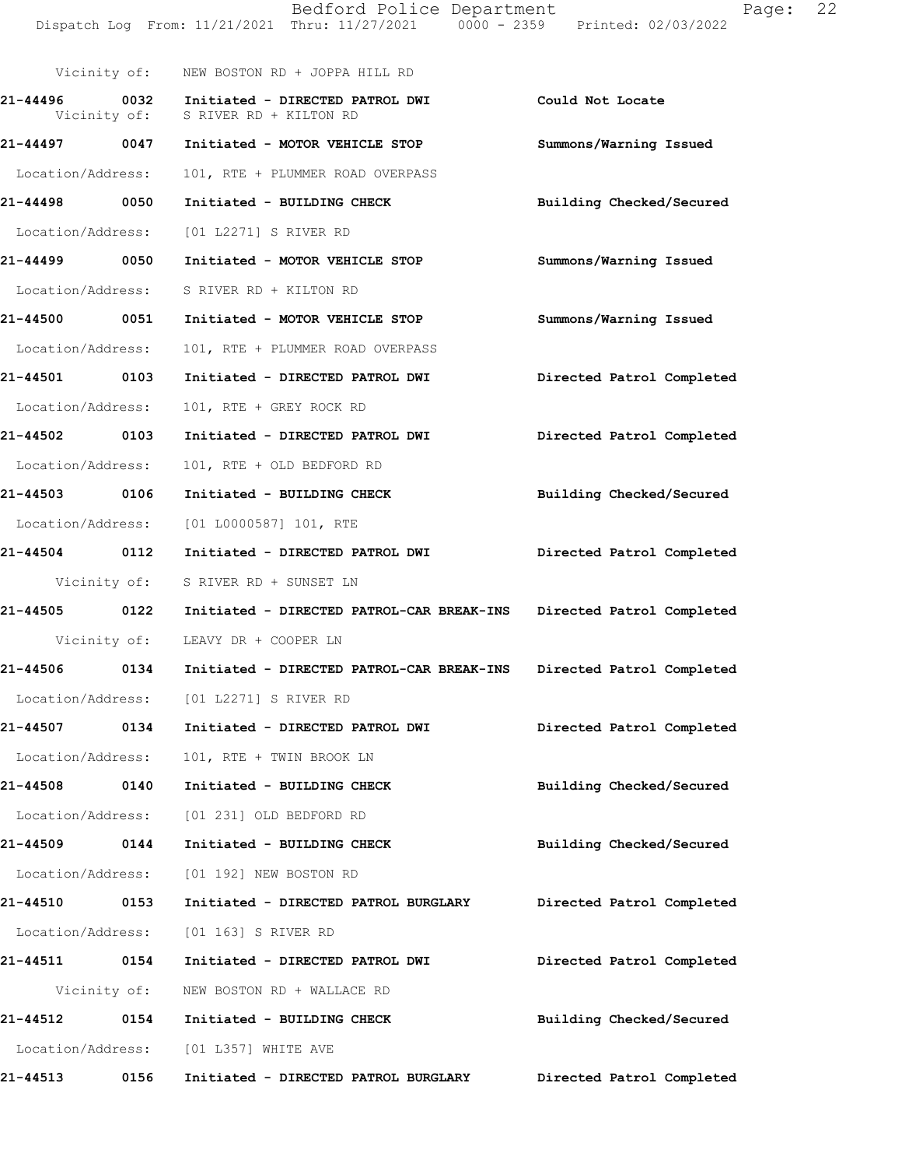|                               |      | Dispatch Log From: 11/21/2021 Thru: 11/27/2021 0000 - 2359 Printed: 02/03/2022 |                           |
|-------------------------------|------|--------------------------------------------------------------------------------|---------------------------|
|                               |      | Vicinity of: NEW BOSTON RD + JOPPA HILL RD                                     |                           |
| 21-44496 0032<br>Vicinity of: |      | Initiated - DIRECTED PATROL DWI<br>S RIVER RD + KILTON RD                      | Could Not Locate          |
| 21-44497 0047                 |      | Initiated - MOTOR VEHICLE STOP                                                 | Summons/Warning Issued    |
| Location/Address:             |      | 101, RTE + PLUMMER ROAD OVERPASS                                               |                           |
| 21-44498 0050                 |      | Initiated - BUILDING CHECK                                                     | Building Checked/Secured  |
| Location/Address:             |      | [01 L2271] S RIVER RD                                                          |                           |
| 21-44499 0050                 |      | Initiated - MOTOR VEHICLE STOP                                                 | Summons/Warning Issued    |
| Location/Address:             |      | S RIVER RD + KILTON RD                                                         |                           |
| 21-44500 0051                 |      | Initiated - MOTOR VEHICLE STOP                                                 | Summons/Warning Issued    |
| Location/Address:             |      | 101, RTE + PLUMMER ROAD OVERPASS                                               |                           |
| 21-44501 0103                 |      | Initiated - DIRECTED PATROL DWI                                                | Directed Patrol Completed |
| Location/Address:             |      | 101, RTE + GREY ROCK RD                                                        |                           |
| 21-44502 0103                 |      | Initiated - DIRECTED PATROL DWI                                                | Directed Patrol Completed |
| Location/Address:             |      | 101, RTE + OLD BEDFORD RD                                                      |                           |
| 21-44503 0106                 |      | Initiated - BUILDING CHECK                                                     | Building Checked/Secured  |
| Location/Address:             |      | $[01 L0000587] 101$ , RTE                                                      |                           |
| 21-44504 0112                 |      | Initiated - DIRECTED PATROL DWI                                                | Directed Patrol Completed |
| Vicinity of:                  |      | S RIVER RD + SUNSET LN                                                         |                           |
| 21-44505 0122                 |      | Initiated - DIRECTED PATROL-CAR BREAK-INS Directed Patrol Completed            |                           |
|                               |      | Vicinity of: LEAVY DR + COOPER LN                                              |                           |
| 21-44506                      | 0134 | Initiated - DIRECTED PATROL-CAR BREAK-INS                                      | Directed Patrol Completed |
|                               |      | Location/Address: [01 L2271] S RIVER RD                                        |                           |
| 21-44507                      | 0134 | Initiated - DIRECTED PATROL DWI                                                | Directed Patrol Completed |
| Location/Address:             |      | 101, RTE + TWIN BROOK LN                                                       |                           |
| 21-44508                      | 0140 | Initiated - BUILDING CHECK                                                     | Building Checked/Secured  |
| Location/Address:             |      | [01 231] OLD BEDFORD RD                                                        |                           |
| 21-44509                      | 0144 | Initiated - BUILDING CHECK                                                     | Building Checked/Secured  |
| Location/Address:             |      | [01 192] NEW BOSTON RD                                                         |                           |
| 21-44510                      | 0153 | Initiated - DIRECTED PATROL BURGLARY                                           | Directed Patrol Completed |
| Location/Address:             |      | [01 163] S RIVER RD                                                            |                           |
| 21-44511                      | 0154 | Initiated - DIRECTED PATROL DWI                                                | Directed Patrol Completed |
| Vicinity of:                  |      | NEW BOSTON RD + WALLACE RD                                                     |                           |
| 21-44512                      | 0154 | Initiated - BUILDING CHECK                                                     | Building Checked/Secured  |
|                               |      | Location/Address: [01 L357] WHITE AVE                                          |                           |
| 21-44513                      | 0156 | Initiated - DIRECTED PATROL BURGLARY                                           | Directed Patrol Completed |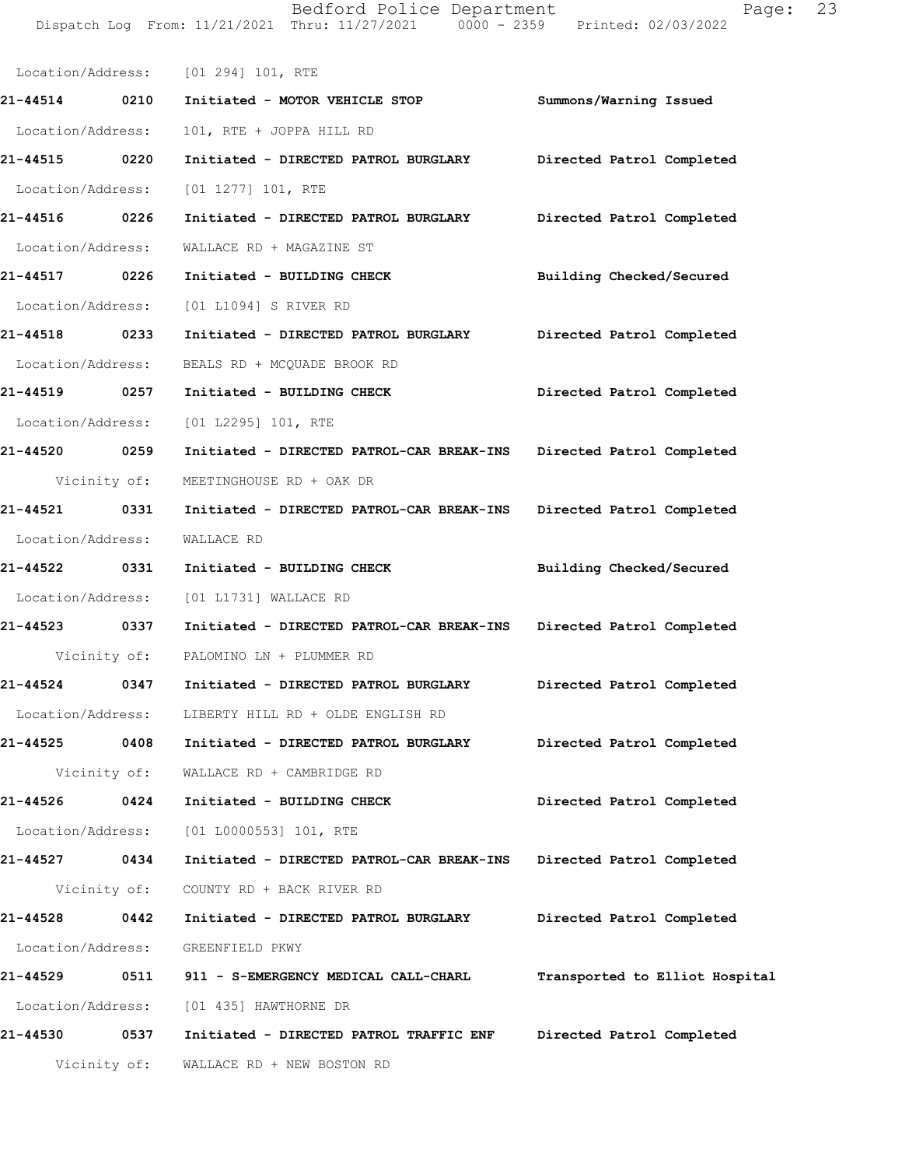Location/Address: [01 294] 101, RTE **21-44514 0210 Initiated - MOTOR VEHICLE STOP Summons/Warning Issued**  Location/Address: 101, RTE + JOPPA HILL RD **21-44515 0220 Initiated - DIRECTED PATROL BURGLARY Directed Patrol Completed**  Location/Address: [01 1277] 101, RTE **21-44516 0226 Initiated - DIRECTED PATROL BURGLARY Directed Patrol Completed**  Location/Address: WALLACE RD + MAGAZINE ST **21-44517 0226 Initiated - BUILDING CHECK Building Checked/Secured**  Location/Address: [01 L1094] S RIVER RD **21-44518 0233 Initiated - DIRECTED PATROL BURGLARY Directed Patrol Completed**  Location/Address: BEALS RD + MCQUADE BROOK RD **21-44519 0257 Initiated - BUILDING CHECK Directed Patrol Completed**  Location/Address: [01 L2295] 101, RTE **21-44520 0259 Initiated - DIRECTED PATROL-CAR BREAK-INS Directed Patrol Completed**  Vicinity of: MEETINGHOUSE RD + OAK DR **21-44521 0331 Initiated - DIRECTED PATROL-CAR BREAK-INS Directed Patrol Completed**  Location/Address: WALLACE RD **21-44522 0331 Initiated - BUILDING CHECK Building Checked/Secured**  Location/Address: [01 L1731] WALLACE RD **21-44523 0337 Initiated - DIRECTED PATROL-CAR BREAK-INS Directed Patrol Completed**  Vicinity of: PALOMINO LN + PLUMMER RD **21-44524 0347 Initiated - DIRECTED PATROL BURGLARY Directed Patrol Completed**  Location/Address: LIBERTY HILL RD + OLDE ENGLISH RD **21-44525 0408 Initiated - DIRECTED PATROL BURGLARY Directed Patrol Completed**  Vicinity of: WALLACE RD + CAMBRIDGE RD **21-44526 0424 Initiated - BUILDING CHECK Directed Patrol Completed**  Location/Address: [01 L0000553] 101, RTE **21-44527 0434 Initiated - DIRECTED PATROL-CAR BREAK-INS Directed Patrol Completed**  Vicinity of: COUNTY RD + BACK RIVER RD **21-44528 0442 Initiated - DIRECTED PATROL BURGLARY Directed Patrol Completed**  Location/Address: GREENFIELD PKWY **21-44529 0511 911 - S-EMERGENCY MEDICAL CALL-CHARL Transported to Elliot Hospital** Location/Address: [01 435] HAWTHORNE DR **21-44530 0537 Initiated - DIRECTED PATROL TRAFFIC ENF Directed Patrol Completed**  Vicinity of: WALLACE RD + NEW BOSTON RD

Dispatch Log From: 11/21/2021 Thru: 11/27/2021 0000 - 2359 Printed: 02/03/2022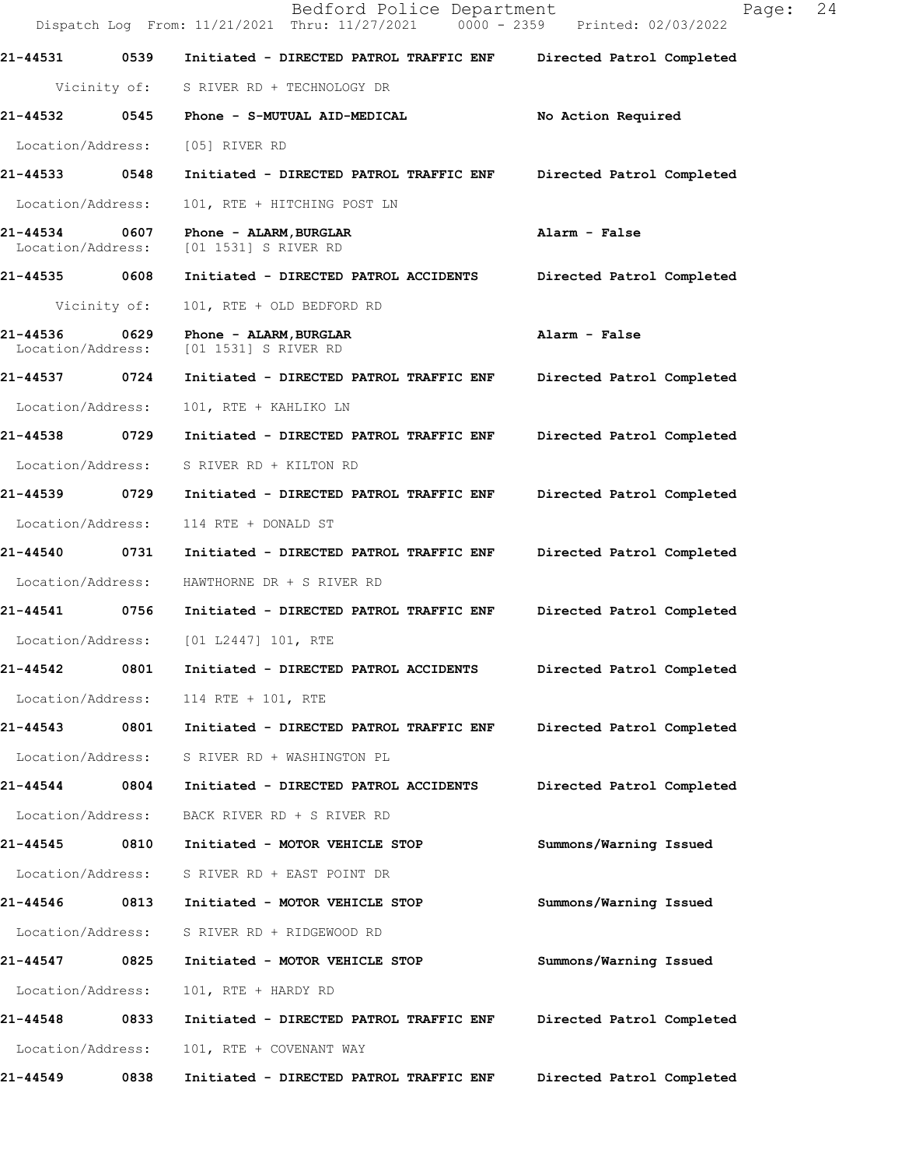Dispatch Log From: 11/21/2021 Thru: 11/27/2021 0000 - 2359 Printed: 02/03/2022 **21-44531 0539 Initiated - DIRECTED PATROL TRAFFIC ENF Directed Patrol Completed**  Vicinity of: S RIVER RD + TECHNOLOGY DR **21-44532 0545 Phone - S-MUTUAL AID-MEDICAL No Action Required**  Location/Address: [05] RIVER RD **21-44533 0548 Initiated - DIRECTED PATROL TRAFFIC ENF Directed Patrol Completed**  Location/Address: 101, RTE + HITCHING POST LN **21-44534 0607 Phone - ALARM,BURGLAR Alarm - False**  Location/Address: [01 1531] S RIVER RD **21-44535 0608 Initiated - DIRECTED PATROL ACCIDENTS Directed Patrol Completed**  Vicinity of: 101, RTE + OLD BEDFORD RD **21-44536 0629 Phone - ALARM,BURGLAR Alarm - False**  Location/Address: [01 1531] S RIVER RD **21-44537 0724 Initiated - DIRECTED PATROL TRAFFIC ENF Directed Patrol Completed**  Location/Address: 101, RTE + KAHLIKO LN **21-44538 0729 Initiated - DIRECTED PATROL TRAFFIC ENF Directed Patrol Completed**  Location/Address: S RIVER RD + KILTON RD **21-44539 0729 Initiated - DIRECTED PATROL TRAFFIC ENF Directed Patrol Completed**  Location/Address: 114 RTE + DONALD ST **21-44540 0731 Initiated - DIRECTED PATROL TRAFFIC ENF Directed Patrol Completed**  Location/Address: HAWTHORNE DR + S RIVER RD **21-44541 0756 Initiated - DIRECTED PATROL TRAFFIC ENF Directed Patrol Completed**  Location/Address: [01 L2447] 101, RTE **21-44542 0801 Initiated - DIRECTED PATROL ACCIDENTS Directed Patrol Completed**  Location/Address: 114 RTE + 101, RTE **21-44543 0801 Initiated - DIRECTED PATROL TRAFFIC ENF Directed Patrol Completed**  Location/Address: S RIVER RD + WASHINGTON PL **21-44544 0804 Initiated - DIRECTED PATROL ACCIDENTS Directed Patrol Completed**  Location/Address: BACK RIVER RD + S RIVER RD **21-44545 0810 Initiated - MOTOR VEHICLE STOP Summons/Warning Issued**  Location/Address: S RIVER RD + EAST POINT DR **21-44546 0813 Initiated - MOTOR VEHICLE STOP Summons/Warning Issued**  Location/Address: S RIVER RD + RIDGEWOOD RD **21-44547 0825 Initiated - MOTOR VEHICLE STOP Summons/Warning Issued**  Location/Address: 101, RTE + HARDY RD **21-44548 0833 Initiated - DIRECTED PATROL TRAFFIC ENF Directed Patrol Completed**  Location/Address: 101, RTE + COVENANT WAY **21-44549 0838 Initiated - DIRECTED PATROL TRAFFIC ENF Directed Patrol Completed**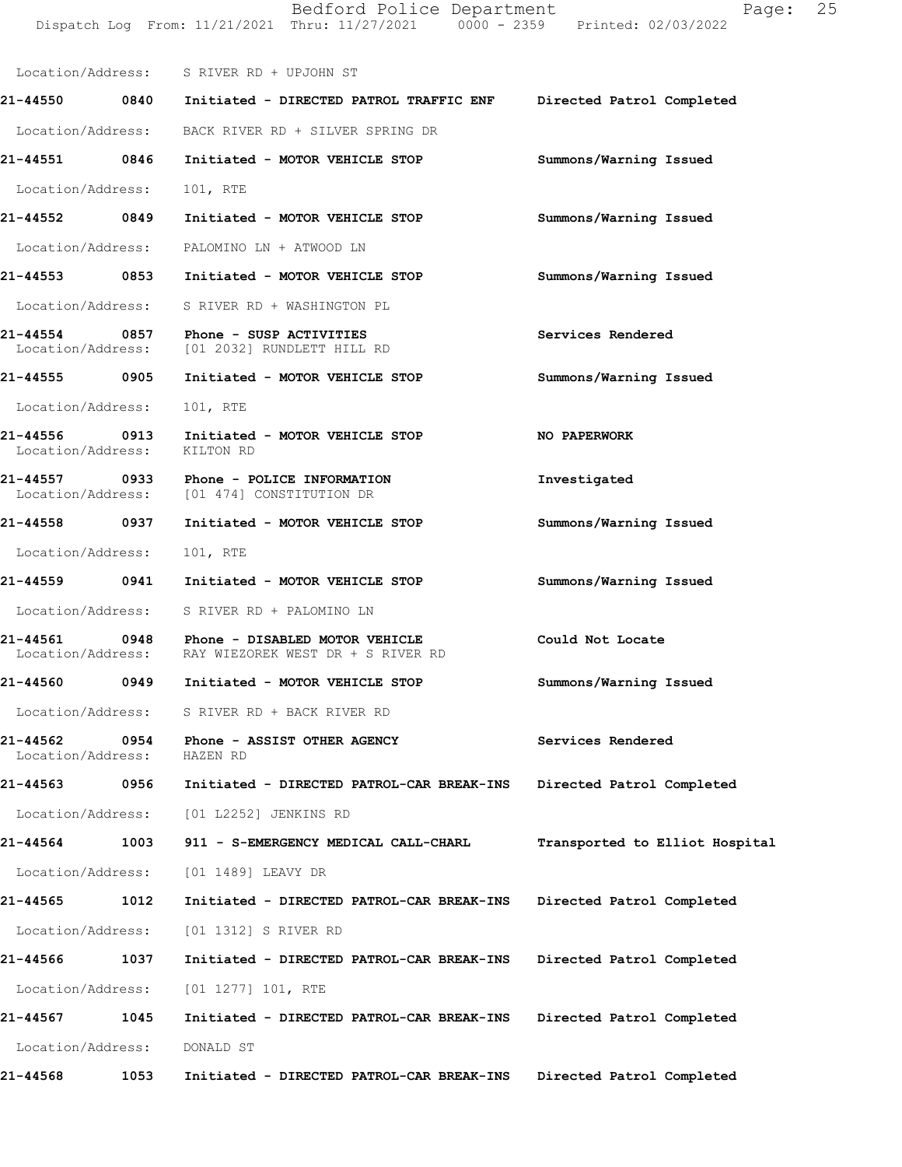|                                    |      | Bedford Police Department<br>Dispatch Log From: 11/21/2021 Thru: 11/27/2021 0000 - 2359 Printed: 02/03/2022 | Page:                          | 25 |
|------------------------------------|------|-------------------------------------------------------------------------------------------------------------|--------------------------------|----|
|                                    |      | Location/Address: S RIVER RD + UPJOHN ST                                                                    |                                |    |
|                                    |      | 21-44550 0840 Initiated - DIRECTED PATROL TRAFFIC ENF                                                       | Directed Patrol Completed      |    |
|                                    |      | Location/Address: BACK RIVER RD + SILVER SPRING DR                                                          |                                |    |
|                                    |      | 21-44551 0846 Initiated - MOTOR VEHICLE STOP                                                                | Summons/Warning Issued         |    |
| Location/Address:                  |      | 101, RTE                                                                                                    |                                |    |
| 21-44552 0849                      |      | Initiated - MOTOR VEHICLE STOP                                                                              | Summons/Warning Issued         |    |
|                                    |      | Location/Address: PALOMINO LN + ATWOOD LN                                                                   |                                |    |
|                                    |      | 21-44553 0853 Initiated - MOTOR VEHICLE STOP                                                                | Summons/Warning Issued         |    |
| Location/Address:                  |      | S RIVER RD + WASHINGTON PL                                                                                  |                                |    |
| 21-44554                           |      | 0857 Phone - SUSP ACTIVITIES<br>Location/Address: [01 2032] RUNDLETT HILL RD                                | Services Rendered              |    |
|                                    |      | 21-44555 0905 Initiated - MOTOR VEHICLE STOP                                                                | Summons/Warning Issued         |    |
| Location/Address:                  |      | 101, RTE                                                                                                    |                                |    |
| 21-44556 0913<br>Location/Address: |      | Initiated - MOTOR VEHICLE STOP<br>KILTON RD                                                                 | NO PAPERWORK                   |    |
|                                    |      | 21-44557 0933 Phone - POLICE INFORMATION<br>Location/Address: [01 474] CONSTITUTION DR                      | Investigated                   |    |
| 21-44558 0937                      |      | Initiated - MOTOR VEHICLE STOP                                                                              | Summons/Warning Issued         |    |
| Location/Address:                  |      | 101, RTE                                                                                                    |                                |    |
|                                    |      | 21-44559 0941 Initiated - MOTOR VEHICLE STOP                                                                | Summons/Warning Issued         |    |
|                                    |      | Location/Address: S RIVER RD + PALOMINO LN                                                                  |                                |    |
| Location/Address:                  |      | 21-44561 0948 Phone - DISABLED MOTOR VEHICLE<br>RAY WIEZOREK WEST DR + S RIVER RD                           | Could Not Locate               |    |
| 21-44560                           | 0949 | Initiated - MOTOR VEHICLE STOP                                                                              | Summons/Warning Issued         |    |
| Location/Address:                  |      | S RIVER RD + BACK RIVER RD                                                                                  |                                |    |
| 21-44562<br>Location/Address:      | 0954 | Phone - ASSIST OTHER AGENCY<br>HAZEN RD                                                                     | Services Rendered              |    |
| 21-44563                           | 0956 | Initiated - DIRECTED PATROL-CAR BREAK-INS                                                                   | Directed Patrol Completed      |    |
| Location/Address:                  |      | [01 L2252] JENKINS RD                                                                                       |                                |    |
| 21-44564                           | 1003 | 911 - S-EMERGENCY MEDICAL CALL-CHARL                                                                        | Transported to Elliot Hospital |    |
| Location/Address:                  |      | [01 1489] LEAVY DR                                                                                          |                                |    |
| 21-44565                           | 1012 | Initiated - DIRECTED PATROL-CAR BREAK-INS                                                                   | Directed Patrol Completed      |    |
| Location/Address:                  |      | [01 1312] S RIVER RD                                                                                        |                                |    |
| 21-44566                           | 1037 | Initiated - DIRECTED PATROL-CAR BREAK-INS                                                                   | Directed Patrol Completed      |    |
| Location/Address:                  |      | $[01 1277] 101$ , RTE                                                                                       |                                |    |
| 21-44567                           | 1045 | Initiated - DIRECTED PATROL-CAR BREAK-INS                                                                   | Directed Patrol Completed      |    |
| Location/Address:                  |      | DONALD ST                                                                                                   |                                |    |
| 21-44568                           | 1053 | Initiated - DIRECTED PATROL-CAR BREAK-INS                                                                   | Directed Patrol Completed      |    |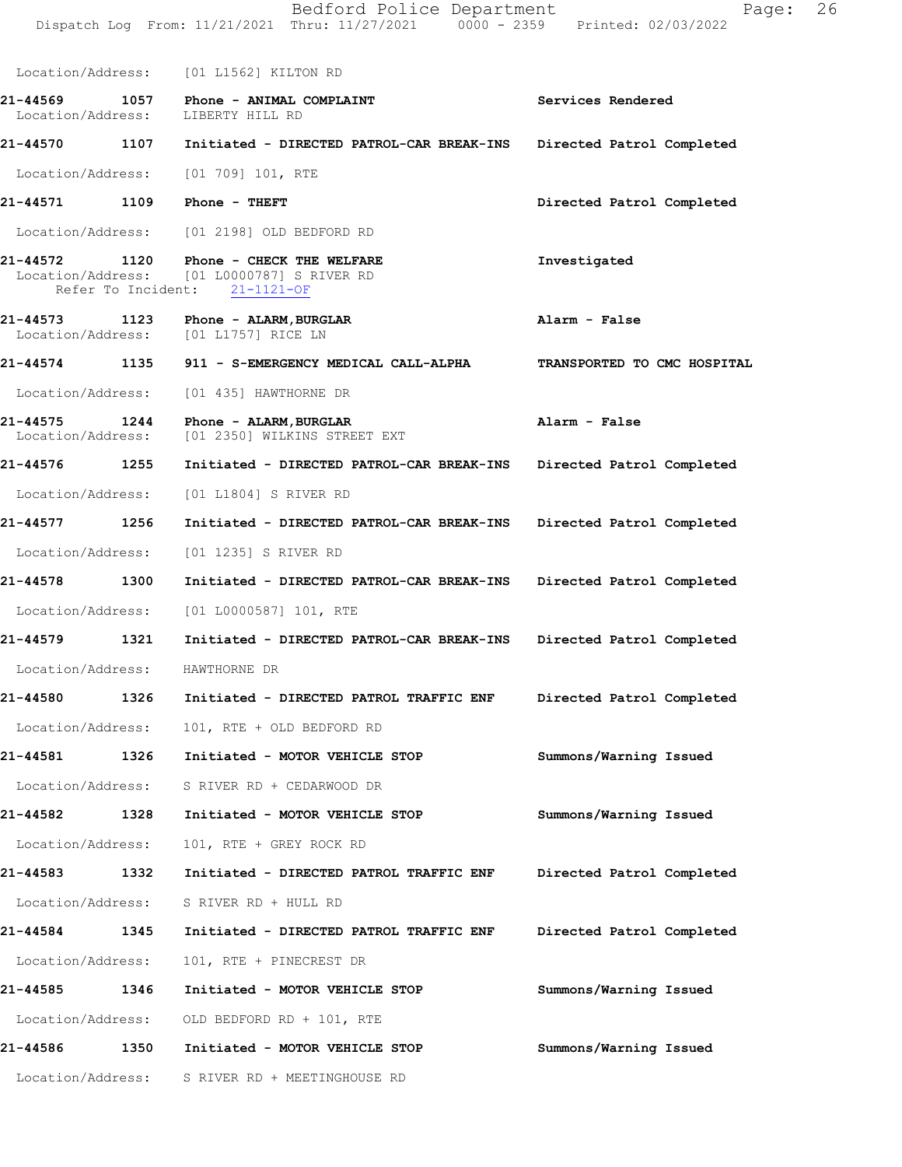Dispatch Log From: 11/21/2021 Thru: 11/27/2021 0000 - 2359 Printed: 02/03/2022 Location/Address: [01 L1562] KILTON RD **21-44569 1057 Phone - ANIMAL COMPLAINT Services Rendered**  Location/Address: **21-44570 1107 Initiated - DIRECTED PATROL-CAR BREAK-INS Directed Patrol Completed**  Location/Address: [01 709] 101, RTE **21-44571 1109 Phone - THEFT Directed Patrol Completed**  Location/Address: [01 2198] OLD BEDFORD RD **21-44572 1120 Phone - CHECK THE WELFARE Investigated**  Location/Address: [01 L0000787] S RIVER RD Refer To Incident: 21-1121-OF **21-44573 1123 Phone - ALARM,BURGLAR Alarm - False**  [01 L1757] RICE LN **21-44574 1135 911 - S-EMERGENCY MEDICAL CALL-ALPHA TRANSPORTED TO CMC HOSPITAL**  Location/Address: [01 435] HAWTHORNE DR **21-44575 1244 Phone - ALARM,BURGLAR Alarm - False**  [01 2350] WILKINS STREET EXT **21-44576 1255 Initiated - DIRECTED PATROL-CAR BREAK-INS Directed Patrol Completed**  Location/Address: [01 L1804] S RIVER RD **21-44577 1256 Initiated - DIRECTED PATROL-CAR BREAK-INS Directed Patrol Completed**  Location/Address: [01 1235] S RIVER RD **21-44578 1300 Initiated - DIRECTED PATROL-CAR BREAK-INS Directed Patrol Completed**  Location/Address: [01 L0000587] 101, RTE **21-44579 1321 Initiated - DIRECTED PATROL-CAR BREAK-INS Directed Patrol Completed**  Location/Address: HAWTHORNE DR **21-44580 1326 Initiated - DIRECTED PATROL TRAFFIC ENF Directed Patrol Completed**  Location/Address: 101, RTE + OLD BEDFORD RD **21-44581 1326 Initiated - MOTOR VEHICLE STOP Summons/Warning Issued**  Location/Address: S RIVER RD + CEDARWOOD DR **21-44582 1328 Initiated - MOTOR VEHICLE STOP Summons/Warning Issued**  Location/Address: 101, RTE + GREY ROCK RD **21-44583 1332 Initiated - DIRECTED PATROL TRAFFIC ENF Directed Patrol Completed**  Location/Address: S RIVER RD + HULL RD **21-44584 1345 Initiated - DIRECTED PATROL TRAFFIC ENF Directed Patrol Completed**  Location/Address: 101, RTE + PINECREST DR **21-44585 1346 Initiated - MOTOR VEHICLE STOP Summons/Warning Issued**  Location/Address: OLD BEDFORD RD + 101, RTE **21-44586 1350 Initiated - MOTOR VEHICLE STOP Summons/Warning Issued** 

Location/Address: S RIVER RD + MEETINGHOUSE RD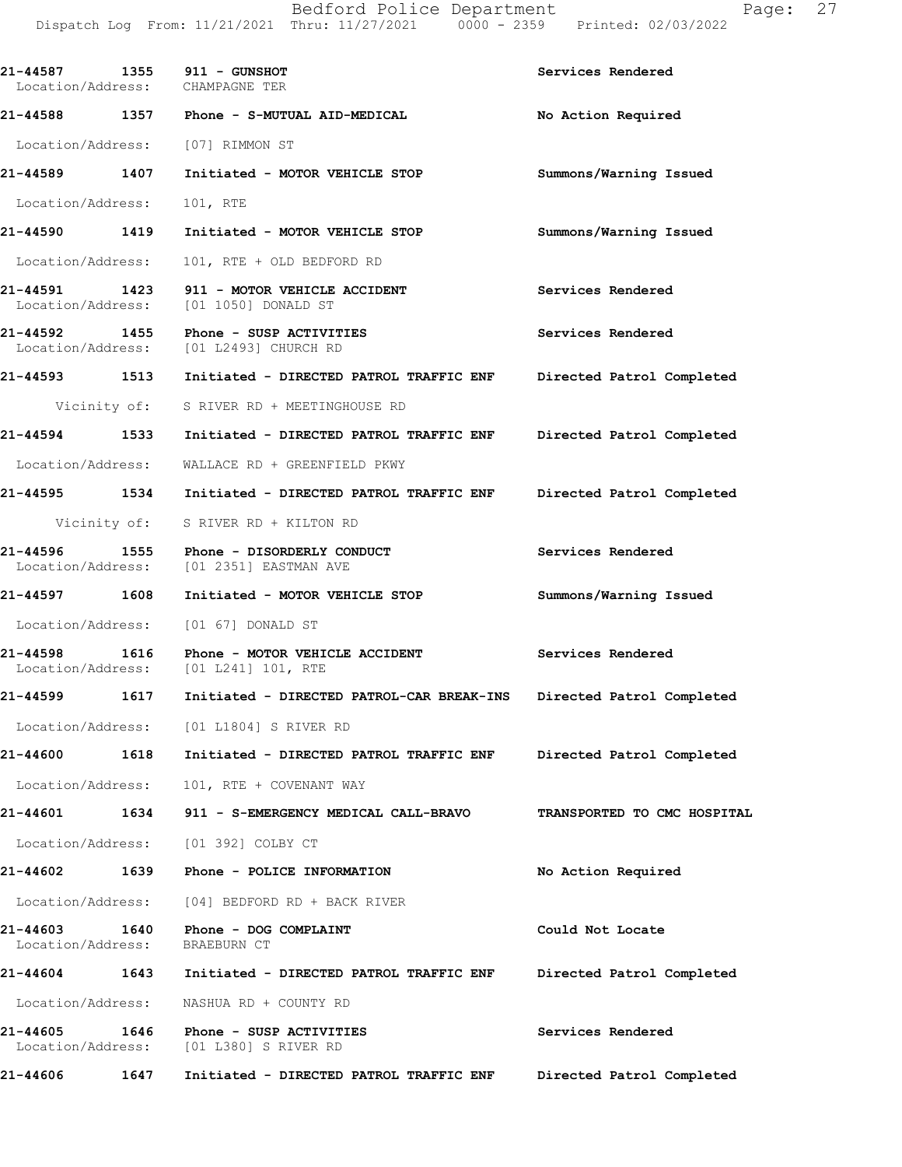| 21-44587 1355 911 - GUNSHOT<br>Location/Address: CHAMPAGNE TER |      |                                                                                     | Services Rendered           |
|----------------------------------------------------------------|------|-------------------------------------------------------------------------------------|-----------------------------|
|                                                                |      | 21-44588 1357 Phone - S-MUTUAL AID-MEDICAL                                          | No Action Required          |
| Location/Address: [07] RIMMON ST                               |      |                                                                                     |                             |
| 21-44589 1407                                                  |      | Initiated - MOTOR VEHICLE STOP                                                      | Summons/Warning Issued      |
| Location/Address:                                              |      | 101, RTE                                                                            |                             |
| 21-44590 1419                                                  |      | Initiated - MOTOR VEHICLE STOP                                                      | Summons/Warning Issued      |
| Location/Address:                                              |      | 101, RTE + OLD BEDFORD RD                                                           |                             |
|                                                                |      | 21-44591 1423 911 - MOTOR VEHICLE ACCIDENT<br>Location/Address: [01 1050] DONALD ST | Services Rendered           |
|                                                                |      | Location/Address: [01 L2493] CHURCH RD                                              | Services Rendered           |
| 21-44593 1513                                                  |      | Initiated - DIRECTED PATROL TRAFFIC ENF                                             | Directed Patrol Completed   |
|                                                                |      | Vicinity of: S RIVER RD + MEETINGHOUSE RD                                           |                             |
| 21-44594 1533                                                  |      | Initiated - DIRECTED PATROL TRAFFIC ENF Directed Patrol Completed                   |                             |
| Location/Address:                                              |      | WALLACE RD + GREENFIELD PKWY                                                        |                             |
|                                                                |      | 21-44595 1534 Initiated - DIRECTED PATROL TRAFFIC ENF                               | Directed Patrol Completed   |
|                                                                |      | Vicinity of: S RIVER RD + KILTON RD                                                 |                             |
| 21-44596 1555                                                  |      | Phone - DISORDERLY CONDUCT<br>Location/Address: [01 2351] EASTMAN AVE               | Services Rendered           |
| 21-44597 1608                                                  |      | Initiated - MOTOR VEHICLE STOP                                                      | Summons/Warning Issued      |
|                                                                |      | Location/Address: [01 67] DONALD ST                                                 |                             |
| 21-44598                                                       | 1616 | Phone - MOTOR VEHICLE ACCIDENT<br>Location/Address: [01 L241] 101, RTE              | Services Rendered           |
| 21-44599 1617                                                  |      | Initiated - DIRECTED PATROL-CAR BREAK-INS                                           | Directed Patrol Completed   |
|                                                                |      | Location/Address: [01 L1804] S RIVER RD                                             |                             |
| 21-44600                                                       | 1618 | Initiated - DIRECTED PATROL TRAFFIC ENF                                             | Directed Patrol Completed   |
| Location/Address:                                              |      | 101, RTE + COVENANT WAY                                                             |                             |
| 21-44601                                                       | 1634 | 911 - S-EMERGENCY MEDICAL CALL-BRAVO                                                | TRANSPORTED TO CMC HOSPITAL |
| Location/Address:                                              |      | [01 392] COLBY CT                                                                   |                             |
| 21-44602                                                       | 1639 | Phone - POLICE INFORMATION                                                          | No Action Required          |
| Location/Address:                                              |      | [04] BEDFORD RD + BACK RIVER                                                        |                             |
| 21-44603<br>Location/Address:                                  | 1640 | Phone - DOG COMPLAINT<br>BRAEBURN CT                                                | Could Not Locate            |
| 21-44604                                                       | 1643 | Initiated - DIRECTED PATROL TRAFFIC ENF                                             | Directed Patrol Completed   |
| Location/Address:                                              |      | NASHUA RD + COUNTY RD                                                               |                             |

**21-44605 1646 Phone - SUSP ACTIVITIES Services Rendered**  Location/Address: [01 L380] S RIVER RD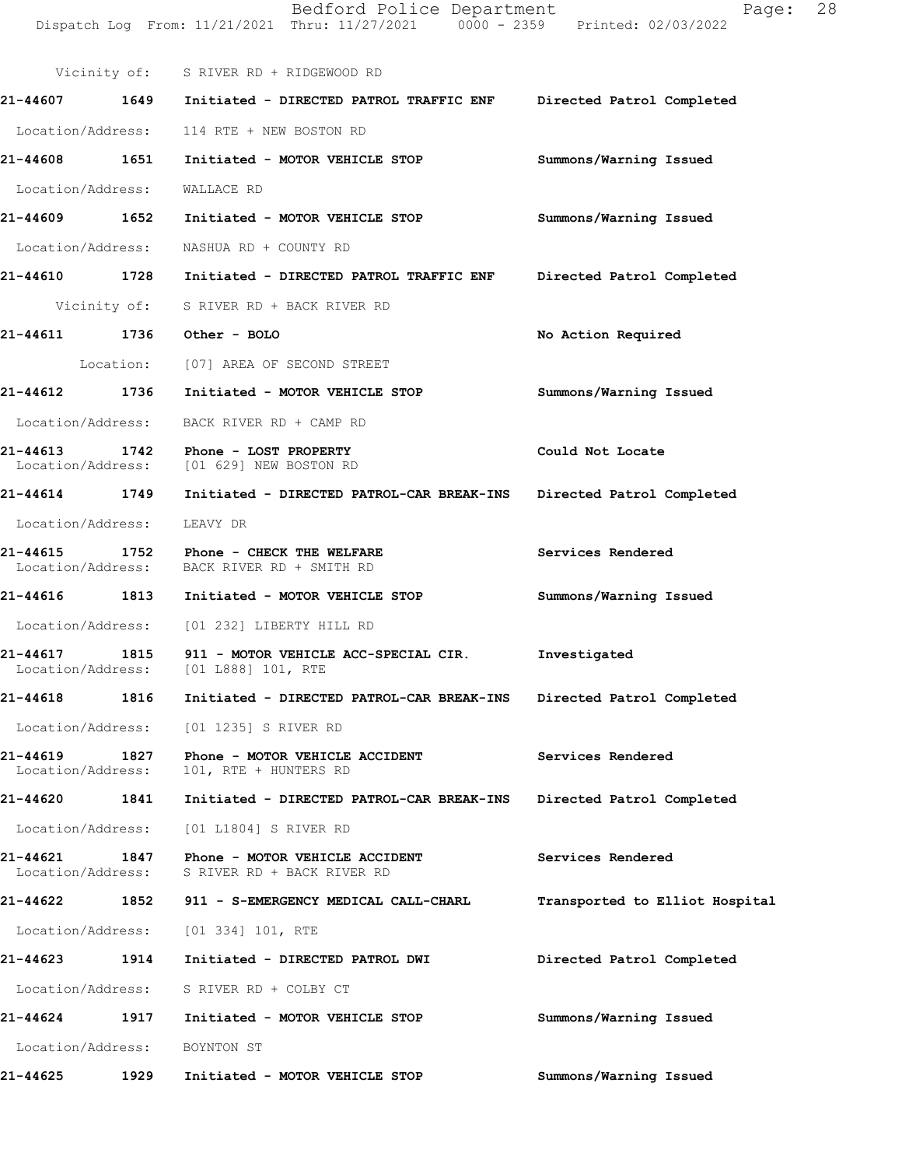|                               |      | Bedford Police Department<br>Dispatch Log From: 11/21/2021 Thru: 11/27/2021 0000 - 2359 Printed: 02/03/2022 | Page:                          | 28 |
|-------------------------------|------|-------------------------------------------------------------------------------------------------------------|--------------------------------|----|
|                               |      | Vicinity of: S RIVER RD + RIDGEWOOD RD                                                                      |                                |    |
|                               |      | 21-44607 1649 Initiated - DIRECTED PATROL TRAFFIC ENF Directed Patrol Completed                             |                                |    |
|                               |      | Location/Address: 114 RTE + NEW BOSTON RD                                                                   |                                |    |
| 21-44608 1651                 |      | Initiated - MOTOR VEHICLE STOP                                                                              | Summons/Warning Issued         |    |
| Location/Address:             |      | WALLACE RD                                                                                                  |                                |    |
|                               |      | 21-44609 1652 Initiated - MOTOR VEHICLE STOP                                                                | Summons/Warning Issued         |    |
| Location/Address:             |      | NASHUA RD + COUNTY RD                                                                                       |                                |    |
|                               |      | 21-44610 1728 Initiated - DIRECTED PATROL TRAFFIC ENF                                                       | Directed Patrol Completed      |    |
|                               |      | Vicinity of: S RIVER RD + BACK RIVER RD                                                                     |                                |    |
|                               |      | 21-44611 1736 Other - BOLO                                                                                  | No Action Required             |    |
|                               |      | Location: [07] AREA OF SECOND STREET                                                                        |                                |    |
|                               |      | 21-44612 1736 Initiated - MOTOR VEHICLE STOP                                                                | Summons/Warning Issued         |    |
|                               |      | Location/Address: BACK RIVER RD + CAMP RD                                                                   |                                |    |
|                               |      | 21-44613 1742 Phone - LOST PROPERTY<br>Location/Address: [01 629] NEW BOSTON RD                             | Could Not Locate               |    |
|                               |      | 21-44614 1749 Initiated - DIRECTED PATROL-CAR BREAK-INS                                                     | Directed Patrol Completed      |    |
| Location/Address:             |      | LEAVY DR                                                                                                    |                                |    |
|                               |      | 21-44615 1752 Phone - CHECK THE WELFARE<br>Location/Address: BACK RIVER RD + SMITH RD                       | Services Rendered              |    |
|                               |      | 21-44616 1813 Initiated - MOTOR VEHICLE STOP                                                                | Summons/Warning Issued         |    |
|                               |      | Location/Address: [01 232] LIBERTY HILL RD                                                                  |                                |    |
| 21-44617<br>Location/Address: | 1815 | 911 - MOTOR VEHICLE ACC-SPECIAL CIR.<br>[01 L888] 101, RTE                                                  | Investigated                   |    |
| 21-44618                      | 1816 | Initiated - DIRECTED PATROL-CAR BREAK-INS                                                                   | Directed Patrol Completed      |    |
| Location/Address:             |      | [01 1235] S RIVER RD                                                                                        |                                |    |
| 21-44619<br>Location/Address: | 1827 | Phone - MOTOR VEHICLE ACCIDENT<br>101, RTE + HUNTERS RD                                                     | Services Rendered              |    |
| 21-44620 1841                 |      | Initiated - DIRECTED PATROL-CAR BREAK-INS                                                                   | Directed Patrol Completed      |    |
| Location/Address:             |      | [01 L1804] S RIVER RD                                                                                       |                                |    |
| 21-44621<br>Location/Address: | 1847 | Phone - MOTOR VEHICLE ACCIDENT<br>S RIVER RD + BACK RIVER RD                                                | Services Rendered              |    |
| 21-44622 1852                 |      | 911 - S-EMERGENCY MEDICAL CALL-CHARL                                                                        | Transported to Elliot Hospital |    |
| Location/Address:             |      | [01 334] 101, RTE                                                                                           |                                |    |
| 21-44623 1914                 |      | Initiated - DIRECTED PATROL DWI                                                                             | Directed Patrol Completed      |    |
| Location/Address:             |      | S RIVER RD + COLBY CT                                                                                       |                                |    |
| 21-44624                      | 1917 | Initiated - MOTOR VEHICLE STOP                                                                              | Summons/Warning Issued         |    |
| Location/Address:             |      | BOYNTON ST                                                                                                  |                                |    |
| 21-44625                      | 1929 | Initiated - MOTOR VEHICLE STOP                                                                              | Summons/Warning Issued         |    |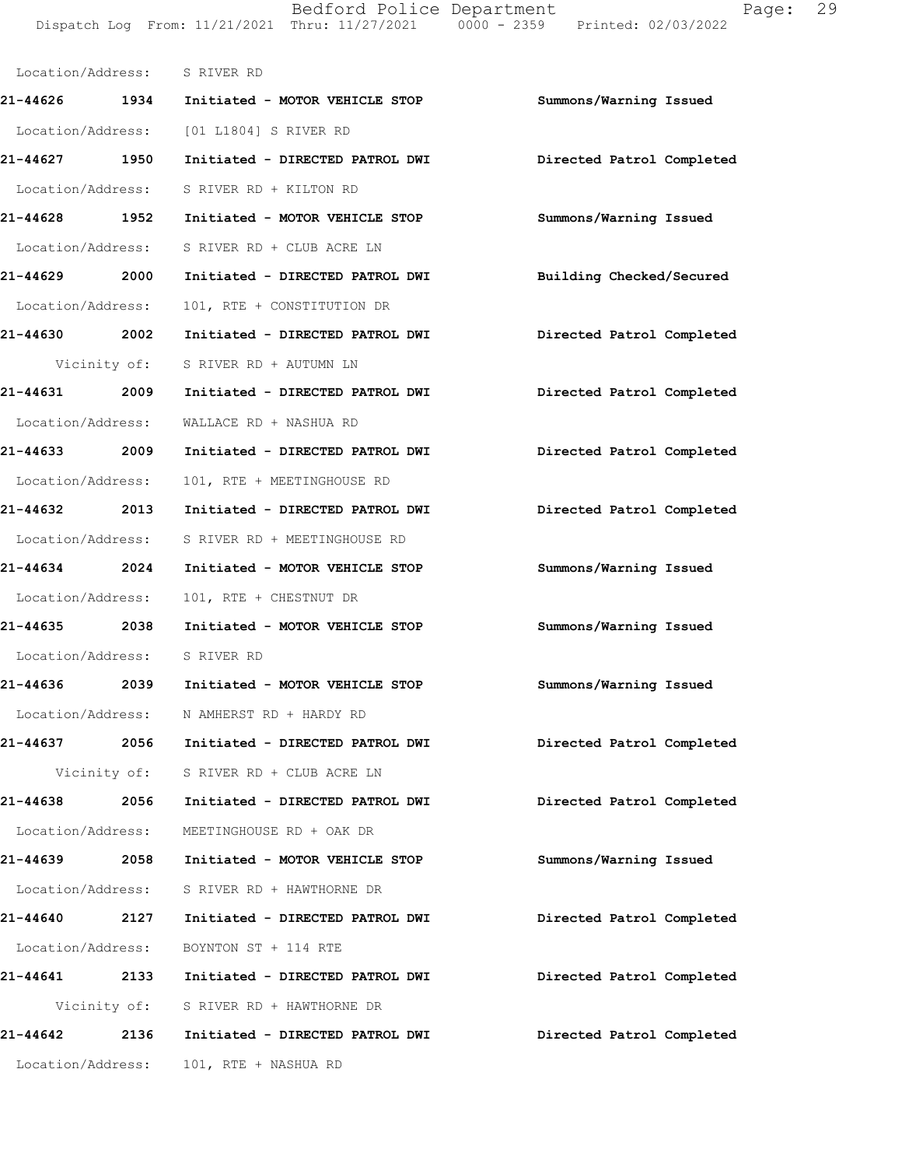Bedford Police Department Fage: 29 Dispatch Log From: 11/21/2021 Thru: 11/27/2021 0000 - 2359 Printed: 02/03/2022

|                   |      | Location/Address: S RIVER RD                              |                           |
|-------------------|------|-----------------------------------------------------------|---------------------------|
|                   |      | 21-44626 1934 Initiated - MOTOR VEHICLE STOP              | Summons/Warning Issued    |
|                   |      | Location/Address: [01 L1804] S RIVER RD                   |                           |
| 21-44627 1950     |      | Initiated - DIRECTED PATROL DWI Directed Patrol Completed |                           |
|                   |      | Location/Address: S RIVER RD + KILTON RD                  |                           |
|                   |      | 21-44628 1952 Initiated - MOTOR VEHICLE STOP              | Summons/Warning Issued    |
|                   |      | Location/Address: S RIVER RD + CLUB ACRE LN               |                           |
| 21-44629 2000     |      | Initiated - DIRECTED PATROL DWI Building Checked/Secured  |                           |
| Location/Address: |      | 101, RTE + CONSTITUTION DR                                |                           |
|                   |      | 21-44630  2002 Initiated - DIRECTED PATROL DWI            | Directed Patrol Completed |
|                   |      | Vicinity of: S RIVER RD + AUTUMN LN                       |                           |
| 21-44631 2009     |      | Initiated - DIRECTED PATROL DWI                           | Directed Patrol Completed |
|                   |      | Location/Address: WALLACE RD + NASHUA RD                  |                           |
| 21-44633 2009     |      | Initiated - DIRECTED PATROL DWI Directed Patrol Completed |                           |
| Location/Address: |      | 101, RTE + MEETINGHOUSE RD                                |                           |
|                   |      | 21-44632 2013 Initiated - DIRECTED PATROL DWI             | Directed Patrol Completed |
|                   |      | Location/Address: S RIVER RD + MEETINGHOUSE RD            |                           |
| 21-44634 2024     |      | Initiated - MOTOR VEHICLE STOP                            | Summons/Warning Issued    |
| Location/Address: |      | 101, RTE + CHESTNUT DR                                    |                           |
| 21-44635 2038     |      | Initiated - MOTOR VEHICLE STOP                            | Summons/Warning Issued    |
|                   |      | Location/Address: S RIVER RD                              |                           |
|                   |      | 21-44636 2039 Initiated - MOTOR VEHICLE STOP              | Summons/Warning Issued    |
|                   |      | Location/Address: N AMHERST RD + HARDY RD                 |                           |
|                   |      | 21-44637 2056 Initiated - DIRECTED PATROL DWI             | Directed Patrol Completed |
|                   |      | Vicinity of: S RIVER RD + CLUB ACRE LN                    |                           |
| 21-44638 2056     |      | Initiated - DIRECTED PATROL DWI                           | Directed Patrol Completed |
| Location/Address: |      | MEETINGHOUSE RD + OAK DR                                  |                           |
| 21-44639 2058     |      | Initiated - MOTOR VEHICLE STOP                            | Summons/Warning Issued    |
| Location/Address: |      | S RIVER RD + HAWTHORNE DR                                 |                           |
| 21-44640          | 2127 | Initiated - DIRECTED PATROL DWI                           | Directed Patrol Completed |
| Location/Address: |      | BOYNTON ST + 114 RTE                                      |                           |
| 21-44641 2133     |      | Initiated - DIRECTED PATROL DWI                           | Directed Patrol Completed |
|                   |      | Vicinity of: S RIVER RD + HAWTHORNE DR                    |                           |
| 21-44642 2136     |      | Initiated - DIRECTED PATROL DWI                           | Directed Patrol Completed |
| Location/Address: |      | 101, RTE + NASHUA RD                                      |                           |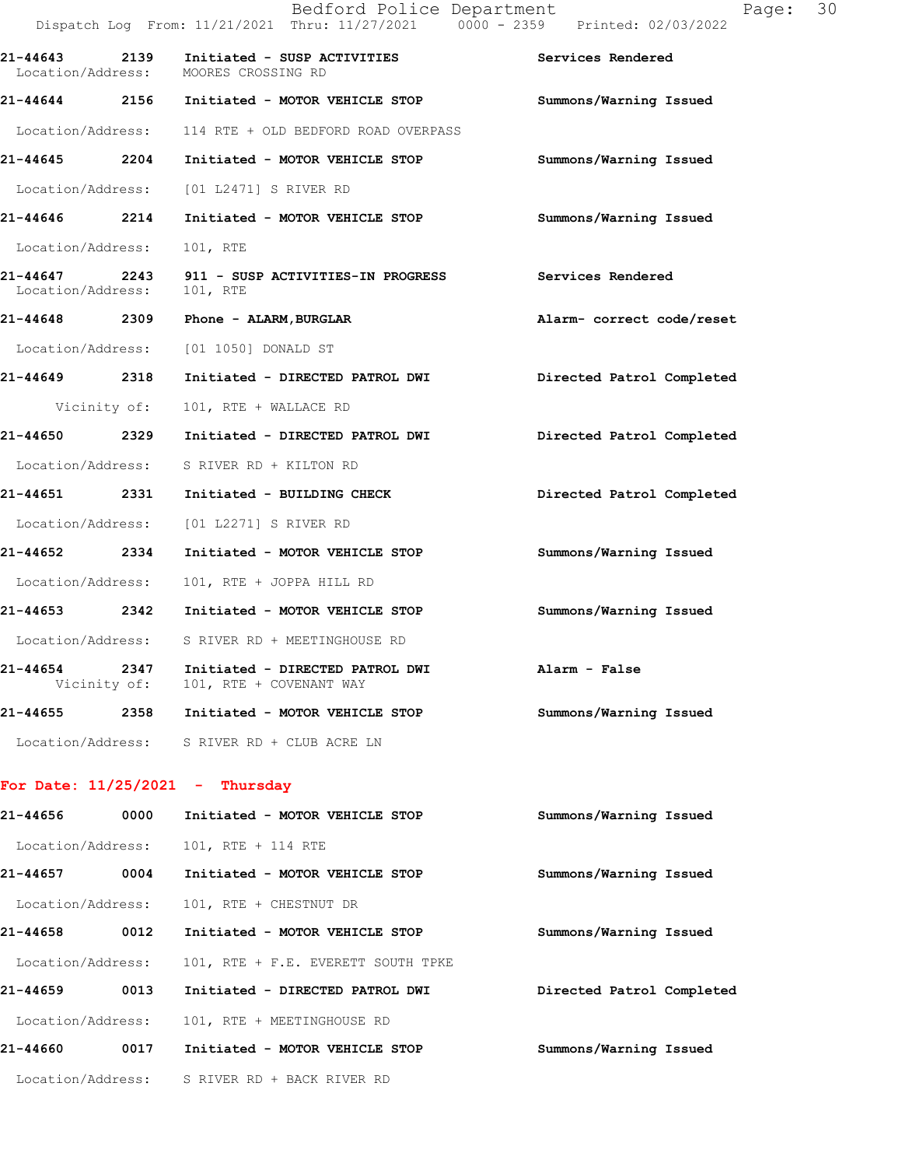|                                  | Bedford Police Department<br>Dispatch Log From: 11/21/2021 Thru: 11/27/2021 0000 - 2359 Printed: 02/03/2022 |                           |
|----------------------------------|-------------------------------------------------------------------------------------------------------------|---------------------------|
|                                  | 21-44643 2139 Initiated - SUSP ACTIVITIES<br>Location/Address: MOORES CROSSING RD                           | Services Rendered         |
|                                  | 21-44644 2156 Initiated - MOTOR VEHICLE STOP                                                                | Summons/Warning Issued    |
|                                  | Location/Address: 114 RTE + OLD BEDFORD ROAD OVERPASS                                                       |                           |
| 21-44645 2204                    | Initiated - MOTOR VEHICLE STOP                                                                              | Summons/Warning Issued    |
|                                  | Location/Address: [01 L2471] S RIVER RD                                                                     |                           |
| 21-44646 2214                    | Initiated - MOTOR VEHICLE STOP                                                                              | Summons/Warning Issued    |
| Location/Address:                | 101, RTE                                                                                                    |                           |
| Location/Address:                | 21-44647 2243 911 - SUSP ACTIVITIES-IN PROGRESS<br>101, RTE                                                 | Services Rendered         |
|                                  | 21-44648 2309 Phone - ALARM, BURGLAR                                                                        | Alarm- correct code/reset |
|                                  | Location/Address: [01 1050] DONALD ST                                                                       |                           |
| 21-44649 2318                    | Initiated - DIRECTED PATROL DWI Directed Patrol Completed                                                   |                           |
| Vicinity of:                     | 101, RTE + WALLACE RD                                                                                       |                           |
| 21-44650 2329                    | Initiated - DIRECTED PATROL DWI                                                                             | Directed Patrol Completed |
| Location/Address:                | S RIVER RD + KILTON RD                                                                                      |                           |
| 21-44651 2331                    | Initiated - BUILDING CHECK                                                                                  | Directed Patrol Completed |
| Location/Address:                | [01 L2271] S RIVER RD                                                                                       |                           |
| 21-44652 2334                    | Initiated - MOTOR VEHICLE STOP                                                                              | Summons/Warning Issued    |
| Location/Address:                | 101, RTE + JOPPA HILL RD                                                                                    |                           |
|                                  | 21-44653 2342 Initiated - MOTOR VEHICLE STOP                                                                | Summons/Warning Issued    |
|                                  | Location/Address: S RIVER RD + MEETINGHOUSE RD                                                              |                           |
| 21-44654<br>2347<br>Vicinity of: | Initiated - DIRECTED PATROL DWI<br>101, RTE + COVENANT WAY                                                  | Alarm - False             |
|                                  | 21-44655 2358 Initiated - MOTOR VEHICLE STOP                                                                | Summons/Warning Issued    |
|                                  | Location/Address: S RIVER RD + CLUB ACRE LN                                                                 |                           |
|                                  | For Date: $11/25/2021$ - Thursday                                                                           |                           |
| 21-44656<br>0000                 | Initiated - MOTOR VEHICLE STOP                                                                              | Summons/Warning Issued    |
| Location/Address:                | 101, RTE + 114 RTE                                                                                          |                           |
| 21-44657<br>0004                 | Initiated - MOTOR VEHICLE STOP                                                                              | Summons/Warning Issued    |
| Location/Address:                | 101, RTE + CHESTNUT DR                                                                                      |                           |
| 21-44658<br>0012                 | Initiated - MOTOR VEHICLE STOP                                                                              | Summons/Warning Issued    |
| Location/Address:                | 101, RTE + F.E. EVERETT SOUTH TPKE                                                                          |                           |
| 21-44659                         | 0013<br>Initiated - DIRECTED PATROL DWI                                                                     | Directed Patrol Completed |
| Location/Address:                | 101, RTE + MEETINGHOUSE RD                                                                                  |                           |
| 21-44660                         | 0017<br>Initiated - MOTOR VEHICLE STOP                                                                      | Summons/Warning Issued    |

Location/Address: S RIVER RD + BACK RIVER RD

Page: 30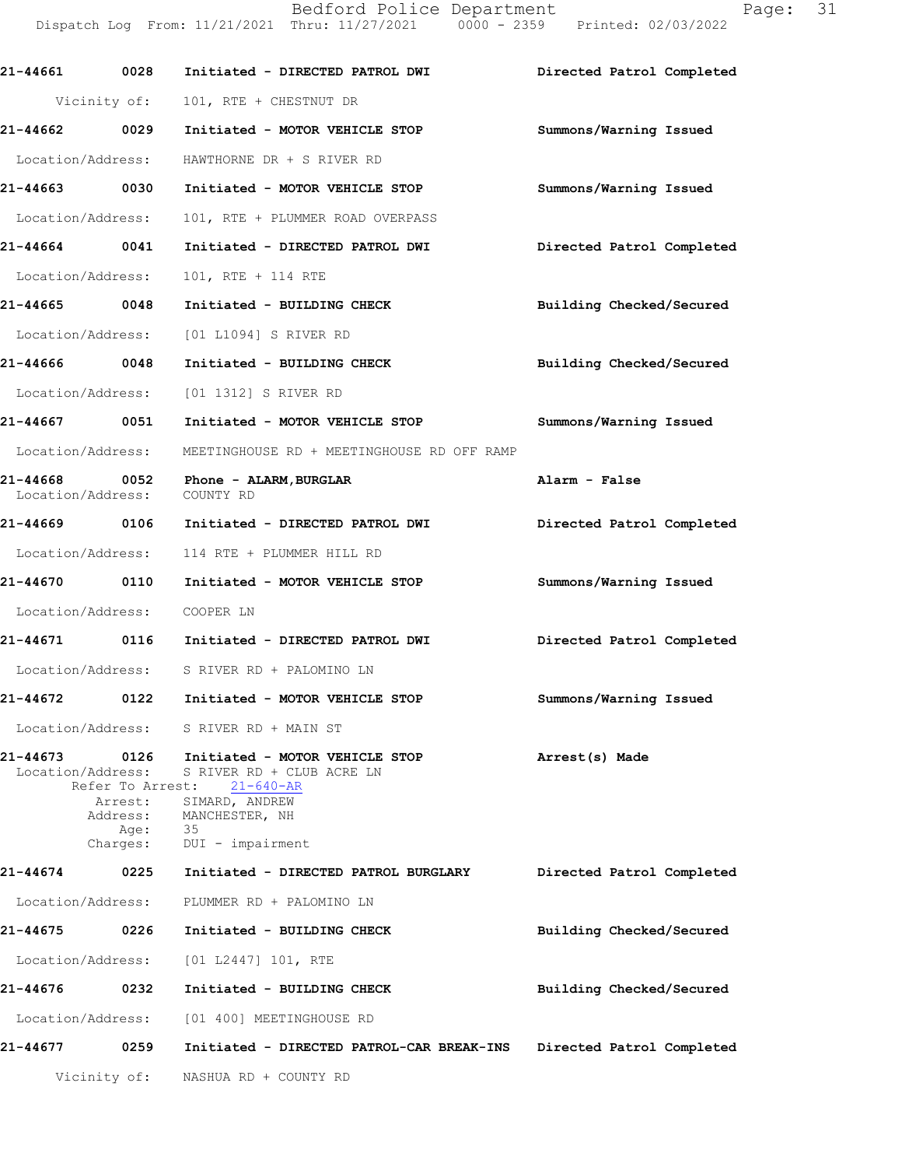Dispatch Log From: 11/21/2021 Thru: 11/27/2021 0000 - 2359 Printed: 02/03/2022 **21-44661 0028 Initiated - DIRECTED PATROL DWI Directed Patrol Completed** Vicinity of: 101, RTE + CHESTNUT DR **21-44662 0029 Initiated - MOTOR VEHICLE STOP Summons/Warning Issued** Location/Address: HAWTHORNE DR + S RIVER RD **21-44663 0030 Initiated - MOTOR VEHICLE STOP Summons/Warning Issued** Location/Address: 101, RTE + PLUMMER ROAD OVERPASS **21-44664 0041 Initiated - DIRECTED PATROL DWI Directed Patrol Completed** Location/Address: 101, RTE + 114 RTE **21-44665 0048 Initiated - BUILDING CHECK Building Checked/Secured** Location/Address: [01 L1094] S RIVER RD **21-44666 0048 Initiated - BUILDING CHECK Building Checked/Secured** Location/Address: [01 1312] S RIVER RD **21-44667 0051 Initiated - MOTOR VEHICLE STOP Summons/Warning Issued** Location/Address: MEETINGHOUSE RD + MEETINGHOUSE RD OFF RAMP **21-44668 0052 Phone - ALARM,BURGLAR Alarm - False** Location/Address: **21-44669 0106 Initiated - DIRECTED PATROL DWI Directed Patrol Completed** Location/Address: 114 RTE + PLUMMER HILL RD **21-44670 0110 Initiated - MOTOR VEHICLE STOP Summons/Warning Issued** Location/Address: COOPER LN **21-44671 0116 Initiated - DIRECTED PATROL DWI Directed Patrol Completed** Location/Address: S RIVER RD + PALOMINO LN **21-44672 0122 Initiated - MOTOR VEHICLE STOP Summons/Warning Issued** Location/Address: S RIVER RD + MAIN ST **21-44673 0126 Arrest(s) Made Initiated - MOTOR VEHICLE STOP** Location/Address: S RIVER RD + CLUB ACRE LN<br>Refer To Arrest: 21-640-AR Refer To Arrest: **Directed Patrol Completed Building Checked/Secured Building Checked/Secured Directed Patrol Completed 21-44677 0259 Initiated - DIRECTED PATROL-CAR BREAK-INS** Arrest: SIMARD, ANDREW Address: MANCHESTER, NH<br>Age: 35 Age: Charges: DUI - impairment **21-44674 0225 Initiated - DIRECTED PATROL BURGLARY** Location/Address: PLUMMER RD + PALOMINO LN **21-44675 0226 Initiated - BUILDING CHECK** Location/Address: [01 L2447] 101, RTE **21-44676 0232 Initiated - BUILDING CHECK** Location/Address: [01 400] MEETINGHOUSE RD

Bedford Police Department Page: 31

Vicinity of: NASHUA RD + COUNTY RD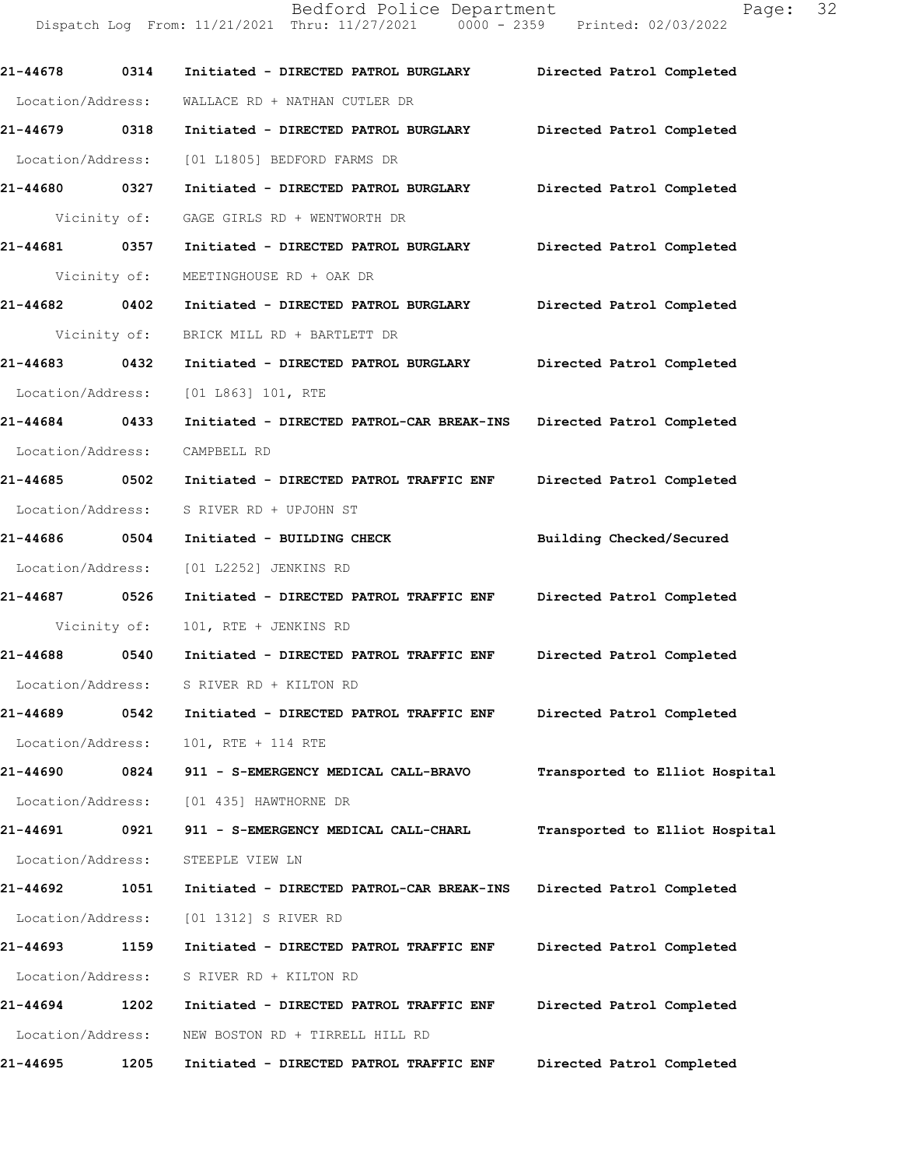Bedford Police Department Fage: 32 Dispatch Log From: 11/21/2021 Thru: 11/27/2021 0000 - 2359 Printed: 02/03/2022 **21-44678 0314 Initiated - DIRECTED PATROL BURGLARY Directed Patrol Completed**  Location/Address: WALLACE RD + NATHAN CUTLER DR **21-44679 0318 Initiated - DIRECTED PATROL BURGLARY Directed Patrol Completed**  Location/Address: [01 L1805] BEDFORD FARMS DR

**21-44680 0327 Initiated - DIRECTED PATROL BURGLARY Directed Patrol Completed**  Vicinity of: GAGE GIRLS RD + WENTWORTH DR

**21-44681 0357 Initiated - DIRECTED PATROL BURGLARY Directed Patrol Completed**  Vicinity of: MEETINGHOUSE RD + OAK DR **21-44682 0402 Initiated - DIRECTED PATROL BURGLARY Directed Patrol Completed** 

Vicinity of: BRICK MILL RD + BARTLETT DR

**21-44683 0432 Initiated - DIRECTED PATROL BURGLARY Directed Patrol Completed**  Location/Address: [01 L863] 101, RTE

**21-44684 0433 Initiated - DIRECTED PATROL-CAR BREAK-INS Directed Patrol Completed**  Location/Address: CAMPBELL RD

**21-44685 0502 Initiated - DIRECTED PATROL TRAFFIC ENF Directed Patrol Completed**  Location/Address: S RIVER RD + UPJOHN ST

**21-44686 0504 Initiated - BUILDING CHECK Building Checked/Secured**  Location/Address: [01 L2252] JENKINS RD

**21-44687 0526 Initiated - DIRECTED PATROL TRAFFIC ENF Directed Patrol Completed**  Vicinity of: 101, RTE + JENKINS RD

**21-44688 0540 Initiated - DIRECTED PATROL TRAFFIC ENF Directed Patrol Completed**  Location/Address: S RIVER RD + KILTON RD

**21-44689 0542 Initiated - DIRECTED PATROL TRAFFIC ENF Directed Patrol Completed**  Location/Address: 101, RTE + 114 RTE

**21-44690 0824 911 - S-EMERGENCY MEDICAL CALL-BRAVO Transported to Elliot Hospital** Location/Address: [01 435] HAWTHORNE DR

**21-44691 0921 911 - S-EMERGENCY MEDICAL CALL-CHARL Transported to Elliot Hospital** Location/Address: STEEPLE VIEW LN **21-44692 1051 Initiated - DIRECTED PATROL-CAR BREAK-INS Directed Patrol Completed** 

Location/Address: [01 1312] S RIVER RD

**21-44693 1159 Initiated - DIRECTED PATROL TRAFFIC ENF Directed Patrol Completed**  Location/Address: S RIVER RD + KILTON RD **21-44694 1202 Initiated - DIRECTED PATROL TRAFFIC ENF Directed Patrol Completed** 

Location/Address: NEW BOSTON RD + TIRRELL HILL RD

**21-44695 1205 Initiated - DIRECTED PATROL TRAFFIC ENF Directed Patrol Completed**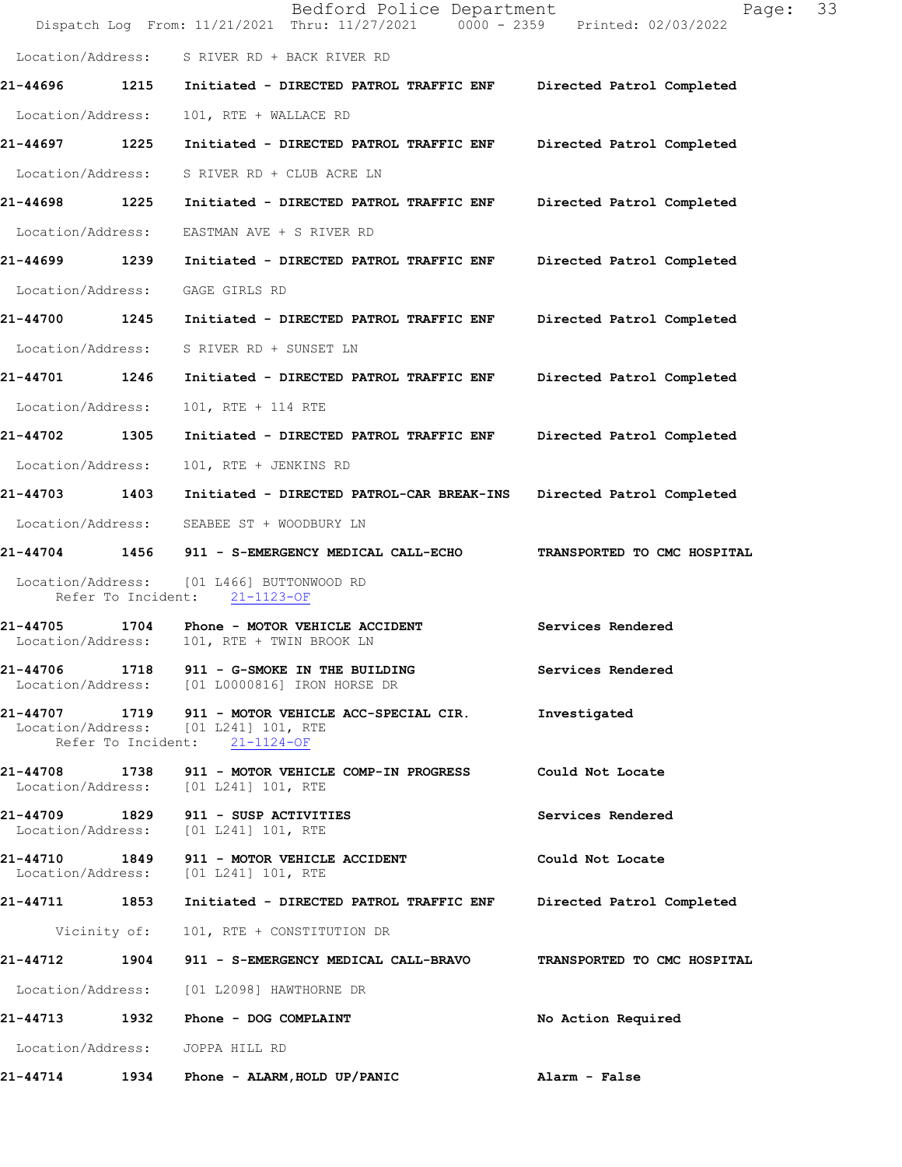|                               |                    | Bedford Police Department<br>Dispatch Log From: 11/21/2021 Thru: 11/27/2021 0000 - 2359 Printed: 02/03/2022                 | 33<br>Page:                 |
|-------------------------------|--------------------|-----------------------------------------------------------------------------------------------------------------------------|-----------------------------|
| Location/Address:             |                    | S RIVER RD + BACK RIVER RD                                                                                                  |                             |
| 21-44696                      | 1215               | Initiated - DIRECTED PATROL TRAFFIC ENF                                                                                     | Directed Patrol Completed   |
| Location/Address:             |                    | 101, RTE + WALLACE RD                                                                                                       |                             |
| 21-44697                      | 1225               | Initiated - DIRECTED PATROL TRAFFIC ENF                                                                                     | Directed Patrol Completed   |
| Location/Address:             |                    | S RIVER RD + CLUB ACRE LN                                                                                                   |                             |
| 21-44698 1225                 |                    | Initiated - DIRECTED PATROL TRAFFIC ENF                                                                                     | Directed Patrol Completed   |
| Location/Address:             |                    | EASTMAN AVE + S RIVER RD                                                                                                    |                             |
| 21-44699 1239                 |                    | Initiated - DIRECTED PATROL TRAFFIC ENF                                                                                     | Directed Patrol Completed   |
| Location/Address:             |                    | GAGE GIRLS RD                                                                                                               |                             |
| 21-44700                      | 1245               | Initiated - DIRECTED PATROL TRAFFIC ENF                                                                                     | Directed Patrol Completed   |
| Location/Address:             |                    | S RIVER RD + SUNSET LN                                                                                                      |                             |
| 21-44701                      | 1246               | Initiated - DIRECTED PATROL TRAFFIC ENF                                                                                     | Directed Patrol Completed   |
| Location/Address:             |                    | 101, RTE + 114 RTE                                                                                                          |                             |
| 21-44702 1305                 |                    | Initiated - DIRECTED PATROL TRAFFIC ENF                                                                                     | Directed Patrol Completed   |
| Location/Address:             |                    | 101, RTE + JENKINS RD                                                                                                       |                             |
| 21-44703                      | 1403               | Initiated - DIRECTED PATROL-CAR BREAK-INS                                                                                   | Directed Patrol Completed   |
| Location/Address:             |                    | SEABEE ST + WOODBURY LN                                                                                                     |                             |
| 21-44704                      |                    | 1456 911 - S-EMERGENCY MEDICAL CALL-ECHO                                                                                    | TRANSPORTED TO CMC HOSPITAL |
| Location/Address:             | Refer To Incident: | [01 L466] BUTTONWOOD RD<br>$21 - 1123 - OF$                                                                                 |                             |
| 21-44705<br>Location/Address: | 1704               | Phone - MOTOR VEHICLE ACCIDENT<br>101, RTE + TWIN BROOK LN                                                                  | Services Rendered           |
|                               |                    | 21-44706 1718 911 - G-SMOKE IN THE BUILDING<br>Location/Address: [01 L0000816] IRON HORSE DR                                | Services Rendered           |
|                               |                    | 21-44707 1719 911 - MOTOR VEHICLE ACC-SPECIAL CIR.<br>Location/Address: [01 L241] 101, RTE<br>Refer To Incident: 21-1124-OF | Investigated                |
| 21-44708                      |                    | 1738 911 - MOTOR VEHICLE COMP-IN PROGRESS<br>Location/Address: [01 L241] 101, RTE                                           | Could Not Locate            |
| 21-44709 1829                 |                    | 911 - SUSP ACTIVITIES<br>Location/Address: [01 L241] 101, RTE                                                               | Services Rendered           |
| Location/Address:             |                    | 21-44710 1849 911 - MOTOR VEHICLE ACCIDENT<br>[01 L241] 101, RTE                                                            | Could Not Locate            |
| 21-44711 1853                 |                    | Initiated - DIRECTED PATROL TRAFFIC ENF Directed Patrol Completed                                                           |                             |
|                               | Vicinity of:       | 101, RTE + CONSTITUTION DR                                                                                                  |                             |
| 21-44712                      |                    | 1904 911 - S-EMERGENCY MEDICAL CALL-BRAVO                                                                                   | TRANSPORTED TO CMC HOSPITAL |
|                               |                    | Location/Address: [01 L2098] HAWTHORNE DR                                                                                   |                             |
| 21-44713                      | 1932               | Phone - DOG COMPLAINT                                                                                                       | No Action Required          |
|                               |                    | Location/Address: JOPPA HILL RD                                                                                             |                             |
|                               |                    |                                                                                                                             | Alarm - False               |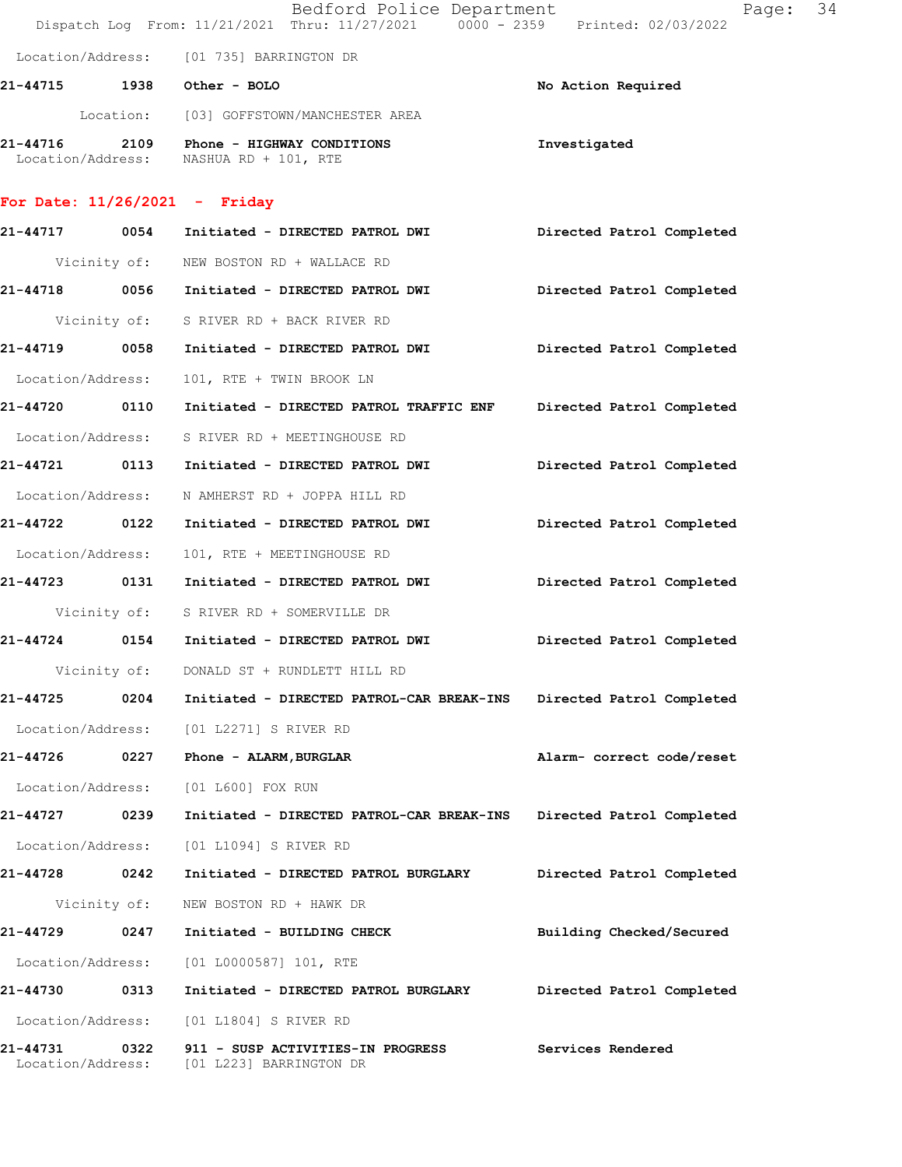|                                 |      | Bedford Police Department<br>Dispatch Log From: 11/21/2021 Thru: 11/27/2021 0000 - 2359 Printed: 02/03/2022 | Page: 34                  |
|---------------------------------|------|-------------------------------------------------------------------------------------------------------------|---------------------------|
|                                 |      | Location/Address: [01 735] BARRINGTON DR                                                                    |                           |
| 21-44715 1938 Other - BOLO      |      |                                                                                                             | No Action Required        |
|                                 |      | Location: [03] GOFFSTOWN/MANCHESTER AREA                                                                    |                           |
|                                 |      | 21-44716 2109 Phone - HIGHWAY CONDITIONS<br>Location/Address: NASHUA RD + 101, RTE                          | Investigated              |
| For Date: $11/26/2021$ - Friday |      |                                                                                                             |                           |
|                                 |      | 21-44717 0054 Initiated - DIRECTED PATROL DWI                                                               | Directed Patrol Completed |
|                                 |      | Vicinity of: NEW BOSTON RD + WALLACE RD                                                                     |                           |
|                                 |      | 21-44718 0056 Initiated - DIRECTED PATROL DWI                                                               | Directed Patrol Completed |
|                                 |      | Vicinity of: S RIVER RD + BACK RIVER RD                                                                     |                           |
|                                 |      | 21-44719 0058 Initiated - DIRECTED PATROL DWI                                                               | Directed Patrol Completed |
| Location/Address:               |      | 101, RTE + TWIN BROOK LN                                                                                    |                           |
| 21-44720 0110                   |      | Initiated - DIRECTED PATROL TRAFFIC ENF                                                                     | Directed Patrol Completed |
|                                 |      | Location/Address: S RIVER RD + MEETINGHOUSE RD                                                              |                           |
|                                 |      | 21-44721 0113 Initiated - DIRECTED PATROL DWI                                                               | Directed Patrol Completed |
| Location/Address:               |      | N AMHERST RD + JOPPA HILL RD                                                                                |                           |
| 21-44722 0122                   |      | Initiated - DIRECTED PATROL DWI                                                                             | Directed Patrol Completed |
| Location/Address:               |      | 101, RTE + MEETINGHOUSE RD                                                                                  |                           |
|                                 |      | 21-44723 0131 Initiated - DIRECTED PATROL DWI                                                               | Directed Patrol Completed |
|                                 |      | Vicinity of: S RIVER RD + SOMERVILLE DR                                                                     |                           |
| 21-44724                        |      | 0154 Initiated - DIRECTED PATROL DWI                                                                        | Directed Patrol Completed |
| Vicinity of:                    |      | DONALD ST + RUNDLETT HILL RD                                                                                |                           |
| 21-44725                        | 0204 | Initiated - DIRECTED PATROL-CAR BREAK-INS                                                                   | Directed Patrol Completed |
| Location/Address:               |      | [01 L2271] S RIVER RD                                                                                       |                           |
| 21-44726                        | 0227 | Phone - ALARM, BURGLAR                                                                                      | Alarm- correct code/reset |
| Location/Address:               |      | [01 L600] FOX RUN                                                                                           |                           |
| 21-44727 0239                   |      | Initiated - DIRECTED PATROL-CAR BREAK-INS                                                                   | Directed Patrol Completed |
| Location/Address:               |      | [01 L1094] S RIVER RD                                                                                       |                           |
| 21-44728                        | 0242 | Initiated - DIRECTED PATROL BURGLARY                                                                        | Directed Patrol Completed |
| Vicinity of:                    |      | NEW BOSTON RD + HAWK DR                                                                                     |                           |
| 21-44729                        | 0247 | Initiated - BUILDING CHECK                                                                                  | Building Checked/Secured  |
| Location/Address:               |      | $[01 L0000587] 101$ , RTE                                                                                   |                           |
| 21-44730                        | 0313 | Initiated - DIRECTED PATROL BURGLARY                                                                        | Directed Patrol Completed |
| Location/Address:               |      | [01 L1804] S RIVER RD                                                                                       |                           |
| 21-44731<br>Location/Address:   | 0322 | 911 - SUSP ACTIVITIES-IN PROGRESS<br>[01 L223] BARRINGTON DR                                                | Services Rendered         |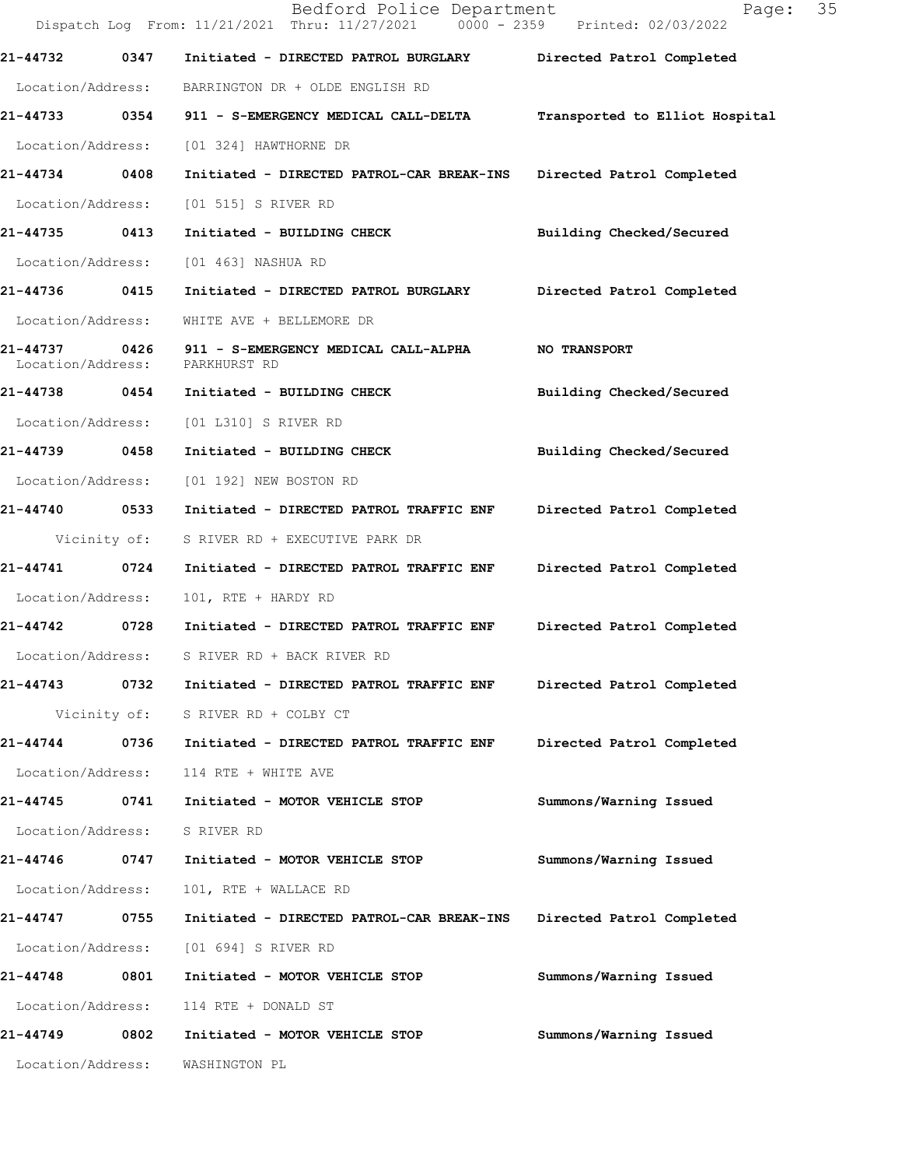|                   |              | Bedford Police Department<br>Dispatch Log From: 11/21/2021 Thru: 11/27/2021 0000 - 2359 Printed: 02/03/2022 | Page:                          | 35 |
|-------------------|--------------|-------------------------------------------------------------------------------------------------------------|--------------------------------|----|
| 21-44732          | 0347         | Initiated - DIRECTED PATROL BURGLARY Directed Patrol Completed                                              |                                |    |
| Location/Address: |              | BARRINGTON DR + OLDE ENGLISH RD                                                                             |                                |    |
|                   |              | 21-44733 0354 911 - S-EMERGENCY MEDICAL CALL-DELTA                                                          | Transported to Elliot Hospital |    |
| Location/Address: |              | [01 324] HAWTHORNE DR                                                                                       |                                |    |
| 21-44734 0408     |              | Initiated - DIRECTED PATROL-CAR BREAK-INS                                                                   | Directed Patrol Completed      |    |
| Location/Address: |              | [01 515] S RIVER RD                                                                                         |                                |    |
| 21-44735 0413     |              | Initiated - BUILDING CHECK                                                                                  | Building Checked/Secured       |    |
| Location/Address: |              | [01 463] NASHUA RD                                                                                          |                                |    |
| 21-44736 0415     |              | Initiated - DIRECTED PATROL BURGLARY                                                                        | Directed Patrol Completed      |    |
| Location/Address: |              | WHITE AVE + BELLEMORE DR                                                                                    |                                |    |
| Location/Address: |              | 21-44737 0426 911 - S-EMERGENCY MEDICAL CALL-ALPHA<br>PARKHURST RD                                          | <b>NO TRANSPORT</b>            |    |
|                   |              | 21-44738 0454 Initiated - BUILDING CHECK                                                                    | Building Checked/Secured       |    |
| Location/Address: |              | [01 L310] S RIVER RD                                                                                        |                                |    |
| 21-44739 0458     |              | Initiated - BUILDING CHECK                                                                                  | Building Checked/Secured       |    |
| Location/Address: |              | [01 192] NEW BOSTON RD                                                                                      |                                |    |
| 21-44740 0533     |              | Initiated - DIRECTED PATROL TRAFFIC ENF                                                                     | Directed Patrol Completed      |    |
|                   | Vicinity of: | S RIVER RD + EXECUTIVE PARK DR                                                                              |                                |    |
| 21-44741          | 0724         | Initiated - DIRECTED PATROL TRAFFIC ENF                                                                     | Directed Patrol Completed      |    |
| Location/Address: |              | 101, RTE + HARDY RD                                                                                         |                                |    |
| 21-44742 0728     |              | Initiated - DIRECTED PATROL TRAFFIC ENF                                                                     | Directed Patrol Completed      |    |
| Location/Address: |              | S RIVER RD + BACK RIVER RD                                                                                  |                                |    |
| 21-44743          | 0732         | Initiated - DIRECTED PATROL TRAFFIC ENF                                                                     | Directed Patrol Completed      |    |
|                   |              | Vicinity of: S RIVER RD + COLBY CT                                                                          |                                |    |
| 21-44744          | 0736         | Initiated - DIRECTED PATROL TRAFFIC ENF                                                                     | Directed Patrol Completed      |    |
| Location/Address: |              | 114 RTE + WHITE AVE                                                                                         |                                |    |
| 21-44745          | 0741         | Initiated - MOTOR VEHICLE STOP                                                                              | Summons/Warning Issued         |    |
| Location/Address: |              | S RIVER RD                                                                                                  |                                |    |
| 21-44746          | 0747         | Initiated - MOTOR VEHICLE STOP                                                                              | Summons/Warning Issued         |    |
| Location/Address: |              | 101, RTE + WALLACE RD                                                                                       |                                |    |
| 21-44747 0755     |              | Initiated - DIRECTED PATROL-CAR BREAK-INS                                                                   | Directed Patrol Completed      |    |
| Location/Address: |              | [01 694] S RIVER RD                                                                                         |                                |    |
| 21-44748 0801     |              | Initiated - MOTOR VEHICLE STOP                                                                              | Summons/Warning Issued         |    |
| Location/Address: |              | 114 RTE + DONALD ST                                                                                         |                                |    |
| 21-44749          | 0802         | Initiated - MOTOR VEHICLE STOP                                                                              | Summons/Warning Issued         |    |
| Location/Address: |              | WASHINGTON PL                                                                                               |                                |    |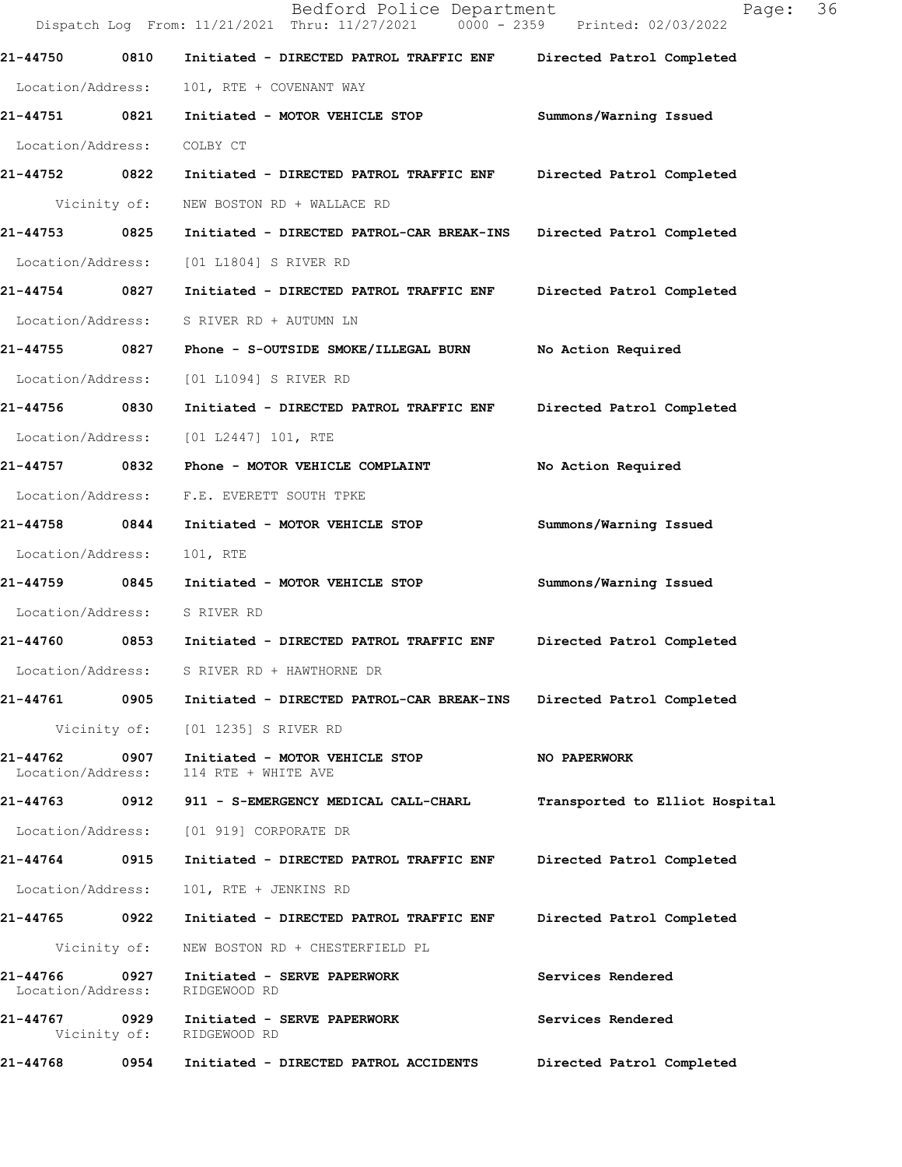|                                    |              | Bedford Police Department<br>Dispatch Log From: 11/21/2021 Thru: 11/27/2021 0000 - 2359 Printed: 02/03/2022 | 36<br>Page:                    |  |
|------------------------------------|--------------|-------------------------------------------------------------------------------------------------------------|--------------------------------|--|
| 21-44750                           | 0810         | Initiated - DIRECTED PATROL TRAFFIC ENF                                                                     | Directed Patrol Completed      |  |
| Location/Address:                  |              | 101, RTE + COVENANT WAY                                                                                     |                                |  |
| 21-44751 0821                      |              | Initiated - MOTOR VEHICLE STOP                                                                              | Summons/Warning Issued         |  |
| Location/Address:                  |              | COLBY CT                                                                                                    |                                |  |
| 21-44752 0822                      |              | Initiated - DIRECTED PATROL TRAFFIC ENF                                                                     | Directed Patrol Completed      |  |
|                                    | Vicinity of: | NEW BOSTON RD + WALLACE RD                                                                                  |                                |  |
| 21-44753                           | 0825         | Initiated - DIRECTED PATROL-CAR BREAK-INS Directed Patrol Completed                                         |                                |  |
| Location/Address:                  |              | [01 L1804] S RIVER RD                                                                                       |                                |  |
| 21-44754 0827                      |              | Initiated - DIRECTED PATROL TRAFFIC ENF                                                                     | Directed Patrol Completed      |  |
| Location/Address:                  |              | S RIVER RD + AUTUMN LN                                                                                      |                                |  |
| 21-44755 0827                      |              | Phone - S-OUTSIDE SMOKE/ILLEGAL BURN                                                                        | No Action Required             |  |
| Location/Address:                  |              | [01 L1094] S RIVER RD                                                                                       |                                |  |
| 21-44756                           | 0830         | Initiated - DIRECTED PATROL TRAFFIC ENF                                                                     | Directed Patrol Completed      |  |
| Location/Address:                  |              | [01 L2447] 101, RTE                                                                                         |                                |  |
| 21-44757 0832                      |              | Phone - MOTOR VEHICLE COMPLAINT                                                                             | No Action Required             |  |
| Location/Address:                  |              | F.E. EVERETT SOUTH TPKE                                                                                     |                                |  |
| 21-44758 0844                      |              | Initiated - MOTOR VEHICLE STOP                                                                              | Summons/Warning Issued         |  |
| Location/Address:                  |              | 101, RTE                                                                                                    |                                |  |
| 21-44759                           | 0845         | Initiated - MOTOR VEHICLE STOP                                                                              | Summons/Warning Issued         |  |
| Location/Address:                  |              | S RIVER RD                                                                                                  |                                |  |
| 21-44760                           | 0853         | Initiated - DIRECTED PATROL TRAFFIC ENF                                                                     | Directed Patrol Completed      |  |
|                                    |              | Location/Address: S RIVER RD + HAWTHORNE DR                                                                 |                                |  |
|                                    |              | 21-44761  0905    Initiated - DIRECTED PATROL-CAR BREAK-INS                                                 | Directed Patrol Completed      |  |
|                                    |              | Vicinity of: [01 1235] S RIVER RD                                                                           |                                |  |
| 21-44762 0907<br>Location/Address: |              | Initiated - MOTOR VEHICLE STOP<br>114 RTE + WHITE AVE                                                       | NO PAPERWORK                   |  |
|                                    |              |                                                                                                             | Transported to Elliot Hospital |  |
|                                    |              | Location/Address: [01 919] CORPORATE DR                                                                     |                                |  |
| 21-44764                           | 0915         | Initiated - DIRECTED PATROL TRAFFIC ENF Directed Patrol Completed                                           |                                |  |
| Location/Address:                  |              | 101, RTE + JENKINS RD                                                                                       |                                |  |
| 21-44765 0922                      |              | Initiated - DIRECTED PATROL TRAFFIC ENF                                                                     | Directed Patrol Completed      |  |
|                                    | Vicinity of: | NEW BOSTON RD + CHESTERFIELD PL                                                                             |                                |  |
| 21-44766<br>Location/Address:      | 0927         | Initiated - SERVE PAPERWORK<br>RIDGEWOOD RD                                                                 | Services Rendered              |  |
| 21-44767 0929                      | Vicinity of: | Initiated - SERVE PAPERWORK<br>RIDGEWOOD RD                                                                 | Services Rendered              |  |
| 21-44768                           | 0954         | Initiated - DIRECTED PATROL ACCIDENTS                                                                       | Directed Patrol Completed      |  |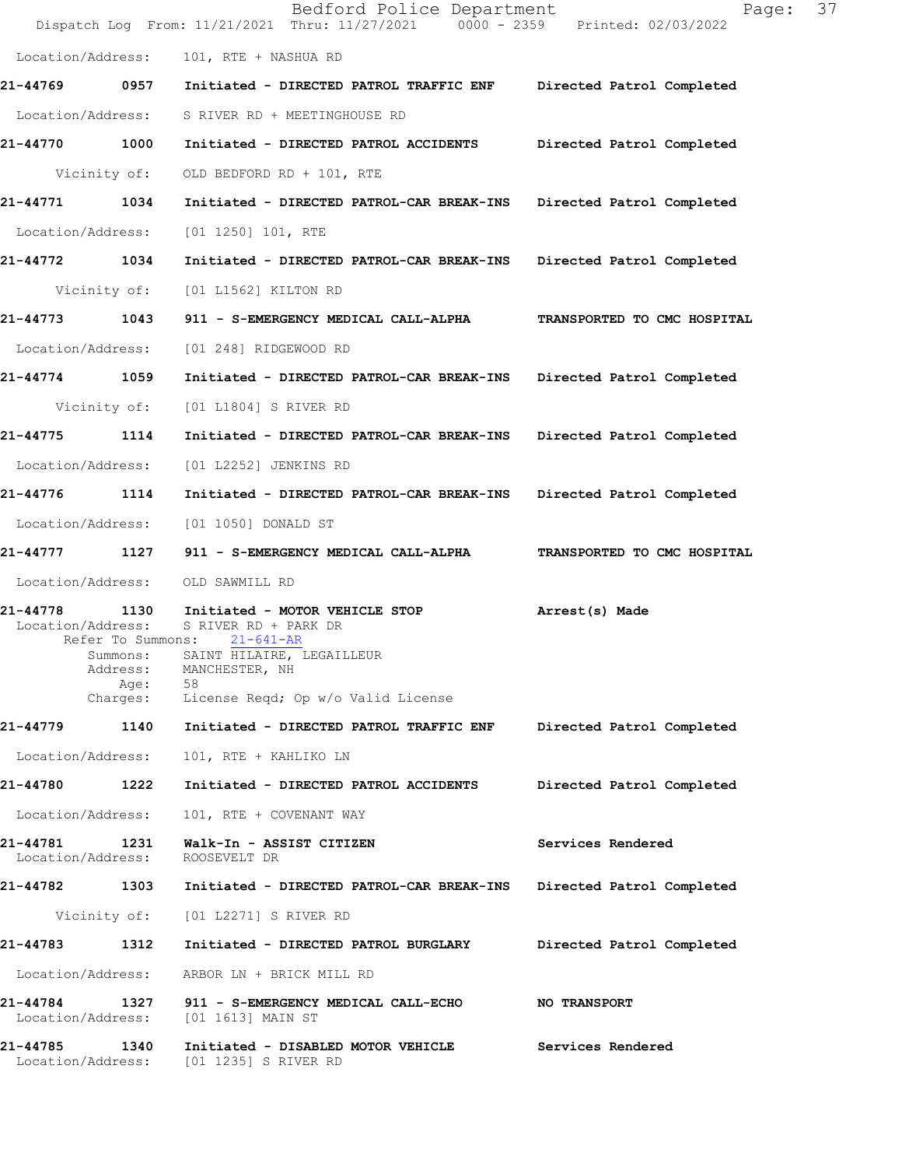|                               |                                                                       | Bedford Police Department<br>Dispatch Log From: 11/21/2021 Thru: 11/27/2021 0000 - 2359 Printed: 02/03/2022                                                          | 37<br>Page:                 |
|-------------------------------|-----------------------------------------------------------------------|----------------------------------------------------------------------------------------------------------------------------------------------------------------------|-----------------------------|
| Location/Address:             |                                                                       | 101, RTE + NASHUA RD                                                                                                                                                 |                             |
| 21-44769 0957                 |                                                                       | Initiated - DIRECTED PATROL TRAFFIC ENF Directed Patrol Completed                                                                                                    |                             |
| Location/Address:             |                                                                       | S RIVER RD + MEETINGHOUSE RD                                                                                                                                         |                             |
| 21-44770 1000                 |                                                                       | Initiated - DIRECTED PATROL ACCIDENTS Directed Patrol Completed                                                                                                      |                             |
|                               | Vicinity of:                                                          | OLD BEDFORD RD + 101, RTE                                                                                                                                            |                             |
| 21-44771 1034                 |                                                                       | Initiated - DIRECTED PATROL-CAR BREAK-INS Directed Patrol Completed                                                                                                  |                             |
| Location/Address:             |                                                                       | $[01 1250] 101$ , RTE                                                                                                                                                |                             |
| 21-44772 1034                 |                                                                       | Initiated - DIRECTED PATROL-CAR BREAK-INS                                                                                                                            | Directed Patrol Completed   |
|                               | Vicinity of:                                                          | [01 L1562] KILTON RD                                                                                                                                                 |                             |
| 21-44773 1043                 |                                                                       | 911 - S-EMERGENCY MEDICAL CALL-ALPHA                                                                                                                                 | TRANSPORTED TO CMC HOSPITAL |
| Location/Address:             |                                                                       | [01 248] RIDGEWOOD RD                                                                                                                                                |                             |
| 21-44774 1059                 |                                                                       | Initiated - DIRECTED PATROL-CAR BREAK-INS                                                                                                                            | Directed Patrol Completed   |
|                               | Vicinity of:                                                          | [01 L1804] S RIVER RD                                                                                                                                                |                             |
| 21-44775 1114                 |                                                                       | Initiated - DIRECTED PATROL-CAR BREAK-INS                                                                                                                            | Directed Patrol Completed   |
| Location/Address:             |                                                                       | [01 L2252] JENKINS RD                                                                                                                                                |                             |
| 21-44776 1114                 |                                                                       | Initiated - DIRECTED PATROL-CAR BREAK-INS                                                                                                                            | Directed Patrol Completed   |
| Location/Address:             |                                                                       | [01 1050] DONALD ST                                                                                                                                                  |                             |
|                               |                                                                       | 21-44777 1127 911 - S-EMERGENCY MEDICAL CALL-ALPHA                                                                                                                   | TRANSPORTED TO CMC HOSPITAL |
| Location/Address:             |                                                                       | OLD SAWMILL RD                                                                                                                                                       |                             |
| 21-44778<br>Location/Address: | 1130<br>Refer To Summons:<br>Summons:<br>Address:<br>Age:<br>Charges: | Initiated - MOTOR VEHICLE STOP<br>S RIVER RD + PARK DR<br>$21 - 641 - AR$<br>SAINT HILAIRE, LEGAILLEUR<br>MANCHESTER, NH<br>58<br>License Reqd; Op w/o Valid License | Arrest(s) Made              |
| 21-44779                      | 1140                                                                  | Initiated - DIRECTED PATROL TRAFFIC ENF                                                                                                                              | Directed Patrol Completed   |
| Location/Address:             |                                                                       | 101, RTE + KAHLIKO LN                                                                                                                                                |                             |
| 21-44780                      | 1222                                                                  | Initiated - DIRECTED PATROL ACCIDENTS                                                                                                                                | Directed Patrol Completed   |
| Location/Address:             |                                                                       | 101, RTE + COVENANT WAY                                                                                                                                              |                             |
| 21-44781<br>Location/Address: | 1231                                                                  | Walk-In - ASSIST CITIZEN<br>ROOSEVELT DR                                                                                                                             | Services Rendered           |
| 21-44782                      | 1303                                                                  | Initiated - DIRECTED PATROL-CAR BREAK-INS                                                                                                                            | Directed Patrol Completed   |
|                               | Vicinity of:                                                          | [01 L2271] S RIVER RD                                                                                                                                                |                             |
| 21-44783                      | 1312                                                                  | Initiated - DIRECTED PATROL BURGLARY                                                                                                                                 | Directed Patrol Completed   |
| Location/Address:             |                                                                       | ARBOR LN + BRICK MILL RD                                                                                                                                             |                             |
| 21-44784<br>Location/Address: | 1327                                                                  | 911 - S-EMERGENCY MEDICAL CALL-ECHO<br>[01 1613] MAIN ST                                                                                                             | <b>NO TRANSPORT</b>         |
| 21-44785<br>Location/Address: | 1340                                                                  | Initiated - DISABLED MOTOR VEHICLE<br>[01 1235] S RIVER RD                                                                                                           | Services Rendered           |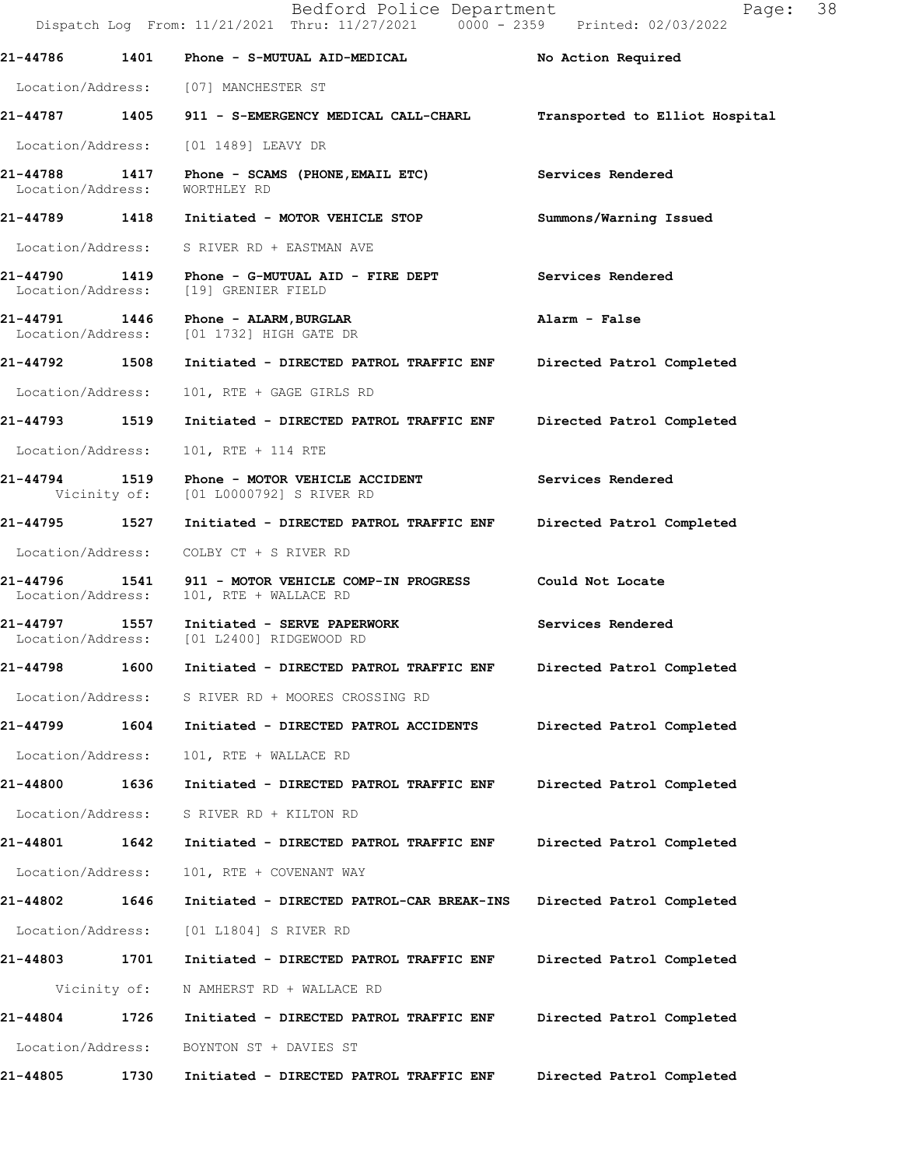Bedford Police Department Page: 38 Dispatch Log From: 11/21/2021 Thru: 11/27/2021 0000 - 2359 Printed: 02/03/2022 **21-44786 1401 Phone - S-MUTUAL AID-MEDICAL No Action Required**  Location/Address: [07] MANCHESTER ST **21-44787 1405 911 - S-EMERGENCY MEDICAL CALL-CHARL Transported to Elliot Hospital** Location/Address: [01 1489] LEAVY DR **21-44788 1417 Phone - SCAMS (PHONE,EMAIL ETC) Services Rendered**  Location/Address: WORTHLEY RD **21-44789 1418 Initiated - MOTOR VEHICLE STOP Summons/Warning Issued**  Location/Address: S RIVER RD + EASTMAN AVE **21-44790 1419 Phone - G-MUTUAL AID - FIRE DEPT Services Rendered**  Location/Address: [19] GRENIER FIELD **21-44791 1446 Phone - ALARM,BURGLAR Alarm - False**  Location/Address: [01 1732] HIGH GATE DR **21-44792 1508 Initiated - DIRECTED PATROL TRAFFIC ENF Directed Patrol Completed**  Location/Address: 101, RTE + GAGE GIRLS RD **21-44793 1519 Initiated - DIRECTED PATROL TRAFFIC ENF Directed Patrol Completed**  Location/Address: 101, RTE + 114 RTE **21-44794 1519 Phone - MOTOR VEHICLE ACCIDENT Services Rendered**  Vicinity of: [01 L0000792] S RIVER RD **21-44795 1527 Initiated - DIRECTED PATROL TRAFFIC ENF Directed Patrol Completed**  Location/Address: COLBY CT + S RIVER RD **21-44796 1541 911 - MOTOR VEHICLE COMP-IN PROGRESS Could Not Locate**  Location/Address: 101, RTE + WALLACE RD **21-44797 1557 Initiated - SERVE PAPERWORK Services Rendered Location/Address:** [01 L2400] RIDGEWOOD RD [01 L2400] RIDGEWOOD RD **21-44798 1600 Initiated - DIRECTED PATROL TRAFFIC ENF Directed Patrol Completed**  Location/Address: S RIVER RD + MOORES CROSSING RD **21-44799 1604 Initiated - DIRECTED PATROL ACCIDENTS Directed Patrol Completed**  Location/Address: 101, RTE + WALLACE RD **21-44800 1636 Initiated - DIRECTED PATROL TRAFFIC ENF Directed Patrol Completed**  Location/Address: S RIVER RD + KILTON RD **21-44801 1642 Initiated - DIRECTED PATROL TRAFFIC ENF Directed Patrol Completed**  Location/Address: 101, RTE + COVENANT WAY **21-44802 1646 Initiated - DIRECTED PATROL-CAR BREAK-INS Directed Patrol Completed**  Location/Address: [01 L1804] S RIVER RD **21-44803 1701 Initiated - DIRECTED PATROL TRAFFIC ENF Directed Patrol Completed**  Vicinity of: N AMHERST RD + WALLACE RD **21-44804 1726 Initiated - DIRECTED PATROL TRAFFIC ENF Directed Patrol Completed**  Location/Address: BOYNTON ST + DAVIES ST **21-44805 1730 Initiated - DIRECTED PATROL TRAFFIC ENF Directed Patrol Completed**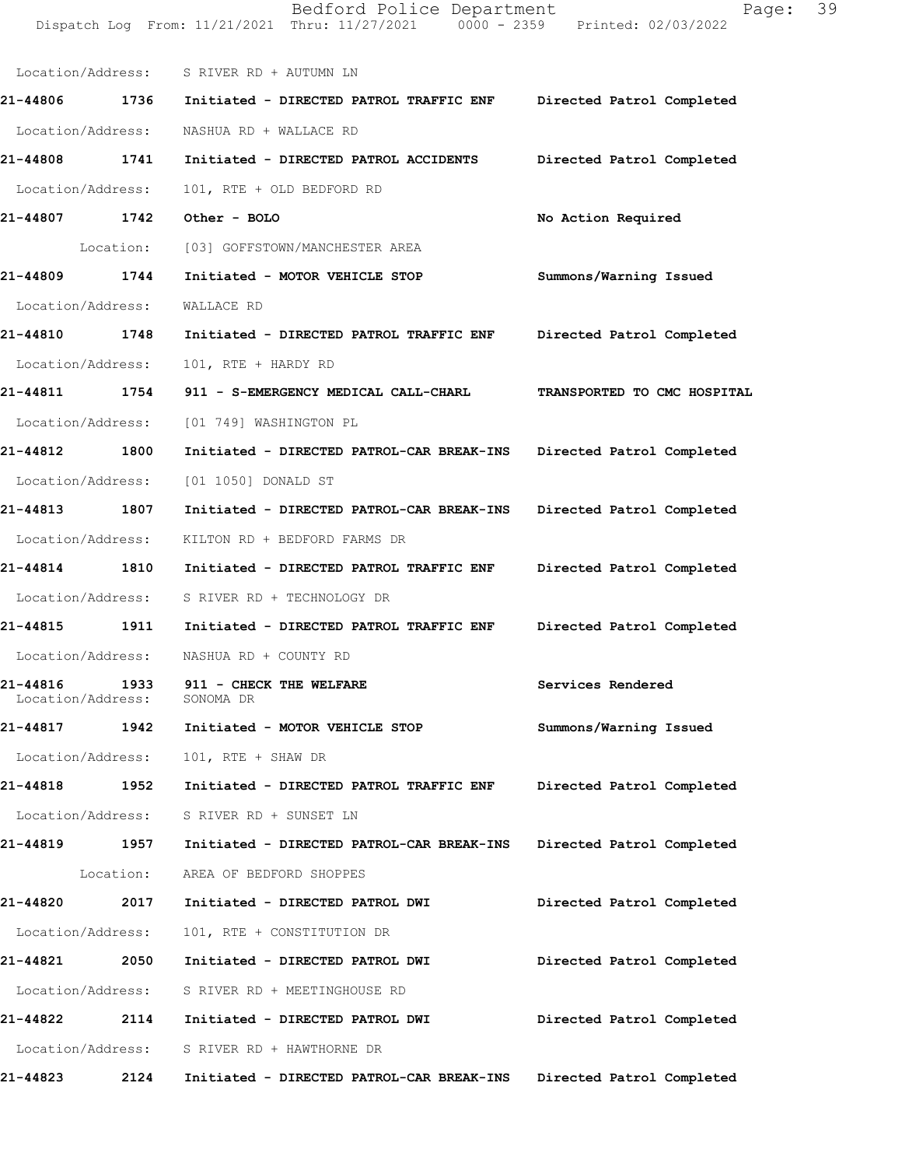|                   |                   | Dispatch Log From: 11/21/2021 Thru: 11/27/2021 0000 - 2359 Printed: 02/03/2022 |                             |
|-------------------|-------------------|--------------------------------------------------------------------------------|-----------------------------|
|                   |                   | Location/Address: S RIVER RD + AUTUMN LN                                       |                             |
| 21-44806 1736     |                   | Initiated - DIRECTED PATROL TRAFFIC ENF                                        | Directed Patrol Completed   |
| Location/Address: |                   | NASHUA RD + WALLACE RD                                                         |                             |
| 21-44808          | 1741              | Initiated - DIRECTED PATROL ACCIDENTS                                          | Directed Patrol Completed   |
| Location/Address: |                   | 101, RTE + OLD BEDFORD RD                                                      |                             |
| 21-44807          | 1742              | Other - BOLO                                                                   | No Action Required          |
|                   | Location:         | [03] GOFFSTOWN/MANCHESTER AREA                                                 |                             |
| 21-44809          | 1744              | Initiated - MOTOR VEHICLE STOP                                                 | Summons/Warning Issued      |
| Location/Address: |                   | WALLACE RD                                                                     |                             |
| 21-44810          | 1748              | Initiated - DIRECTED PATROL TRAFFIC ENF                                        | Directed Patrol Completed   |
| Location/Address: |                   | 101, RTE + HARDY RD                                                            |                             |
| 21-44811          | 1754              | 911 - S-EMERGENCY MEDICAL CALL-CHARL                                           | TRANSPORTED TO CMC HOSPITAL |
| Location/Address: |                   | [01 749] WASHINGTON PL                                                         |                             |
| 21-44812          | 1800              | Initiated - DIRECTED PATROL-CAR BREAK-INS                                      | Directed Patrol Completed   |
| Location/Address: |                   | [01 1050] DONALD ST                                                            |                             |
| 21-44813          | 1807              | Initiated - DIRECTED PATROL-CAR BREAK-INS                                      | Directed Patrol Completed   |
|                   | Location/Address: | KILTON RD + BEDFORD FARMS DR                                                   |                             |
| 21-44814          | 1810              | Initiated - DIRECTED PATROL TRAFFIC ENF                                        | Directed Patrol Completed   |
| Location/Address: |                   | S RIVER RD + TECHNOLOGY DR                                                     |                             |
| 21-44815          | 1911              | Initiated - DIRECTED PATROL TRAFFIC ENF                                        | Directed Patrol Completed   |
|                   |                   | Location/Address: NASHUA RD + COUNTY RD                                        |                             |
| 21-44816          | Location/Address: | 1933 911 - CHECK THE WELFARE<br>SONOMA DR                                      | Services Rendered           |
| 21-44817          | 1942              | Initiated - MOTOR VEHICLE STOP                                                 | Summons/Warning Issued      |
|                   | Location/Address: | 101, RTE + SHAW DR                                                             |                             |
| 21-44818          | 1952              | Initiated - DIRECTED PATROL TRAFFIC ENF                                        | Directed Patrol Completed   |
|                   |                   | Location/Address: S RIVER RD + SUNSET LN                                       |                             |
| 21-44819          | 1957              | Initiated - DIRECTED PATROL-CAR BREAK-INS                                      | Directed Patrol Completed   |
|                   |                   | Location: AREA OF BEDFORD SHOPPES                                              |                             |
| 21-44820          | 2017              | Initiated - DIRECTED PATROL DWI                                                | Directed Patrol Completed   |
|                   | Location/Address: | 101, RTE + CONSTITUTION DR                                                     |                             |
| 21-44821          | 2050              | Initiated - DIRECTED PATROL DWI                                                | Directed Patrol Completed   |
|                   |                   | Location/Address: S RIVER RD + MEETINGHOUSE RD                                 |                             |
| 21-44822          | 2114              | Initiated - DIRECTED PATROL DWI                                                | Directed Patrol Completed   |
|                   | Location/Address: | S RIVER RD + HAWTHORNE DR                                                      |                             |
| 21-44823          | 2124              | Initiated - DIRECTED PATROL-CAR BREAK-INS                                      | Directed Patrol Completed   |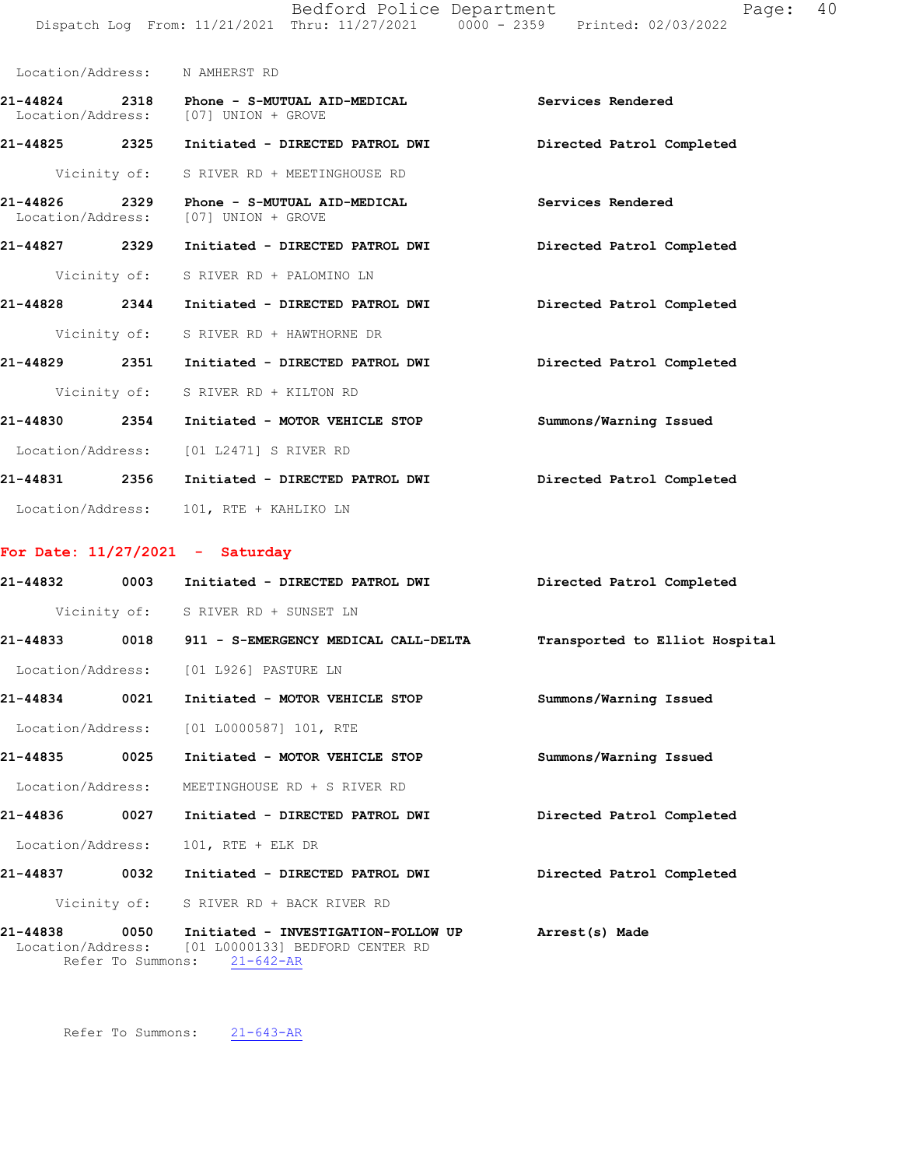|                                                                                | Bedford Police Department |  | Page: 40 |  |
|--------------------------------------------------------------------------------|---------------------------|--|----------|--|
| Dispatch Log From: 11/21/2021 Thru: 11/27/2021 0000 - 2359 Printed: 02/03/2022 |                           |  |          |  |

|                                    |              | Location/Address: N AMHERST RD                                                     |                           |
|------------------------------------|--------------|------------------------------------------------------------------------------------|---------------------------|
|                                    |              | 21-44824 2318 Phone - S-MUTUAL AID-MEDICAL<br>Location/Address: [07] UNION + GROVE | Services Rendered         |
| 21-44825 2325                      |              | Initiated - DIRECTED PATROL DWI                                                    | Directed Patrol Completed |
|                                    | Vicinity of: | S RIVER RD + MEETINGHOUSE RD                                                       |                           |
| 21-44826 2329<br>Location/Address: |              | Phone - S-MUTUAL AID-MEDICAL<br>[07] UNION + GROVE                                 | Services Rendered         |
| 21-44827 2329                      |              | Initiated - DIRECTED PATROL DWI                                                    | Directed Patrol Completed |
|                                    |              | Vicinity of: S RIVER RD + PALOMINO LN                                              |                           |
| 21-44828                           | 2344         | Initiated - DIRECTED PATROL DWI                                                    | Directed Patrol Completed |
|                                    |              | Vicinity of: S RIVER RD + HAWTHORNE DR                                             |                           |
| 21-44829 2351                      |              | Initiated - DIRECTED PATROL DWI                                                    | Directed Patrol Completed |
|                                    | Vicinity of: | S RIVER RD + KILTON RD                                                             |                           |
| 21-44830 2354                      |              | Initiated - MOTOR VEHICLE STOP                                                     | Summons/Warning Issued    |
|                                    |              | Location/Address: [01 L2471] S RIVER RD                                            |                           |
| 21-44831 2356                      |              | Initiated - DIRECTED PATROL DWI                                                    | Directed Patrol Completed |
| Location/Address:                  |              | 101, RTE + KAHLIKO LN                                                              |                           |

## **For Date: 11/27/2021 - Saturday**

| 21-44832     | 0003                      | Initiated - DIRECTED PATROL DWI                                                                             | Directed Patrol Completed      |
|--------------|---------------------------|-------------------------------------------------------------------------------------------------------------|--------------------------------|
|              |                           | Vicinity of: S RIVER RD + SUNSET LN                                                                         |                                |
| $21 - 44833$ |                           | 0018 911 - S-EMERGENCY MEDICAL CALL-DELTA                                                                   | Transported to Elliot Hospital |
|              |                           | Location/Address: [01 L926] PASTURE LN                                                                      |                                |
| 21-44834     | 0021                      | Initiated - MOTOR VEHICLE STOP                                                                              | Summons/Warning Issued         |
|              |                           | Location/Address: [01 L0000587] 101, RTE                                                                    |                                |
| 21-44835     | 0025                      | Initiated - MOTOR VEHICLE STOP                                                                              | Summons/Warning Issued         |
|              |                           | Location/Address: MEETINGHOUSE RD + S RIVER RD                                                              |                                |
| 21-44836     | 0027                      | Initiated - DIRECTED PATROL DWI                                                                             | Directed Patrol Completed      |
|              |                           | Location/Address: 101, RTE + ELK DR                                                                         |                                |
| 21-44837     | 0032                      | Initiated - DIRECTED PATROL DWI                                                                             | Directed Patrol Completed      |
|              |                           | Vicinity of: S RIVER RD + BACK RIVER RD                                                                     |                                |
| 21-44838     | 0050<br>Refer To Summons: | Initiated - INVESTIGATION-FOLLOW UP<br>Location/Address: [01 L0000133] BEDFORD CENTER RD<br>$21 - 642 - AR$ | Arrest(s) Made                 |

Refer To Summons: 21-643-AR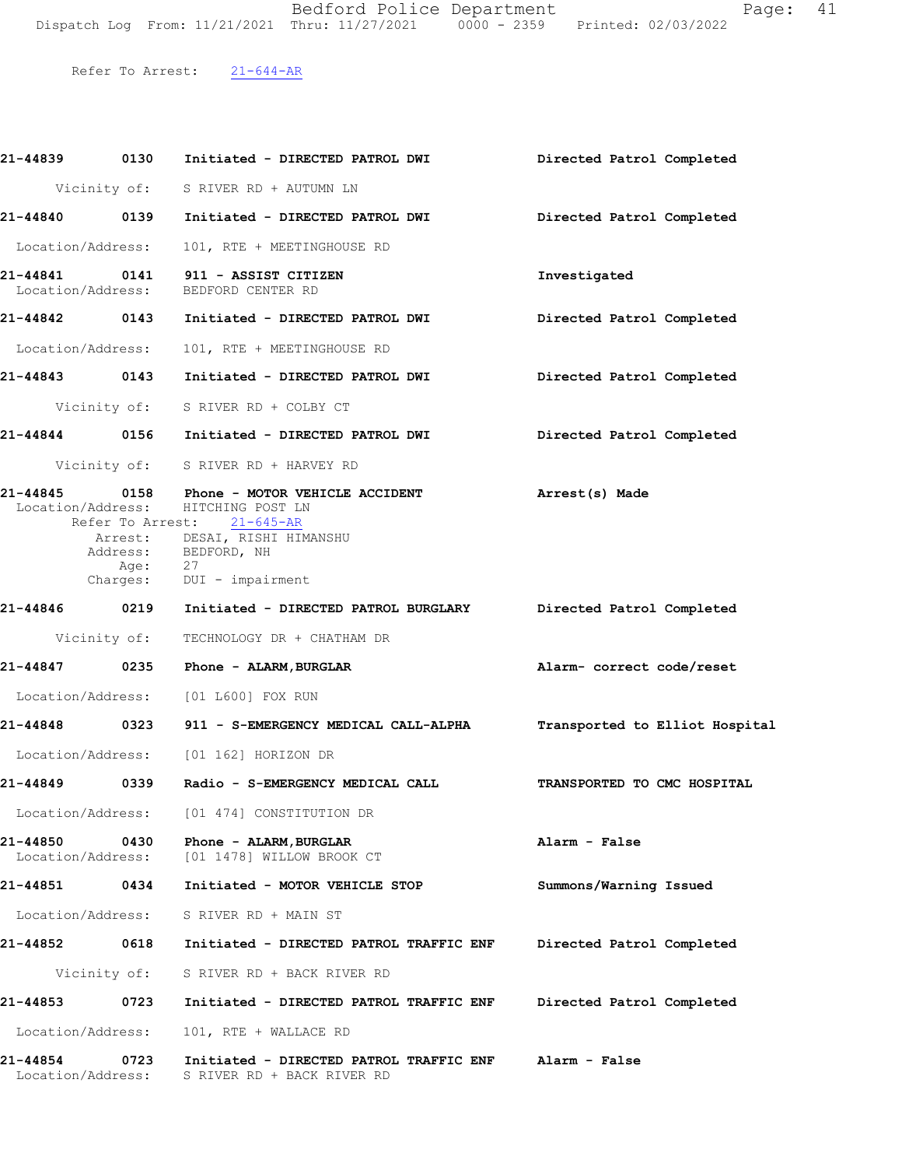Bedford Police Department Fage: 41 Dispatch Log From: 11/21/2021 Thru: 11/27/2021 0000 - 2359 Printed: 02/03/2022

Refer To Arrest: 21-644-AR

| 21-44839 0130                 |              | Initiated - DIRECTED PATROL DWI                                                                                                                                                                          | Directed Patrol Completed      |
|-------------------------------|--------------|----------------------------------------------------------------------------------------------------------------------------------------------------------------------------------------------------------|--------------------------------|
|                               |              | Vicinity of: S RIVER RD + AUTUMN LN                                                                                                                                                                      |                                |
|                               |              |                                                                                                                                                                                                          | Directed Patrol Completed      |
|                               |              | Location/Address: 101, RTE + MEETINGHOUSE RD                                                                                                                                                             |                                |
|                               |              | 21-44841   0141   911 - ASSIST CITIZEN<br>Location/Address: BEDFORD CENTER RD                                                                                                                            | Investigated                   |
|                               |              |                                                                                                                                                                                                          | Directed Patrol Completed      |
|                               |              | Location/Address: 101, RTE + MEETINGHOUSE RD                                                                                                                                                             |                                |
|                               |              | 21-44843 0143 Initiated - DIRECTED PATROL DWI                                                                                                                                                            | Directed Patrol Completed      |
|                               |              | Vicinity of: S RIVER RD + COLBY CT                                                                                                                                                                       |                                |
|                               |              | 21-44844 0156 Initiated - DIRECTED PATROL DWI Directed Patrol Completed                                                                                                                                  |                                |
|                               |              | Vicinity of: S RIVER RD + HARVEY RD                                                                                                                                                                      |                                |
|                               | Age: 27      | 21-44845  0158  Phone - MOTOR VEHICLE ACCIDENT<br>Location/Address: HITCHING POST LN<br>Refer To Arrest: 21-645-AR<br>Arrest: DESAI, RISHI HIMANSHU<br>Address: BEDFORD, NH<br>Charges: DUI - impairment | Arrest(s) Made                 |
|                               |              | 21-44846 0219 Initiated - DIRECTED PATROL BURGLARY Directed Patrol Completed                                                                                                                             |                                |
|                               |              | Vicinity of: TECHNOLOGY DR + CHATHAM DR                                                                                                                                                                  |                                |
|                               |              | 21-44847 0235 Phone - ALARM, BURGLAR                                                                                                                                                                     | Alarm- correct code/reset      |
|                               |              | Location/Address: [01 L600] FOX RUN                                                                                                                                                                      |                                |
|                               |              | 21-44848 0323 911 - S-EMERGENCY MEDICAL CALL-ALPHA                                                                                                                                                       | Transported to Elliot Hospital |
|                               |              | Location/Address: [01 162] HORIZON DR                                                                                                                                                                    |                                |
|                               |              |                                                                                                                                                                                                          | TRANSPORTED TO CMC HOSPITAL    |
| Location/Address:             |              | [01 474] CONSTITUTION DR                                                                                                                                                                                 |                                |
| 21-44850<br>Location/Address: | 0430         | Phone - ALARM, BURGLAR<br>[01 1478] WILLOW BROOK CT                                                                                                                                                      | Alarm - False                  |
| 21-44851                      | 0434         | Initiated - MOTOR VEHICLE STOP                                                                                                                                                                           | Summons/Warning Issued         |
| Location/Address:             |              | S RIVER RD + MAIN ST                                                                                                                                                                                     |                                |
| 21-44852                      | 0618         | Initiated - DIRECTED PATROL TRAFFIC ENF                                                                                                                                                                  | Directed Patrol Completed      |
|                               | Vicinity of: | S RIVER RD + BACK RIVER RD                                                                                                                                                                               |                                |
| 21-44853                      | 0723         | Initiated - DIRECTED PATROL TRAFFIC ENF                                                                                                                                                                  | Directed Patrol Completed      |
| Location/Address:             |              | 101, RTE + WALLACE RD                                                                                                                                                                                    |                                |
| 21-44854<br>Location/Address: | 0723         | Initiated - DIRECTED PATROL TRAFFIC ENF<br>S RIVER RD + BACK RIVER RD                                                                                                                                    | Alarm - False                  |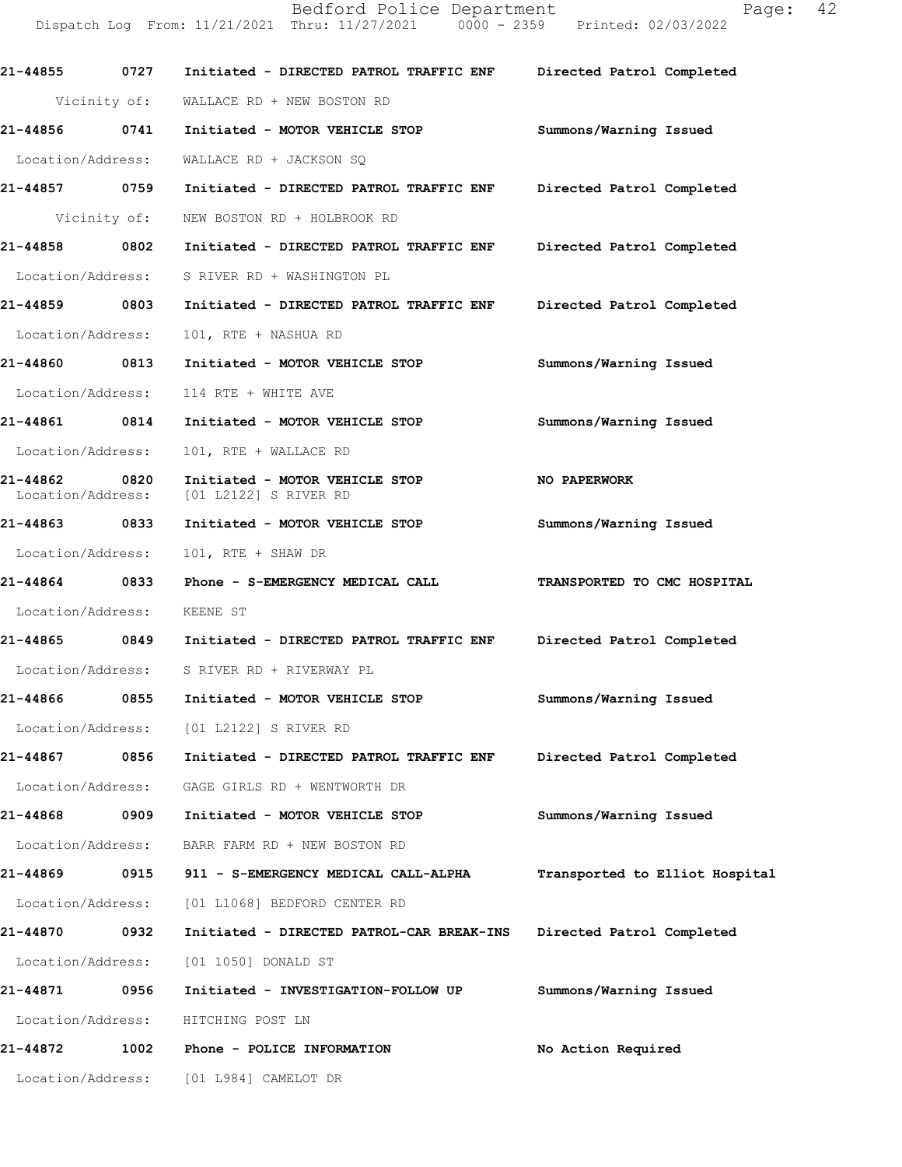Dispatch Log From: 11/21/2021 Thru: 11/27/2021 0000 - 2359 Printed: 02/03/2022 **21-44855 0727 Initiated - DIRECTED PATROL TRAFFIC ENF Directed Patrol Completed**  Vicinity of: WALLACE RD + NEW BOSTON RD **21-44856 0741 Initiated - MOTOR VEHICLE STOP Summons/Warning Issued**  Location/Address: WALLACE RD + JACKSON SQ **21-44857 0759 Initiated - DIRECTED PATROL TRAFFIC ENF Directed Patrol Completed**  Vicinity of: NEW BOSTON RD + HOLBROOK RD **21-44858 0802 Initiated - DIRECTED PATROL TRAFFIC ENF Directed Patrol Completed**  Location/Address: S RIVER RD + WASHINGTON PL **21-44859 0803 Initiated - DIRECTED PATROL TRAFFIC ENF Directed Patrol Completed**  Location/Address: 101, RTE + NASHUA RD **21-44860 0813 Initiated - MOTOR VEHICLE STOP Summons/Warning Issued**  Location/Address: 114 RTE + WHITE AVE **21-44861 0814 Initiated - MOTOR VEHICLE STOP Summons/Warning Issued**  Location/Address: 101, RTE + WALLACE RD **21-44862 0820 Initiated - MOTOR VEHICLE STOP NO PAPERWORK**  Location/Address: [01 L2122] S RIVER RD **21-44863 0833 Initiated - MOTOR VEHICLE STOP Summons/Warning Issued**  Location/Address: 101, RTE + SHAW DR **21-44864 0833 Phone - S-EMERGENCY MEDICAL CALL TRANSPORTED TO CMC HOSPITAL**  Location/Address: KEENE ST **21-44865 0849 Initiated - DIRECTED PATROL TRAFFIC ENF Directed Patrol Completed**  Location/Address: S RIVER RD + RIVERWAY PL **21-44866 0855 Initiated - MOTOR VEHICLE STOP Summons/Warning Issued**  Location/Address: [01 L2122] S RIVER RD **21-44867 0856 Initiated - DIRECTED PATROL TRAFFIC ENF Directed Patrol Completed**  Location/Address: GAGE GIRLS RD + WENTWORTH DR **21-44868 0909 Initiated - MOTOR VEHICLE STOP Summons/Warning Issued**  Location/Address: BARR FARM RD + NEW BOSTON RD **21-44869 0915 911 - S-EMERGENCY MEDICAL CALL-ALPHA Transported to Elliot Hospital** Location/Address: [01 L1068] BEDFORD CENTER RD **21-44870 0932 Initiated - DIRECTED PATROL-CAR BREAK-INS Directed Patrol Completed**  Location/Address: [01 1050] DONALD ST **21-44871 0956 Initiated - INVESTIGATION-FOLLOW UP Summons/Warning Issued**  Location/Address: HITCHING POST LN **21-44872 1002 Phone - POLICE INFORMATION No Action Required**  Location/Address: [01 L984] CAMELOT DR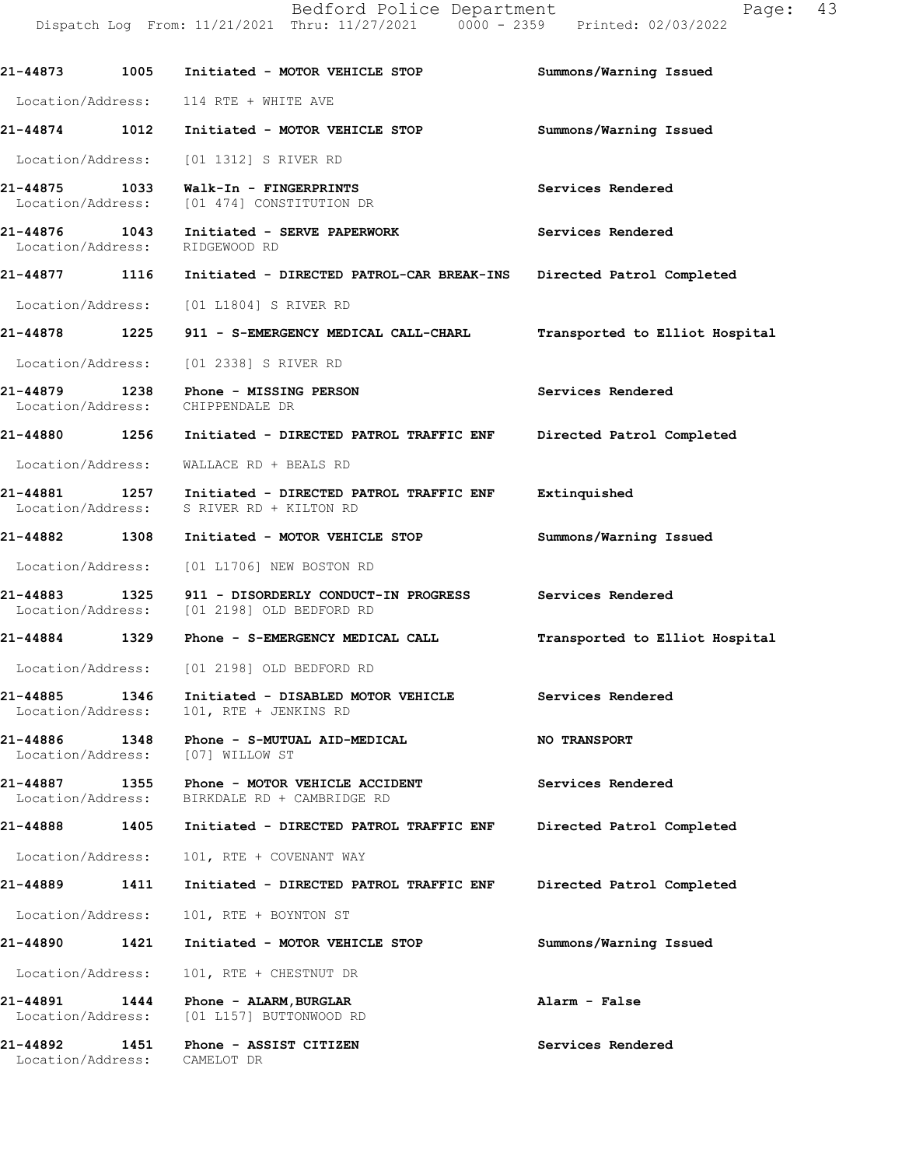Dispatch Log From: 11/21/2021 Thru: 11/27/2021 0000 - 2359 Printed: 02/03/2022 **21-44873 1005 Initiated - MOTOR VEHICLE STOP Summons/Warning Issued**  Location/Address: 114 RTE + WHITE AVE **21-44874 1012 Initiated - MOTOR VEHICLE STOP Summons/Warning Issued**  Location/Address: [01 1312] S RIVER RD **21-44875 1033 Walk-In - FINGERPRINTS Services Rendered Services Rendered Integral CONSTITUTION** DR [01 474] CONSTITUTION DR 21-44876 1043 Initiated - SERVE PAPERWORK **Services Rendered** Location/Address: RIDGEWOOD RD Location/Address: **21-44877 1116 Initiated - DIRECTED PATROL-CAR BREAK-INS Directed Patrol Completed**  Location/Address: [01 L1804] S RIVER RD **21-44878 1225 911 - S-EMERGENCY MEDICAL CALL-CHARL Transported to Elliot Hospital** Location/Address: [01 2338] S RIVER RD **21-44879 1238 Phone - MISSING PERSON Services Rendered**  Location/Address: CHIPPENDALE DR **21-44880 1256 Initiated - DIRECTED PATROL TRAFFIC ENF Directed Patrol Completed**  Location/Address: WALLACE RD + BEALS RD **21-44881 1257 Initiated - DIRECTED PATROL TRAFFIC ENF Extinquished**  Location/Address: S RIVER RD + KILTON RD **21-44882 1308 Initiated - MOTOR VEHICLE STOP Summons/Warning Issued**  Location/Address: [01 L1706] NEW BOSTON RD **21-44883 1325 911 - DISORDERLY CONDUCT-IN PROGRESS Services Rendered**  Location/Address: [01 2198] OLD BEDFORD RD **21-44884 1329 Phone - S-EMERGENCY MEDICAL CALL Transported to Elliot Hospital** Location/Address: [01 2198] OLD BEDFORD RD **21-44885 1346 Initiated - DISABLED MOTOR VEHICLE Services Rendered**  Location/Address: 101, RTE + JENKINS RD **21-44886 1348 Phone - S-MUTUAL AID-MEDICAL NO TRANSPORT**  Location/Address: [07] WILLOW ST **21-44887 1355 Phone - MOTOR VEHICLE ACCIDENT Services Rendered**  Location/Address: BIRKDALE RD + CAMBRIDGE RD **21-44888 1405 Initiated - DIRECTED PATROL TRAFFIC ENF Directed Patrol Completed**  Location/Address: 101, RTE + COVENANT WAY **21-44889 1411 Initiated - DIRECTED PATROL TRAFFIC ENF Directed Patrol Completed**  Location/Address: 101, RTE + BOYNTON ST **21-44890 1421 Initiated - MOTOR VEHICLE STOP Summons/Warning Issued**  Location/Address: 101, RTE + CHESTNUT DR **21-44891 1444 Phone - ALARM,BURGLAR Alarm - False**  Location/Address: [01 L157] BUTTONWOOD RD **21-44892 1451 Phone - ASSIST CITIZEN Services Rendered** 

Location/Address: CAMELOT DR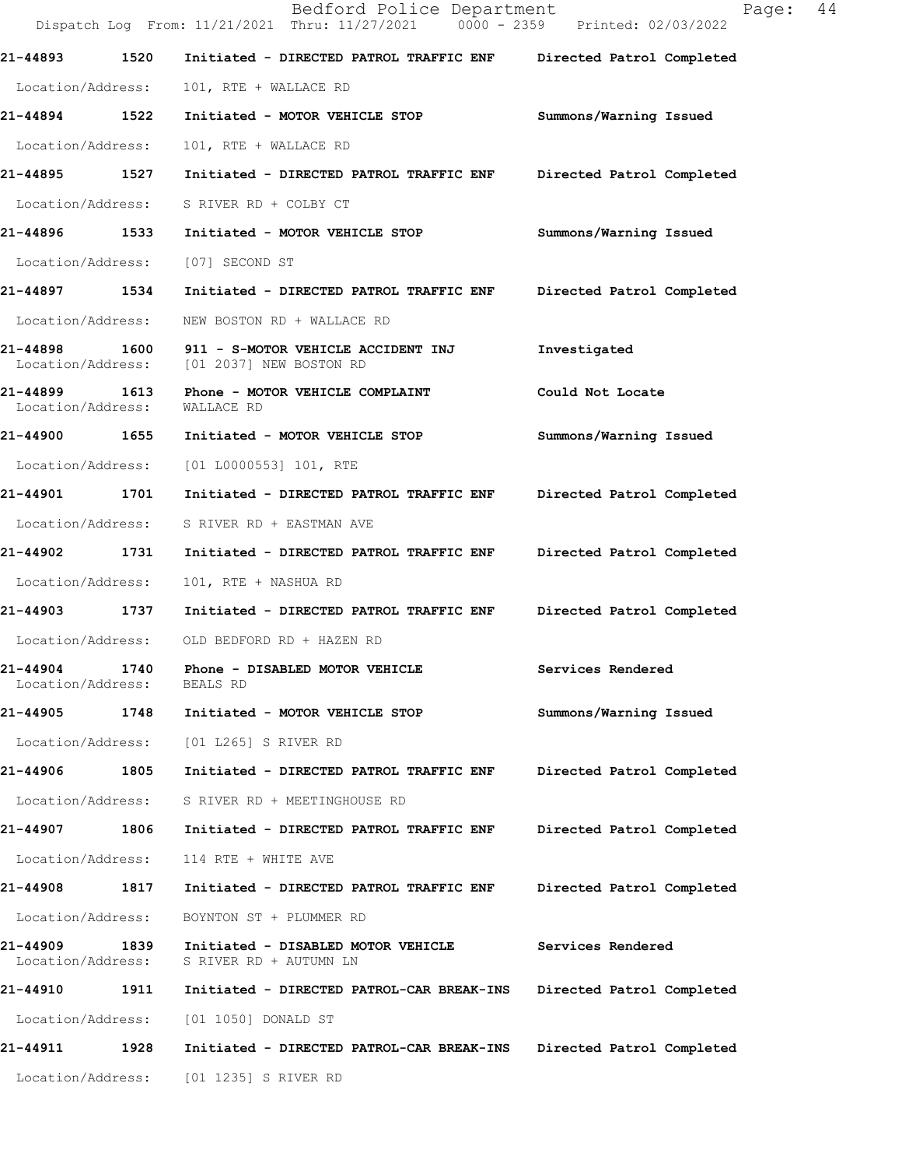|                                    |      | Bedford Police Department<br>Dispatch Log From: 11/21/2021 Thru: 11/27/2021 0000 - 2359 Printed: 02/03/2022 | 44<br>Page:               |
|------------------------------------|------|-------------------------------------------------------------------------------------------------------------|---------------------------|
| 21-44893                           | 1520 | Initiated - DIRECTED PATROL TRAFFIC ENF                                                                     | Directed Patrol Completed |
| Location/Address:                  |      | 101, RTE + WALLACE RD                                                                                       |                           |
| 21-44894 1522                      |      | Initiated - MOTOR VEHICLE STOP                                                                              | Summons/Warning Issued    |
| Location/Address:                  |      | 101, RTE + WALLACE RD                                                                                       |                           |
| 21-44895                           | 1527 | Initiated - DIRECTED PATROL TRAFFIC ENF                                                                     | Directed Patrol Completed |
| Location/Address:                  |      | S RIVER RD + COLBY CT                                                                                       |                           |
| 21-44896 1533                      |      | Initiated - MOTOR VEHICLE STOP                                                                              | Summons/Warning Issued    |
| Location/Address:                  |      | [07] SECOND ST                                                                                              |                           |
| 21-44897 1534                      |      | Initiated - DIRECTED PATROL TRAFFIC ENF                                                                     | Directed Patrol Completed |
| Location/Address:                  |      | NEW BOSTON RD + WALLACE RD                                                                                  |                           |
| 21-44898<br>Location/Address:      | 1600 | 911 - S-MOTOR VEHICLE ACCIDENT INJ<br>[01 2037] NEW BOSTON RD                                               | Investigated              |
| 21-44899 1613<br>Location/Address: |      | Phone - MOTOR VEHICLE COMPLAINT<br>WALLACE RD                                                               | Could Not Locate          |
| 21-44900 1655                      |      | Initiated - MOTOR VEHICLE STOP                                                                              | Summons/Warning Issued    |
| Location/Address:                  |      | $[01 L0000553] 101$ , RTE                                                                                   |                           |
| 21-44901                           | 1701 | Initiated - DIRECTED PATROL TRAFFIC ENF                                                                     | Directed Patrol Completed |
| Location/Address:                  |      | S RIVER RD + EASTMAN AVE                                                                                    |                           |
| 21-44902                           | 1731 | Initiated - DIRECTED PATROL TRAFFIC ENF                                                                     | Directed Patrol Completed |
| Location/Address:                  |      | 101, RTE + NASHUA RD                                                                                        |                           |
| 21-44903 1737                      |      | Initiated - DIRECTED PATROL TRAFFIC ENF                                                                     | Directed Patrol Completed |
|                                    |      | Location/Address: OLD BEDFORD RD + HAZEN RD                                                                 |                           |
| 21-44904<br>Location/Address:      | 1740 | Phone - DISABLED MOTOR VEHICLE<br>BEALS RD                                                                  | Services Rendered         |
| 21-44905                           | 1748 | Initiated - MOTOR VEHICLE STOP                                                                              | Summons/Warning Issued    |
| Location/Address:                  |      | [01 L265] S RIVER RD                                                                                        |                           |
| 21-44906                           | 1805 | Initiated - DIRECTED PATROL TRAFFIC ENF                                                                     | Directed Patrol Completed |
| Location/Address:                  |      | S RIVER RD + MEETINGHOUSE RD                                                                                |                           |
| 21-44907                           | 1806 | Initiated - DIRECTED PATROL TRAFFIC ENF                                                                     | Directed Patrol Completed |
| Location/Address:                  |      | 114 RTE + WHITE AVE                                                                                         |                           |
| 21-44908                           | 1817 | Initiated - DIRECTED PATROL TRAFFIC ENF                                                                     | Directed Patrol Completed |
| Location/Address:                  |      | BOYNTON ST + PLUMMER RD                                                                                     |                           |
| 21-44909<br>Location/Address:      | 1839 | Initiated - DISABLED MOTOR VEHICLE<br>S RIVER RD + AUTUMN LN                                                | Services Rendered         |
| <b>21-44910</b>                    | 1911 | Initiated - DIRECTED PATROL-CAR BREAK-INS                                                                   | Directed Patrol Completed |
| Location/Address:                  |      | [01 1050] DONALD ST                                                                                         |                           |
| 21-44911                           | 1928 | Initiated - DIRECTED PATROL-CAR BREAK-INS                                                                   | Directed Patrol Completed |
|                                    |      | Location/Address: [01 1235] S RIVER RD                                                                      |                           |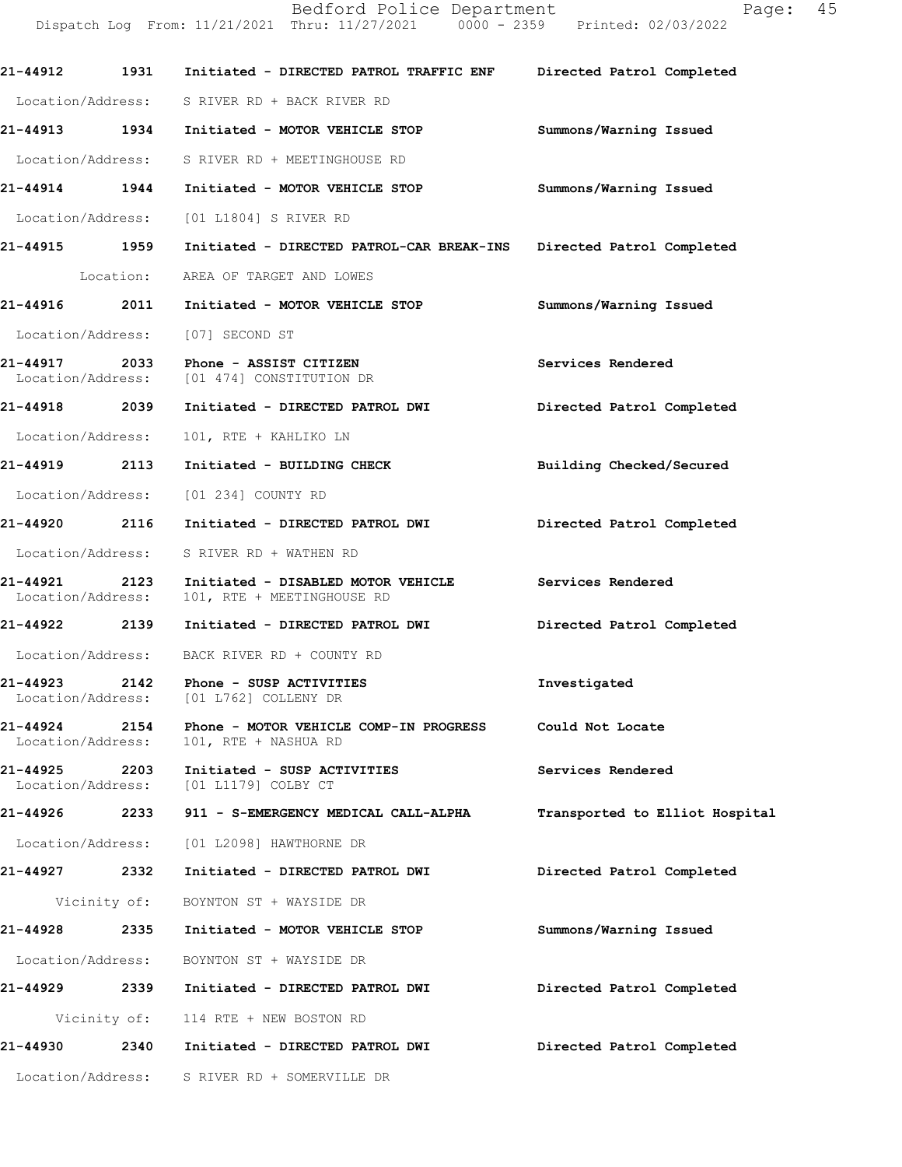|                               |           | Dispatch Log From: 11/21/2021 Thru: 11/27/2021 0000 - 2359 Printed: 02/03/2022  |                                |
|-------------------------------|-----------|---------------------------------------------------------------------------------|--------------------------------|
| 21-44912                      | 1931      | Initiated - DIRECTED PATROL TRAFFIC ENF Directed Patrol Completed               |                                |
|                               |           | Location/Address: S RIVER RD + BACK RIVER RD                                    |                                |
|                               |           | 21-44913 1934 Initiated - MOTOR VEHICLE STOP                                    | Summons/Warning Issued         |
|                               |           | Location/Address: S RIVER RD + MEETINGHOUSE RD                                  |                                |
| 21-44914 1944                 |           | Initiated - MOTOR VEHICLE STOP                                                  | Summons/Warning Issued         |
|                               |           | Location/Address: [01 L1804] S RIVER RD                                         |                                |
| 21-44915 1959                 |           | Initiated - DIRECTED PATROL-CAR BREAK-INS Directed Patrol Completed             |                                |
|                               | Location: | AREA OF TARGET AND LOWES                                                        |                                |
| 21-44916                      | 2011      | Initiated - MOTOR VEHICLE STOP                                                  | Summons/Warning Issued         |
|                               |           | Location/Address: [07] SECOND ST                                                |                                |
| 21-44917 2033                 |           | Phone - ASSIST CITIZEN<br>Location/Address: [01 474] CONSTITUTION DR            | Services Rendered              |
| 21-44918 2039                 |           | Initiated - DIRECTED PATROL DWI                                                 | Directed Patrol Completed      |
| Location/Address:             |           | 101, RTE + KAHLIKO LN                                                           |                                |
| 21-44919 2113                 |           | Initiated - BUILDING CHECK                                                      | Building Checked/Secured       |
|                               |           | Location/Address: [01 234] COUNTY RD                                            |                                |
| 21-44920 2116                 |           | Initiated - DIRECTED PATROL DWI                                                 | Directed Patrol Completed      |
|                               |           | Location/Address: S RIVER RD + WATHEN RD                                        |                                |
| 21-44921<br>Location/Address: | 2123      | Initiated - DISABLED MOTOR VEHICLE<br>101, RTE + MEETINGHOUSE RD                | Services Rendered              |
|                               |           | 21-44922  2139 Initiated - DIRECTED PATROL DWI                                  | Directed Patrol Completed      |
|                               |           | Location/Address: BACK RIVER RD + COUNTY RD                                     |                                |
|                               |           | 21-44923 2142 Phone - SUSP ACTIVITIES<br>Location/Address: [01 L762] COLLENY DR | Investigated                   |
|                               |           | Location/Address: 101, RTE + NASHUA RD                                          | Could Not Locate               |
| 21-44925 2203                 |           | Initiated - SUSP ACTIVITIES<br>Location/Address: [01 L1179] COLBY CT            | Services Rendered              |
|                               |           | 21-44926             2233        911 - S-EMERGENCY MEDICAL CALL-ALPHA           | Transported to Elliot Hospital |
|                               |           | Location/Address: [01 L2098] HAWTHORNE DR                                       |                                |
|                               |           | 21-44927 2332 Initiated - DIRECTED PATROL DWI                                   | Directed Patrol Completed      |
|                               |           | Vicinity of: BOYNTON ST + WAYSIDE DR                                            |                                |
| 21-44928                      |           | 2335 Initiated - MOTOR VEHICLE STOP                                             | Summons/Warning Issued         |
|                               |           | Location/Address: BOYNTON ST + WAYSIDE DR                                       |                                |
|                               |           | 21-44929 2339 Initiated - DIRECTED PATROL DWI                                   | Directed Patrol Completed      |
|                               |           | Vicinity of: 114 RTE + NEW BOSTON RD                                            |                                |
|                               |           | 21-44930  2340  Initiated - DIRECTED PATROL DWI                                 | Directed Patrol Completed      |
|                               |           | Location/Address: S RIVER RD + SOMERVILLE DR                                    |                                |